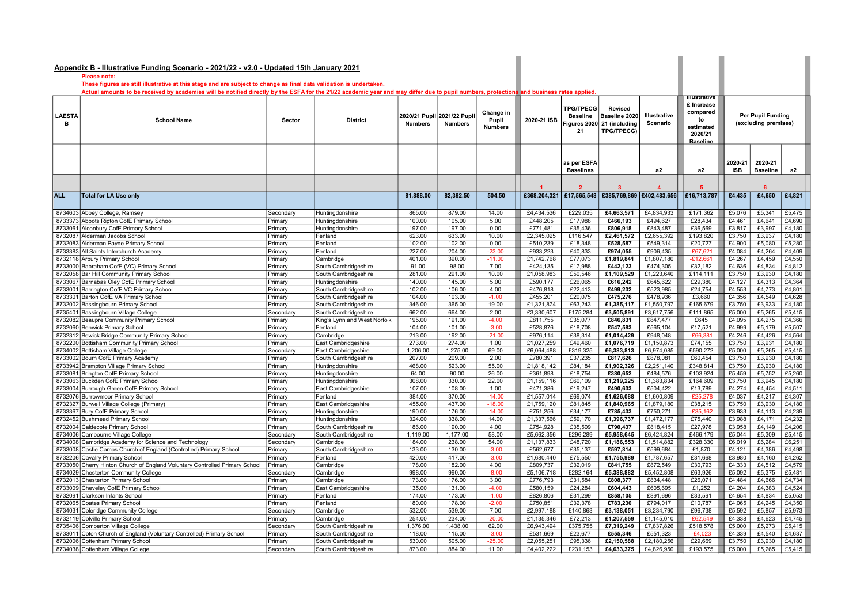|               | Appendix B - Illustrative Funding Scenario - 2021/22 - v2.0 - Updated 15th January 2021                                                                                                  |                      |                                              |                    |                             |                    |                        |                                     |                            |                        |                            |                  |                      |                  |
|---------------|------------------------------------------------------------------------------------------------------------------------------------------------------------------------------------------|----------------------|----------------------------------------------|--------------------|-----------------------------|--------------------|------------------------|-------------------------------------|----------------------------|------------------------|----------------------------|------------------|----------------------|------------------|
|               | Please note:                                                                                                                                                                             |                      |                                              |                    |                             |                    |                        |                                     |                            |                        |                            |                  |                      |                  |
|               | These figures are still illustrative at this stage and are subject to change as final data validation is undertaken.                                                                     |                      |                                              |                    |                             |                    |                        |                                     |                            |                        |                            |                  |                      |                  |
|               | Actual amounts to be received by academies will be notified directly by the ESFA for the 21/22 academic year and may differ due to pupil numbers, protections and business rates applied |                      |                                              |                    |                             |                    |                        |                                     |                            |                        | Illustrative               |                  |                      |                  |
|               |                                                                                                                                                                                          |                      |                                              |                    |                             |                    |                        |                                     |                            |                        | £ Increase                 |                  |                      |                  |
| <b>LAESTA</b> |                                                                                                                                                                                          |                      |                                              |                    | 2020/21 Pupil 2021/22 Pupil | Change in          |                        | <b>TPG/TPECG</b><br><b>Baseline</b> | Revised<br>Baseline 2020-  | Illustrative           | compared                   |                  | Per Pupil Funding    |                  |
| в             | <b>School Name</b>                                                                                                                                                                       | Sector               | <b>District</b>                              | <b>Numbers</b>     | <b>Numbers</b>              | Pupil              | 2020-21 ISB            |                                     | Figures 2020 21 (including | Scenario               | to                         |                  | (excluding premises) |                  |
|               |                                                                                                                                                                                          |                      |                                              |                    |                             | Numbers            |                        | 21                                  | <b>TPG/TPECG)</b>          |                        | estimated                  |                  |                      |                  |
|               |                                                                                                                                                                                          |                      |                                              |                    |                             |                    |                        |                                     |                            |                        | 2020/21<br><b>Baseline</b> |                  |                      |                  |
|               |                                                                                                                                                                                          |                      |                                              |                    |                             |                    |                        |                                     |                            |                        |                            |                  |                      |                  |
|               |                                                                                                                                                                                          |                      |                                              |                    |                             |                    |                        |                                     |                            |                        |                            |                  |                      |                  |
|               |                                                                                                                                                                                          |                      |                                              |                    |                             |                    |                        | as per ESFA                         |                            |                        |                            | 2020-21          | 2020-21              |                  |
|               |                                                                                                                                                                                          |                      |                                              |                    |                             |                    |                        | <b>Baselines</b>                    |                            | a2                     | a2                         | <b>ISB</b>       | <b>Baseline</b>      | a2               |
|               |                                                                                                                                                                                          |                      |                                              |                    |                             |                    |                        |                                     |                            |                        |                            |                  |                      |                  |
|               |                                                                                                                                                                                          |                      |                                              |                    |                             |                    |                        |                                     |                            |                        | 片                          |                  | $\mathbf{6}$         |                  |
| <b>ALL</b>    | <b>Total for LA Use only</b>                                                                                                                                                             |                      |                                              | 81,888.00          | 82.392.50                   | 504.50             | £368,204,321           | £17,565,548                         | £385,769,869 £402,483,656  |                        | £16,713,787                | £4,435           | £4,650               | £4,821           |
|               |                                                                                                                                                                                          |                      |                                              |                    |                             |                    |                        |                                     |                            |                        |                            |                  |                      |                  |
|               | 8734603 Abbey College, Ramsey                                                                                                                                                            | Secondary            | Huntingdonshire                              | 865.00             | 879.00                      | 14.00              | £4,434,536             | £229,035                            | £4,663,571                 | £4,834,933             | £171,362                   | £5,076           | £5,341               | £5,475           |
|               | 8733373 Abbots Ripton CofE Primary School<br>8733061 Alconbury CofE Primary School                                                                                                       | Primary<br>Primary   | Huntingdonshire<br>Huntingdonshire           | 100.00<br>197.00   | 105.00<br>197.00            | 5.00<br>0.00       | £448,205<br>£771.481   | £17,988<br>£35,436                  | £466,193<br>£806.918       | £494,627<br>£843.487   | £28,434<br>£36,569         | £4,461<br>£3.817 | £4,641<br>£3.997     | £4,690<br>£4.180 |
|               | 8732087 Alderman Jacobs School                                                                                                                                                           | Primary              | Fenland                                      | 623.00             | 633.00                      | 10.00              | £2,345,025             | £116,547                            | £2,461,572                 | £2,655,392             | £193,820                   | £3,750           | £3,937               | £4,180           |
|               | 8732083 Alderman Payne Primary School                                                                                                                                                    | Primary              | Fenland                                      | 102.00             | 102.00                      | 0.00               | £510.239               | £18,348                             | £528.587                   | £549.314               | £20,727                    | £4.900           | £5.080               | £5,280           |
|               | 8733383 All Saints Interchurch Academy                                                                                                                                                   | Primary              | Fenland                                      | 227.00             | 204.00                      | $-23.00$           | £933,223               | £40,833                             | £974,055                   | £906,435               | $-£67,621$                 | £4,084           | £4,264               | £4,409           |
|               | 8732118 Arbury Primary School                                                                                                                                                            | Primary              | Cambridge                                    | 401.00             | 390.00                      | $-11.00$           | £1,742,768             | £77,073                             | £1,819,841                 | £1,807,180             | $-£12,661$                 | £4,267           | £4,459               | £4,550           |
|               | 8733000 Babraham CofE (VC) Primary School                                                                                                                                                | Primary              | South Cambridgeshire                         | 91.00              | 98.00                       | 7.00               | £424,135               | £17,988                             | £442,123                   | £474,305               | £32,182                    | £4,636           | £4,834               | £4.812           |
|               | 8732058 Bar Hill Community Primary School                                                                                                                                                | Primary              | South Cambridgeshire                         | 281.00             | 291.00                      | 10.00              | £1,058,983             | £50,546                             | £1,109,529                 | £1,223,640             | £114,111                   | £3,750           | £3,930               | £4,180           |
|               | 8733067 Barnabas Oley CofE Primary School                                                                                                                                                | Primary              | Huntingdonshire                              | 140.00             | 145.00                      | 5.00               | £590,177               | £26,065                             | £616,242                   | £645,622               | £29,380                    | £4,127           | £4,313               | £4,364           |
|               | 8733001 Barrington CofE VC Primary School<br>8733301 Barton CofE VA Primary School                                                                                                       | Primary<br>Primary   | South Cambridgeshire<br>South Cambridgeshire | 102.00<br>104.00   | 106.00<br>103.00            | 4.00<br>$-1.00$    | £476,818<br>£455,201   | £22.413<br>£20,075                  | £499.232<br>£475,276       | £523.985<br>£478,936   | £24,754<br>£3,660          | £4,553<br>£4,356 | £4.773<br>£4,549     | £4,801<br>£4,628 |
|               | 8732002 Bassingbourn Primary School                                                                                                                                                      | Primary              | South Cambridgeshire                         | 346.00             | 365.00                      | 19.00              | £1,321,874             | £63,243                             | £1,385,117                 | £1,550,797             | £165,679                   | £3,750           | £3,933               | £4,180           |
|               | 8735401 Bassingbourn Village College                                                                                                                                                     | Secondarv            | South Cambridgeshire                         | 662.00             | 664.00                      | 2.00               | £3,330,607             | £175,284                            | £3,505,891                 | £3,617,756             | £111,865                   | £5,000           | £5,265               | £5,415           |
|               | 8732082 Beaupre Community Primary School                                                                                                                                                 | Primary              | King's Lynn and West Norfolk                 | 195.00             | 191.00                      | $-4.00$            | £811,755               | £35,077                             | £846,831                   | £847,477               | £645                       | £4,095           | £4,275               | £4,366           |
|               | 8732060 Benwick Primary School                                                                                                                                                           | Primary              | Fenland                                      | 104.00             | 101.00                      | $-3.00$            | £528,876               | £18,708                             | £547,583                   | £565,104               | £17,521                    | £4,999           | £5,179               | £5,507           |
|               | 8732312 Bewick Bridge Community Primary School                                                                                                                                           | Primary              | Cambridge                                    | 213.00             | 192.00                      | $-21.00$           | £976,114               | £38,314                             | £1,014,429                 | £948,048               | $-£66,381$                 | £4,246           | £4,426               | £4,564           |
|               | 8732200 Bottisham Community Primary School                                                                                                                                               | Primary              | East Cambridgeshire                          | 273.00             | 274.00                      | 1.00               | £1,027,259             | £49,460                             | £1,076,719                 | £1,150,873             | £74,155                    | £3,750           | £3,931               | £4,180           |
|               | 8734002 Bottisham Village College                                                                                                                                                        | Secondary            | East Cambridgeshire                          | 1,206.00           | 1,275.00                    | 69.00              | £6,064,488             | £319,325                            | £6,383,813                 | £6,974,085             | £590,272                   | £5,000           | £5,265               | £5,415           |
|               | 8733002 Bourn CofE Primary Academy<br>8733942 Brampton Village Primary School                                                                                                            | Primary<br>Primary   | South Cambridgeshire<br>Huntingdonshire      | 207.00<br>468.00   | 209.00<br>523.00            | 2.00<br>55.00      | £780,391<br>£1,818,142 | £37,235<br>£84,184                  | £817,626<br>£1,902,326     | £878,081<br>£2,251,140 | £60,454<br>£348,814        | £3,750<br>£3,750 | £3,930<br>£3,930     | £4,180<br>£4,180 |
|               | 8733081 Brington CofE Primary School                                                                                                                                                     | Primary              | Huntingdonshire                              | 64.00              | 90.00                       | 26.00              | £361,898               | £18,754                             | £380,652                   | £484,576               | £103,924                   | £5,459           | £5,752               | £5,260           |
|               | 8733063 Buckden CofE Primary School                                                                                                                                                      | Primary              | Huntingdonshire                              | 308.00             | 330.00                      | 22.00              | £1,159,116             | £60,109                             | £1,219,225                 | £1,383,834             | £164,609                   | £3,750           | £3,945               | £4,180           |
|               | 8733004 Burrough Green CofE Primary School                                                                                                                                               | Primary              | East Cambridgeshire                          | 107.00             | 108.00                      | 1.00               | £471,386               | £19,247                             | £490,633                   | £504,422               | £13,789                    | £4,274           | £4,454               | £4,511           |
|               | 8732076 Burrowmoor Primary School                                                                                                                                                        | Primary              | Fenland                                      | 384.00             | 370.00                      | $-14.00$           | £1,557,014             | £69.074                             | £1,626,088                 | £1,600.809             | $-E25.278$                 | £4.037           | £4.217               | £4,307           |
|               | 8732327 Burwell Village College (Primary)                                                                                                                                                | Primary              | East Cambridgeshire                          | 455.00             | 437.00                      | $-18.00$           | £1,759,120             | £81,845                             | £1,840,965                 | £1,879,180             | £38,215                    | £3,750           | £3,930               | £4,180           |
|               | 8733367 Bury CofE Primary School                                                                                                                                                         | Primary              | Huntingdonshire                              | 190.00             | 176.00                      | $-14.00$           | £751,256               | £34,177                             | £785,433                   | £750,271               | $-£35,162$                 | £3,933           | £4,113               | £4,239           |
|               | 8732452 Bushmead Primary School                                                                                                                                                          | Primary              | Huntingdonshire                              | 324.00             | 338.00                      | 14.00              | £1,337,566             | £59,170                             | £1,396,737                 | £1,472,177             | £75,440                    | £3,988           | £4.171               | £4,232           |
|               | 8732004 Caldecote Primary School<br>8734006 Cambourne Village College                                                                                                                    | Primary<br>Secondary | South Cambridgeshire<br>South Cambridgeshire | 186.00<br>1,119.00 | 190.00<br>1,177.00          | 4.00<br>58.00      | £754,928<br>£5,662,356 | £35,509<br>£296,289                 | £790,437<br>£5,958,645     | £818,415<br>£6,424,824 | £27,978<br>£466,179        | £3,958<br>£5.044 | £4,149<br>£5,309     | £4,206<br>£5,415 |
|               | 8734008 Cambridge Academy for Science and Technology                                                                                                                                     | Secondary            | Cambridge                                    | 184.00             | 238.00                      | 54.00              | £1,137,833             | £48,720                             | £1,186,553                 | £1,514,882             | £328,330                   | £6,019           | £6,284               | £6,251           |
|               | 8733008 Castle Camps Church of England (Controlled) Primary School                                                                                                                       | Primary              | South Cambridgeshire                         | 133.00             | 130.00                      | $-3.00$            | £562,677               | £35,137                             | £597,814                   | £599,684               | £1,870                     | £4,121           | £4,386               | £4,498           |
|               | 8732206 Cavalry Primary School                                                                                                                                                           | Primary              | Fenland                                      | 420.00             | 417.00                      | $-3.00$            | £1,680,440             | £75,550                             | £1,755,989                 | £1,787,657             | £31,668                    | £3,980           | £4,160               | £4,262           |
|               | 8733050 Cherry Hinton Church of England Voluntary Controlled Primary School                                                                                                              | Primary              | Cambridge                                    | 178.00             | 182.00                      | 4.00               | £809,737               | £32,019                             | £841,755                   | £872,549               | £30,793                    | £4,333           | £4,512               | £4,579           |
|               | 8734029 Chesterton Community College                                                                                                                                                     | Secondary            | Cambridge                                    | 998.00             | 990.00                      | $-8.00$            | £5,106,718             | £282,164                            | £5,388,882                 | £5,452,808             | £63,926                    | £5,092           | £5,375               | £5,481           |
|               | 8732013 Chesterton Primary School                                                                                                                                                        | Primary              | Cambridge                                    | 173.00             | 176.00                      | 3.00               | £776,793               | £31.584                             | £808,377                   | £834.448               | £26,071                    | £4.484           | £4.666               | £4,734           |
|               | 8733009 Cheveley CofE Primary School                                                                                                                                                     | Primary              | East Cambridgeshire                          | 135.00             | 131.00                      | $-4.00$            | £580,159               | £24,284                             | £604,443                   | £605,695               | £1,252                     | £4,204           | £4,383               | £4,524           |
|               | 8732091 Clarkson Infants School                                                                                                                                                          | Primary              | Fenland                                      | 174.00             | 173.00<br>178.00            | $-1.00$<br>$-2.00$ | £826,806               | £31,299                             | £858,105                   | £891,696               | £33,591                    | £4,654           | £4,834               | £5,053           |
|               | 8732065 Coates Primary School<br>8734031 Coleridge Community College                                                                                                                     | Primary<br>Secondary | Fenland<br>Cambridge                         | 180.00<br>532.00   | 539.00                      | 7.00               | £750,851<br>£2,997,188 | £32,378<br>£140,863                 | £783,230<br>£3,138,051     | £794,017<br>£3,234,790 | £10,787<br>£96,738         | £4,065<br>£5,592 | £4,245<br>£5,857     | £4,350<br>£5,973 |
|               | 8732119 Colville Primary School                                                                                                                                                          | Primary              | Cambridge                                    | 254.00             | 234.00                      | $-20.00$           | £1,135,346             | £72,213                             | £1,207,559                 | £1,145,010             | $-E62.549$                 | £4.338           | £4.623               | £4,745           |
|               | 8735406 Comberton Village College                                                                                                                                                        | Secondary            | South Cambridgeshire                         | 1,376.00           | 1,438.00                    | 62.00              | £6,943,494             | £375,755                            | £7,319,249                 | £7,837,826             | £518,578                   | £5,000           | £5,273               | £5,415           |
|               | 8733011 Coton Church of England (Voluntary Controlled) Primary School                                                                                                                    | Primary              | South Cambridgeshire                         | 118.00             | 115.00                      | $-3.00$            | £531,669               | £23,677                             | £555,346                   | £551,323               | $-E4,023$                  | £4,339           | £4,540               | £4,637           |
|               | 8732006 Cottenham Primary School                                                                                                                                                         | Primary              | South Cambridgeshire                         | 530.00             | 505.00                      | $-25.00$           | £2,055,251             | £95,336                             | £2,150,588                 | £2,180,256             | £29,669                    | £3,750           | £3,930               | £4,180           |
|               | 8734038 Cottenham Village College                                                                                                                                                        | Secondary            | South Cambridgeshire                         | 873.00             | 884.00                      | 11.00              | £4,402,222             | £231,153                            | £4,633,375                 | £4,826,950             | £193,575                   | £5,000           | £5,265               | £5,415           |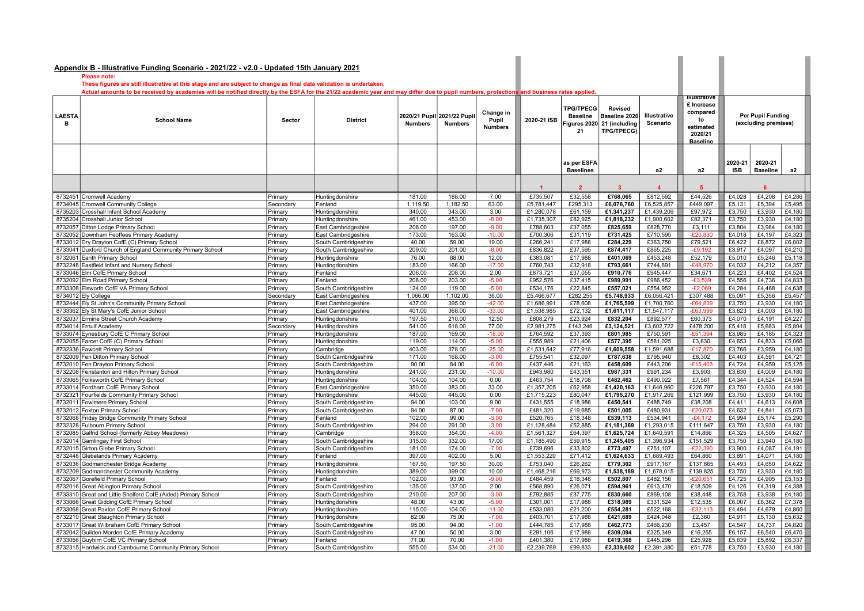|               | Appendix B - Illustrative Funding Scenario - 2021/22 - v2.0 - Updated 15th January 2021                                                                                                  |                      |                                    |                    |                             |                  |                        |                                 |                            |                        |                        |                  |                      |                  |
|---------------|------------------------------------------------------------------------------------------------------------------------------------------------------------------------------------------|----------------------|------------------------------------|--------------------|-----------------------------|------------------|------------------------|---------------------------------|----------------------------|------------------------|------------------------|------------------|----------------------|------------------|
|               | Please note:                                                                                                                                                                             |                      |                                    |                    |                             |                  |                        |                                 |                            |                        |                        |                  |                      |                  |
|               | These figures are still illustrative at this stage and are subject to change as final data validation is undertaken.                                                                     |                      |                                    |                    |                             |                  |                        |                                 |                            |                        |                        |                  |                      |                  |
|               | Actual amounts to be received by academies will be notified directly by the ESFA for the 21/22 academic year and may differ due to pupil numbers, protections and business rates applied |                      |                                    |                    |                             |                  |                        |                                 |                            |                        | Illustrative           |                  |                      |                  |
|               |                                                                                                                                                                                          |                      |                                    |                    |                             |                  |                        | <b>TPG/TPECG</b>                | <b>Revised</b>             |                        | £ Increase             |                  |                      |                  |
| <b>LAESTA</b> |                                                                                                                                                                                          |                      |                                    |                    | 2020/21 Pupil 2021/22 Pupil | Change in        |                        | <b>Baseline</b>                 | Baseline 2020              | Illustrative           | compared               |                  | Per Pupil Funding    |                  |
| в             | <b>School Name</b>                                                                                                                                                                       | Sector               | <b>District</b>                    | <b>Numbers</b>     | <b>Numbers</b>              | Pupil            | 2020-21 ISB            |                                 | Figures 2020 21 (including | Scenario               | to                     |                  | (excluding premises) |                  |
|               |                                                                                                                                                                                          |                      |                                    |                    |                             | <b>Numbers</b>   |                        | 21                              | <b>TPG/TPECG)</b>          |                        | estimated<br>2020/21   |                  |                      |                  |
|               |                                                                                                                                                                                          |                      |                                    |                    |                             |                  |                        |                                 |                            |                        | <b>Baseline</b>        |                  |                      |                  |
|               |                                                                                                                                                                                          |                      |                                    |                    |                             |                  |                        |                                 |                            |                        |                        |                  |                      |                  |
|               |                                                                                                                                                                                          |                      |                                    |                    |                             |                  |                        |                                 |                            |                        |                        |                  |                      |                  |
|               |                                                                                                                                                                                          |                      |                                    |                    |                             |                  |                        | as per ESFA<br><b>Baselines</b> |                            | a2                     |                        | 2020-21          | 2020-21              |                  |
|               |                                                                                                                                                                                          |                      |                                    |                    |                             |                  |                        |                                 |                            |                        | a2                     | <b>ISB</b>       | <b>Baseline</b>      | a2               |
|               |                                                                                                                                                                                          |                      |                                    |                    |                             |                  | $\overline{1}$         | $\overline{2}$                  | $\overline{\mathbf{3}}$    | $\overline{4}$         | 5                      |                  | 6                    |                  |
|               |                                                                                                                                                                                          |                      |                                    |                    |                             |                  |                        |                                 |                            |                        |                        |                  |                      |                  |
|               | 8732451 Cromwell Academy<br>8734045 Cromwell Community College                                                                                                                           | Primary<br>Secondary | Huntingdonshire<br>Fenland         | 181.00<br>1,119.50 | 188.00<br>1,182.50          | 7.00<br>63.00    | £735,507<br>£5,781,447 | £32,558<br>£295,313             | £768,065<br>£6,076,760     | £812,592<br>£6,525,857 | £44,526<br>£449,097    | £4,028<br>£5,131 | £4,208<br>£5,394     | £4,286<br>£5,495 |
|               | 8735203 Crosshall Infant School Academy                                                                                                                                                  | Primary              | Huntingdonshire                    | 340.00             | 343.00                      | 3.00             | £1,280,078             | £61,159                         | £1,341,237                 | £1,439,209             | £97,972                | £3,750           | £3,930               | £4,180           |
|               | 8735204 Crosshall Junior School                                                                                                                                                          | Primary              | Huntingdonshire                    | 461.00             | 453.00                      | $-8.00$          | £1,735,307             | £82,925                         | £1,818,232                 | £1,900,602             | £82,371                | £3,750           | £3,930               | £4,180           |
|               | 8732057 Ditton Lodge Primary School                                                                                                                                                      | Primary              | East Cambridgeshire                | 206.00             | 197.00                      | $-9.00$          | £788,603               | £37,055                         | £825,659                   | £828,770               | £3,111                 | £3,804           | £3,984               | £4,180           |
|               | 8732052 Downham Feoffees Primary Academy                                                                                                                                                 | Primary              | East Cambridgeshire                | 173.00             | 163.00                      | $-10.00$         | £700,306               | £31,119                         | £731,425                   | £710,595               | $-E20,830$             | £4,018           | £4,197               | £4,323           |
|               | 8733012 Dry Drayton CofE (C) Primary School                                                                                                                                              | Primary              | South Cambridgeshire               | 40.00              | 59.00                       | 19.00            | £266,241               | £17,988                         | £284.229                   | £363.750               | £79,521                | £6,422           | £6,872               | £6,002           |
|               | 8733041 Duxford Church of England Community Primary School                                                                                                                               | Primary              | South Cambridgeshire               | 209.00             | 201.00                      | $-8.00$          | £836.822               | £37,595                         | £874.417                   | £865,225               | $-E9.192$              | £3.917           | £4.097               | £4,210           |
|               | 8732061 Earith Primary School                                                                                                                                                            | Primary              | Huntingdonshire                    | 76.00              | 88.00                       | 12.00            | £383,081               | £17,988                         | £401,069                   | £453,248               | £52,179                | £5,010           | £5,246               | £5,118           |
|               | 8732246 Eastfield Infant and Nursery School                                                                                                                                              | Primary              | Huntingdonshire                    | 183.00             | 166.00                      | $-17.00$         | £760.743               | £32.918                         | £793.661                   | £744.691               | $-E48.970$             | £4.032           | £4.212               | £4,357           |
|               | 8733046 Elm CofE Primary School                                                                                                                                                          | Primary              | Fenland                            | 206.00             | 208.00                      | 2.00<br>$-5.00$  | £873,721               | £37,055                         | £910,776                   | £945,447               | £34,671                | £4,223           | £4,402               | £4,524           |
|               | 8732092 Elm Road Primary School<br>8733308 Elsworth CofE VA Primary School                                                                                                               | Primary<br>Primary   | Fenland<br>South Cambridgeshire    | 208.00<br>124.00   | 203.00<br>119.00            | $-5.00$          | £952,576<br>£534,176   | £37,415<br>£22,845              | £989,991<br>£557,021       | £986,452<br>£554,952   | $-£3,539$<br>$-E2,069$ | £4,556<br>£4,284 | £4,736<br>£4,468     | £4,833<br>£4,638 |
|               | 8734012 Ely College                                                                                                                                                                      | Secondary            | East Cambridgeshire                | 1,066.00           | 1,102.00                    | 36.00            | £5,466,677             | £282,255                        | £5,748,933                 | £6,056,421             | £307,488               | £5,091           | £5,356               | £5,457           |
|               | 8732444 Ely St John's Community Primary School                                                                                                                                           | Primary              | East Cambridgeshire                | 437.00             | 395.00                      | $-42.00$         | £1,686,991             | £78,608                         | £1,765,599                 | £1,700,760             | $-E64.839$             | £3,750           | £3.930               | £4,180           |
|               | 8733362 Ely St Mary's CofE Junior School                                                                                                                                                 | Primary              | East Cambridgeshire                | 401.00             | 368.00                      | $-33.00$         | £1,538,985             | £72,132                         | £1,611,117                 | £1,547,117             | $-£63,999$             | £3,823           | £4,003               | £4,180           |
|               | 8732037 Ermine Street Church Academy                                                                                                                                                     | Primary              | Huntingdonshire                    | 197.50             | 210.00                      | 12.50            | £808,279               | £23,924                         | £832,204                   | £892,577               | £60,373                | £4,070           | £4,191               | £4,227           |
|               | 8734014 Ernulf Academy                                                                                                                                                                   | Secondary            | Huntingdonshire                    | 541.00             | 618.00                      | 77.00            | £2,981,275             | £143,246                        | £3,124,521                 | £3,602,722             | £478,200               | £5,418           | £5,683               | £5,804           |
|               | 8733074 Eynesbury CofE C Primary School                                                                                                                                                  | Primary              | Huntingdonshire                    | 187.00             | 169.00                      | $-18.00$         | £764,592               | £37,393                         | £801,985                   | £750,591               | $-£51,394$             | £3,985           | £4,185               | £4,323           |
|               | 8732055 Farcet CofE (C) Primary School                                                                                                                                                   | Primary              | Huntingdonshire                    | 119.00             | 114.00                      | $-5.00$          | £555,989               | £21,406                         | £577,395                   | £581,025               | £3,630                 | £4,653           | £4,833               | £5,066           |
|               | 8732336 Fawcett Primary School                                                                                                                                                           | Primary              | Cambridge                          | 403.00             | 378.00                      | $-25.00$         | £1,531,642             | £77,916                         | £1,609,558                 | £1,591,688             | $-£17,870$             | £3,766           | £3.959               | £4,180           |
|               | 8732009 Fen Ditton Primary School                                                                                                                                                        | Primary              | South Cambridgeshire               | 171.00             | 168.00                      | $-3.00$          | £755,541               | £32,097                         | £787,638                   | £795,940               | £8,302                 | £4,403           | £4,591               | £4,721           |
|               | 8732010 Fen Drayton Primary School                                                                                                                                                       | Primary              | South Cambridgeshire               | 90.00              | 84.00                       | $-6.00$          | £437,446               | £21,163                         | £458,609                   | £443,206               | $-£15,403$             | £4,724           | £4,959               | £5,125           |
|               | 8732208 Fenstanton and Hilton Primary School<br>8733065 Folksworth CofE Primary School                                                                                                   | Primary<br>Primary   | Huntingdonshire<br>Huntingdonshire | 241.00<br>104.00   | 231.00<br>104.00            | $-10.00$<br>0.00 | £943,980<br>£463,754   | £43,351<br>£18,708              | £987,331<br>£482,462       | £991,234<br>£490,022   | £3,903<br>£7,561       | £3,830<br>£4,344 | £4,009<br>£4,524     | £4,180<br>£4,594 |
|               | 8733014 Fordham CofE Primary School                                                                                                                                                      | Primary              | East Cambridgeshire                | 350.00             | 383.00                      | 33.00            | £1,357,205             | £62,958                         | £1,420,163                 | £1,646,960             | £226,797               | £3.750           | £3,930               | £4,180           |
|               | 8732321 Fourfields Community Primary School                                                                                                                                              | Primary              | Huntingdonshire                    | 445.00             | 445.00                      | 0.00             | £1,715,223             | £80,047                         | £1,795,270                 | £1,917,269             | £121,999               | £3,750           | £3,930               | £4,180           |
|               | 8732011 Fowlmere Primary School                                                                                                                                                          | Primary              | South Cambridgeshire               | 94.00              | 103.00                      | 9.00             | £431,555               | £18,986                         | £450.541                   | £488.749               | £38,208                | £4.411           | £4.613               | £4,608           |
|               | 8732012 Foxton Primary School                                                                                                                                                            | Primary              | South Cambridgeshire               | 94.00              | 87.00                       | $-7.00$          | £481,320               | £19,685                         | £501,005                   | £480,931               | $-E20,073$             | £4,632           | £4,841               | £5,073           |
|               | 8732068 Friday Bridge Community Primary School                                                                                                                                           | Primary              | Fenland                            | 102.00             | 99.00                       | $-3.00$          | £520,765               | £18,348                         | £539,113                   | £534,941               | $-£4,172$              | £4.994           | £5.174               | £5,290           |
|               | 8732328 Fulbourn Primary School                                                                                                                                                          | Primary              | South Cambridgeshire               | 294.00             | 291.00                      | $-3.00$          | £1,128,484             | £52,885                         | £1,181,369                 | £1,293,015             | £111,647               | £3,750           | £3.930               | £4,180           |
|               | 8732085 Galfrid School (formerly Abbey Meadows)                                                                                                                                          | Primary              | Cambridge                          | 358.00             | 354.00                      | $-4.00$          | £1,561,327             | £64,397                         | £1,625,724                 | £1,640,591             | £14,866                | £4,325           | £4,505               | £4,627           |
|               | 8732014 Gamlingay First School                                                                                                                                                           | Primary              | South Cambridgeshire               | 315.00             | 332.00                      | 17.00            | £1,185,490             | £59.915                         | £1.245.405                 | £1.396.934             | £151,529               | £3.750           | £3.940               | £4,180           |
|               | 8732015 Girton Glebe Primary School                                                                                                                                                      | Primary              | South Cambridgeshire               | 181.00             | 174.00                      | $-7.00$          | £739,696               | £33,802                         | £773,497                   | £751,107               | $-E22,390$             | £3,900           | £4,087               | £4,191           |
|               | 8732448 Glebelands Primary Academy                                                                                                                                                       | Primary              | Fenland                            | 397.00             | 402.00                      | 5.00             | £1,553,220             | £71,412                         | £1,624,633                 | £1,689,493             | £64,860                | £3,891           | £4,071               | £4,180           |
|               | 8732036 Godmanchester Bridge Academy                                                                                                                                                     | Primary              | Huntingdonshire                    | 167.50<br>389.00   | 197.50<br>399.00            | 30.00            | £753,040               | £26,262                         | £779,302                   | £917,167               | £137,865               | £4,493<br>£3,750 | £4,650<br>£3,930     | £4,622           |
|               | 8732209 Godmanchester Community Academy<br>8732067 Gorefield Primary School                                                                                                              | Primary<br>Primary   | Huntingdonshire<br>Fenland         | 102.00             | 93.00                       | 10.00<br>$-9.00$ | £1,468,216<br>£484,459 | £69,973<br>£18,348              | £1,538,189<br>£502,807     | £1,678,015<br>£482,156 | £139,825<br>$-£20,651$ | £4,725           | £4.905               | £4,180<br>£5,153 |
|               | 8732016 Great Abington Primary School                                                                                                                                                    | Primary              | South Cambridgeshire               | 135.00             | 137.00                      | 2.00             | £568,890               | £26,071                         | £594,961                   | £613,470               | £18,509                | £4,126           | £4,319               | £4,388           |
|               | 8733310 Great and Little Shelford CofE (Aided) Primary School                                                                                                                            | Primary              | South Cambridgeshire               | 210.00             | 207.00                      | $-3.00$          | £792,885               | £37,775                         | £830,660                   | £869,108               | £38,448                | £3,758           | £3,938               | £4,180           |
|               | 8733066 Great Gidding CofE Primary School                                                                                                                                                | Primary              | Huntingdonshire                    | 48.00              | 43.00                       | $-5.00$          | £301,001               | £17,988                         | £318,989                   | £331,524               | £12,535                | £6,007           | £6,382               | £7,378           |
|               | 8733068 Great Paxton CofE Primary School                                                                                                                                                 | Primary              | Huntingdonshire                    | 115.00             | 104.00                      | $-11.00$         | £533,080               | £21,200                         | £554,281                   | £522,168               | $-£32,113$             | £4,494           | £4,679               | £4,860           |
|               | 8732210 Great Staughton Primary School                                                                                                                                                   | Primary              | Huntingdonshire                    | 82.00              | 75.00                       | $-7.00$          | £403,701               | £17,988                         | £421,689                   | £424,048               | £2,360                 | £4,911           | £5,130               | £5,632           |
|               | 8733017 Great Wilbraham CofE Primary School                                                                                                                                              | Primary              | South Cambridgeshire               | 95.00              | 94.00                       | $-1.00$          | £444,785               | £17,988                         | £462,773                   | £466,230               | £3,457                 | £4,547           | £4,737               | £4,820           |
|               | 8732042 Guilden Morden CofE Primary Academy                                                                                                                                              | Primary              | South Cambridgeshire               | 47.00              | 50.00                       | 3.00             | £291,106               | £17,988                         | £309,094                   | £325,349               | £16,255                | £6,157           | £6,540               | £6,470           |
|               | 8733056 Guyhirn CofE VC Primary School                                                                                                                                                   | Primary              | Fenland                            | 71.00              | 70.00                       | $-1.00$          | £401.380               | £17,988                         | £419.368                   | £445,296               | £25,928                | £5,639           | £5,892               | £6,337           |
|               | 8732315 Hardwick and Cambourne Community Primary School                                                                                                                                  | Primary              | South Cambridgeshire               | 555.00             | 534.00                      | $-21.00$         | £2,239,769             | £99,833                         | £2,339,602                 | £2,391,380             | £51,778                | £3,750           | £3,930               | £4,180           |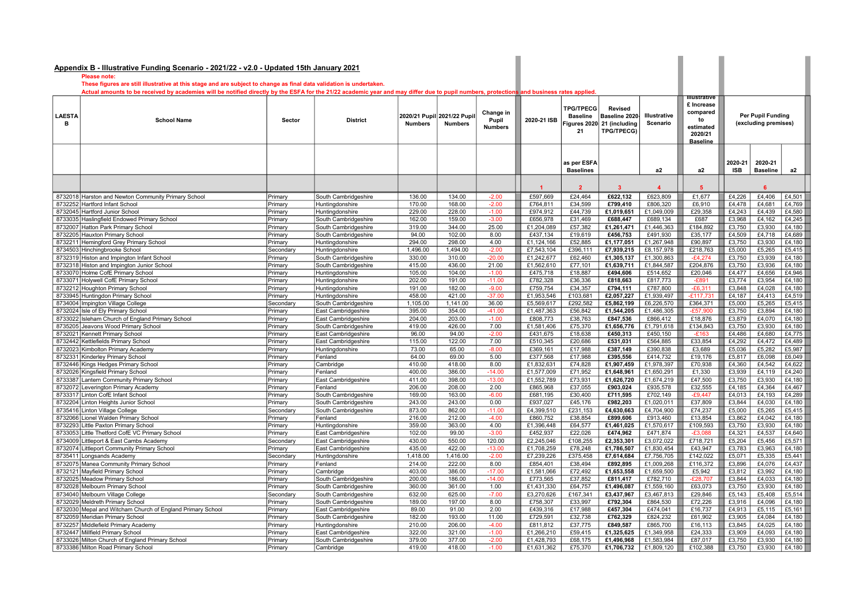|               | Appendix B - Illustrative Funding Scenario - 2021/22 - v2.0 - Updated 15th January 2021                                                                                                  |                      |                                              |                  |                             |                     |                        |                                     |                                                |                        |                                         |                  |                      |                  |
|---------------|------------------------------------------------------------------------------------------------------------------------------------------------------------------------------------------|----------------------|----------------------------------------------|------------------|-----------------------------|---------------------|------------------------|-------------------------------------|------------------------------------------------|------------------------|-----------------------------------------|------------------|----------------------|------------------|
|               | Please note:                                                                                                                                                                             |                      |                                              |                  |                             |                     |                        |                                     |                                                |                        |                                         |                  |                      |                  |
|               | These figures are still illustrative at this stage and are subject to change as final data validation is undertaken.                                                                     |                      |                                              |                  |                             |                     |                        |                                     |                                                |                        |                                         |                  |                      |                  |
|               | Actual amounts to be received by academies will be notified directly by the ESFA for the 21/22 academic year and may differ due to pupil numbers, protections and business rates applied |                      |                                              |                  |                             |                     |                        |                                     |                                                |                        | <b>Illustrative</b>                     |                  |                      |                  |
| <b>LAESTA</b> | <b>School Name</b>                                                                                                                                                                       | Sector               | <b>District</b>                              |                  | 2020/21 Pupil 2021/22 Pupil | Change in<br>Pupil  | 2020-21 ISB            | <b>TPG/TPECG</b><br><b>Baseline</b> | <b>Revised</b><br>Baseline 2020-               | Illustrative           | £ Increase<br>compared<br>to            |                  | Per Pupil Funding    |                  |
| в             |                                                                                                                                                                                          |                      |                                              | <b>Numbers</b>   | <b>Numbers</b>              | <b>Numbers</b>      |                        | 21                                  | igures 2020 21 (including<br><b>TPG/TPECG)</b> | Scenario               | estimated<br>2020/21<br><b>Baseline</b> |                  | (excluding premises) |                  |
|               |                                                                                                                                                                                          |                      |                                              |                  |                             |                     |                        |                                     |                                                |                        |                                         |                  |                      |                  |
|               |                                                                                                                                                                                          |                      |                                              |                  |                             |                     |                        | as per ESFA                         |                                                |                        |                                         | 2020-21          | 2020-21              |                  |
|               |                                                                                                                                                                                          |                      |                                              |                  |                             |                     |                        | <b>Baselines</b>                    |                                                | a2                     | a2                                      | <b>ISB</b>       | <b>Baseline</b>      | a2               |
|               |                                                                                                                                                                                          |                      |                                              |                  |                             |                     |                        |                                     |                                                |                        |                                         |                  |                      |                  |
|               |                                                                                                                                                                                          |                      |                                              |                  |                             |                     |                        | $\overline{2}$                      | 3                                              | $\Delta$               | 5                                       |                  | 6                    |                  |
|               | 8732018 Harston and Newton Community Primary School                                                                                                                                      | Primary              | South Cambridgeshire                         | 136.00           | 134.00                      | $-2.00$             | £597,669               | £24.464                             | £622,132                                       | £623,809               | £1,677                                  | £4,226           | £4,406               | £4,501           |
|               | 8732252 Hartford Infant School                                                                                                                                                           | Primary              | Huntingdonshire                              | 170.00           | 168.00                      | $-2.00$             | £764,811               | £34,599                             | £799,410                                       | £806,320               | £6,910                                  | £4,478           | £4,681               | £4,769           |
|               | 8732045 Hartford Junior School                                                                                                                                                           | Primary              | Huntingdonshire                              | 229.00           | 228.00                      | $-1.00$             | £974,912               | £44.739                             | £1,019,651                                     | £1,049,009             | £29,358                                 | £4,243           | £4.439               | £4,580           |
|               | 8733035 Haslingfield Endowed Primary School                                                                                                                                              | Primary              | South Cambridgeshire                         | 162.00<br>319.00 | 159.00<br>344.00            | $-3.00$<br>25.00    | £656,978               | £31,469                             | £688,447                                       | £689,134               | £687                                    | £3,968<br>£3,750 | £4,162<br>£3,930     | £4,245           |
|               | 8732007 Hatton Park Primary School<br>8732205 Hauxton Primary School                                                                                                                     | Primary<br>Primary   | South Cambridgeshire<br>South Cambridgeshire | 94.00            | 102.00                      | 8.00                | £1,204,089<br>£437,134 | £57,382<br>£19,619                  | £1,261,471<br>£456,753                         | £1,446,363<br>£491,930 | £184,892<br>£35,177                     | £4,509           | £4,718               | £4,180<br>£4,689 |
|               | 8732211 Hemingford Grey Primary School                                                                                                                                                   | Primary              | Huntingdonshire                              | 294.00           | 298.00                      | 4.00                | £1,124,166             | £52,885                             | £1,177,051                                     | £1,267,948             | £90,897                                 | £3,750           | £3.930               | £4,180           |
|               | 8734503 Hinchingbrooke School                                                                                                                                                            | Secondary            | Huntingdonshire                              | 1,496.00         | 1,494.00                    | $-2.00$             | £7,543,104             | £396,111                            | £7,939,215                                     | £8,157,978             | £218,763                                | £5,000           | £5,265               | £5,415           |
|               | 8732319 Histon and Impington Infant School                                                                                                                                               | Primary              | South Cambridgeshire                         | 330.00           | 310.00                      | $-20.00$            | £1,242,677             | £62,460                             | £1,305,137                                     | £1,300,863             | $-E4,274$                               | £3,750           | £3,939               | £4,180           |
|               | 8732318 Histon and Impington Junior School                                                                                                                                               | Primary              | South Cambridgeshire                         | 415.00           | 436.00                      | 21.00               | £1,562,610             | £77.101                             | £1,639,711                                     | £1,844,587             | £204,876                                | £3,750           | £3.936               | £4.180           |
|               | 8733070 Holme CofE Primary School                                                                                                                                                        | Primary              | Huntingdonshire                              | 105.00           | 104.00                      | $-1.00$             | £475,718               | £18,887                             | £494,606                                       | £514,652               | £20,046                                 | £4,477           | £4,656               | £4,946           |
|               | 8733071 Holywell CofE Primary School                                                                                                                                                     | Primary              | Huntingdonshire                              | 202.00           | 191.00                      | $-11.00$            | £782,328               | £36,336                             | £818,663                                       | £817,773               | $-E891$                                 | £3,774           | £3,954               | £4,180           |
|               | 8732212 Houghton Primary School                                                                                                                                                          | Primary              | Huntingdonshire                              | 191.00           | 182.00                      | $-9.00$             | £759,754               | £34,357                             | £794,111                                       | £787,800               | $-£6,311$                               | £3,848           | £4,028               | £4,180           |
|               | 8733945 Huntingdon Primary School                                                                                                                                                        | Primary              | Huntingdonshire                              | 458.00           | 421.00                      | $-37.00$            | £1,953,546             | £103,681                            | £2,057,227                                     | £1,939,497             | $-£117,731$                             | £4,187           | £4,413               | £4,519           |
|               | 8734004 Impington Village College                                                                                                                                                        | Secondary            | South Cambridgeshire                         | 1,105.00         | 1,141.00                    | 36.00               | £5,569,617             | £292,582                            | £5,862,199                                     | £6,226,570             | £364,371                                | £5,000           | £5,265               | £5,415           |
|               | 8732024 Isle of Ely Primary School<br>8733022 Isleham Church of England Primary School                                                                                                   | Primary<br>Primary   | East Cambridgeshire<br>East Cambridgeshire   | 395.00<br>204.00 | 354.00<br>203.00            | $-41.00$<br>$-1.00$ | £1,487,363<br>£808,773 | £56,842<br>£38,763                  | £1,544,205<br>£847,536                         | £1,486,305<br>£866,412 | $-£57,900$<br>£18,876                   | £3,750<br>£3,879 | £3,894<br>£4,070     | £4,180<br>£4,180 |
|               | 8735205 Jeavons Wood Primary School                                                                                                                                                      | Primary              | South Cambridgeshire                         | 419.00           | 426.00                      | 7.00                | £1,581,406             | £75,370                             | £1,656,776                                     | £1,791,618             | £134,843                                | £3,750           | £3,930               | £4,180           |
|               | 8732021 Kennett Primary School                                                                                                                                                           | Primary              | East Cambridgeshire                          | 96.00            | 94.00                       | $-2.00$             | £431,675               | £18,638                             | £450,313                                       | £450,150               | $-E163$                                 | £4,486           | £4,680               | £4,775           |
|               | 8732442 Kettlefields Primary School                                                                                                                                                      | Primary              | East Cambridgeshire                          | 115.00           | 122.00                      | 7.00                | £510,345               | £20,686                             | £531,031                                       | £564,885               | £33,854                                 | £4,292           | £4,472               | £4,489           |
|               | 8732023 Kimbolton Primary Academy                                                                                                                                                        | Primary              | Huntingdonshire                              | 73.00            | 65.00                       | $-8.00$             | £369,161               | £17,988                             | £387,149                                       | £390,838               | £3,689                                  | £5,036           | £5,282               | £5,987           |
|               | 8732331 Kinderley Primary School                                                                                                                                                         | Primary              | Fenland                                      | 64.00            | 69.00                       | 5.00                | £377,568               | £17,988                             | £395,556                                       | £414,732               | £19,176                                 | £5,817           | £6,098               | £6,049           |
|               | 8732446 Kings Hedges Primary School                                                                                                                                                      | Primary              | Cambridge                                    | 410.00           | 418.00                      | 8.00                | £1,832,631             | £74,828                             | £1,907,459                                     | £1,978,397             | £70,938                                 | £4,360           | £4.542               | £4,622           |
|               | 8732026 Kingsfield Primary School                                                                                                                                                        | Primary              | Fenland                                      | 400.00           | 386.00                      | $-14.00$            | £1,577,009             | £71,952                             | £1,648,961                                     | £1,650,291             | £1,330                                  | £3,939           | £4,119               | £4,240           |
|               | 8733387 Lantern Community Primary School                                                                                                                                                 | Primary              | East Cambridgeshire                          | 411.00           | 398.00                      | $-13.00$            | £1,552,789             | £73,931                             | £1,626,720                                     | £1,674,219             | £47,500                                 | £3,750           | £3.930               | £4,180           |
|               | 8732072 Leverington Primary Academy                                                                                                                                                      | Primary              | Fenland                                      | 206.00           | 208.00                      | 2.00                | £865,968               | £37,055                             | £903,024                                       | £935,578               | £32,555                                 | £4.185           | £4,364               | £4,467           |
|               | 8733317 Linton CofE Infant School<br>8732204 Linton Heights Junior School                                                                                                                | Primary<br>Primary   | South Cambridgeshire<br>South Cambridgeshire | 169.00<br>243.00 | 163.00<br>243.00            | $-6.00$<br>0.00     | £681,195<br>£937.027   | £30,400<br>£45.176                  | £711,595<br>£982,203                           | £702,149<br>£1.020.011 | $-£9,447$<br>£37,809                    | £4,013<br>£3.844 | £4,193<br>£4.030     | £4,289<br>£4,180 |
|               | 8735416 Linton Village College                                                                                                                                                           | Secondary            | South Cambridgeshire                         | 873.00           | 862.00                      | $-11.00$            | £4,399,510             | £231,153                            | £4,630,663                                     | £4,704,900             | £74,237                                 | £5,000           | £5,265               | £5,415           |
|               | 8732066 Lionel Walden Primary School                                                                                                                                                     | Primary              | Fenland                                      | 216.00           | 212.00                      | $-4.00$             | £860,752               | £38,854                             | £899,606                                       | £913,460               | £13,854                                 | £3,862           | £4.042               | £4,180           |
|               | 8732293 Little Paxton Primary School                                                                                                                                                     | Primary              | Huntingdonshire                              | 359.00           | 363.00                      | 4.00                | £1,396,448             | £64,577                             | £1,461,025                                     | £1,570,617             | £109,593                                | £3,750           | £3,930               | £4,180           |
|               | 8733053 Little Thetford CofE VC Primary School                                                                                                                                           | Primary              | East Cambridgeshire                          | 102.00           | 99.00                       | $-3.00$             | £452,937               | £22,026                             | £474,962                                       | £471,874               | $-£3,088$                               | £4,321           | £4,537               | £4,640           |
|               | 8734009 Littleport & East Cambs Academy                                                                                                                                                  | Secondary            | East Cambridgeshire                          | 430.00           | 550.00                      | 120.00              | £2,245,046             | £108,255                            | £2,353,301                                     | £3,072,022             | £718,721                                | £5.204           | £5,456               | £5,571           |
|               | 8732074 Littleport Community Primary School                                                                                                                                              | Primary              | East Cambridgeshire                          | 435.00           | 422.00                      | $-13.00$            | £1,708,259             | £78,248                             | £1,786,507                                     | £1,830,454             | £43,947                                 | £3,783           | £3,963               | £4,180           |
|               | 8735411 Longsands Academy                                                                                                                                                                | Secondary            | Huntingdonshire                              | 1,418.00         | 1,416.00                    | $-2.00$             | £7,239,226             | £375,458                            | £7,614,684                                     | £7,756,705             | £142,022                                | £5,071           | £5,335               | £5,441           |
|               | 8732075 Manea Community Primary School                                                                                                                                                   | Primary              | Fenland                                      | 214.00           | 222.00                      | 8.00                | £854,401               | £38,494                             | £892,895                                       | £1,009,268             | £116,372                                | £3,896           | £4,076               | £4,437           |
|               | 8732121 Mayfield Primary School                                                                                                                                                          | Primary              | Cambridge                                    | 403.00           | 386.00                      | $-17.00$            | £1,581,066             | £72,492                             | £1,653,558                                     | £1,659,500             | £5,942                                  | £3,812           | £3,992               | £4,180           |
|               | 8732025 Meadow Primary School                                                                                                                                                            | Primary              | South Cambridgeshire                         | 200.00           | 186.00                      | $-14.00$            | £773,565               | £37,852                             | £811,417                                       | £782,710               | $-E28,707$                              | £3.844           | £4.033               | £4,180           |
|               | 8732028 Melbourn Primary School                                                                                                                                                          | Primary              | South Cambridgeshire                         | 360.00           | 361.00                      | 1.00                | £1,431,330             | £64,757                             | £1,496,087                                     | £1,559,160             | £63,073                                 | £3,750           | £3,930               | £4,180           |
|               | 8734040 Melbourn Village College<br>8732029 Meldreth Primary School                                                                                                                      | Secondary<br>Primary | South Cambridgeshire<br>South Cambridgeshire | 632.00<br>189.00 | 625.00<br>197.00            | $-7.00$<br>8.00     | £3,270,626<br>£758,307 | £167,341<br>£33,997                 | £3,437,967<br>£792,304                         | £3,467,813<br>£864,530 | £29,846<br>£72,226                      | £5,143<br>£3,916 | £5,408<br>£4,096     | £5,514<br>£4,180 |
|               | 8732030 Mepal and Witcham Church of England Primary School                                                                                                                               | Primary              | East Cambridgeshire                          | 89.00            | 91.00                       | 2.00                | £439,316               | £17,988                             | £457,304                                       | £474,041               | £16,737                                 | £4,913           | £5,115               | £5,161           |
|               | 8732059 Meridian Primary School                                                                                                                                                          | Primary              | South Cambridgeshire                         | 182.00           | 193.00                      | 11.00               | £729,591               | £32,738                             | £762,329                                       | £824,232               | £61,902                                 | £3,905           | £4,084               | £4,180           |
|               | 8732257 Middlefield Primary Academy                                                                                                                                                      | Primary              | Huntingdonshire                              | 210.00           | 206.00                      | $-4.00$             | £811,812               | £37,775                             | £849,587                                       | £865,700               | £16,113                                 | £3.845           | £4,025               | £4,180           |
|               | 8732447 Millfield Primary School                                                                                                                                                         | Primary              | East Cambridgeshire                          | 322.00           | 321.00                      | $-1.00$             | £1,266,210             | £59,415                             | £1,325,625                                     | £1,349,958             | £24,333                                 | £3,909           | £4,093               | £4,180           |
|               | 8733026 Milton Church of England Primary School                                                                                                                                          | Primary              | South Cambridgeshire                         | 379.00           | 377.00                      | $-2.00$             | £1,428,793             | £68,175                             | £1,496,968                                     | £1,583,984             | £87,017                                 | £3,750           | £3,930               | £4,180           |
|               | 8733386 Milton Road Primary School                                                                                                                                                       | Primary              | Cambridge                                    | 419.00           | 418.00                      | $-1.00$             | £1,631,362             | £75,370                             | £1,706,732                                     | £1,809,120             | £102,388                                | £3,750           | £3,930               | £4,180           |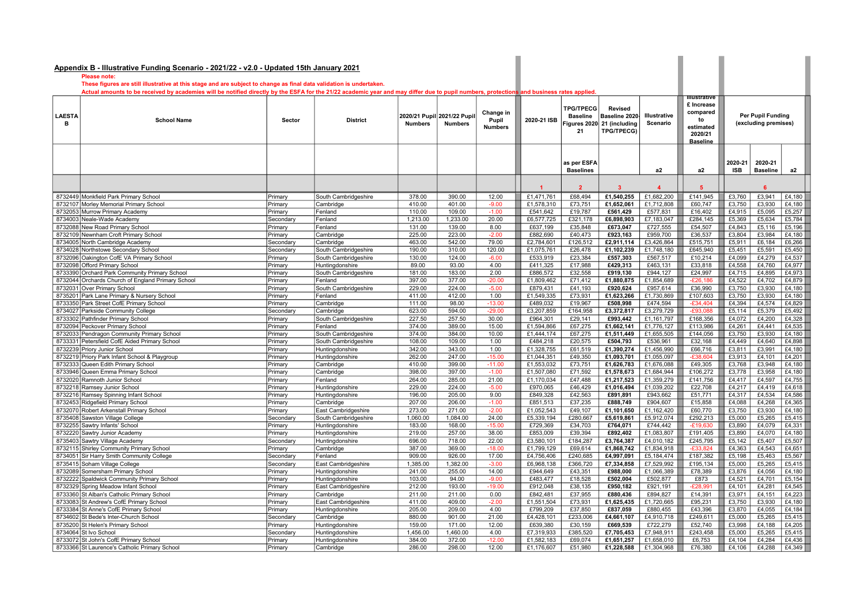| Please note:<br>These figures are still illustrative at this stage and are subject to change as final data validation is undertaken.<br>Actual amounts to be received by academies will be notified directly by the ESFA for the 21/22 academic year and may differ due to pupil numbers, protections and business rates applied.<br><b>Illustrative</b><br>£ Increase<br><b>TPG/TPECG</b><br><b>Revised</b><br>compared<br>Change in<br>2020/21 Pupil 2021/22 Pupil<br>Illustrative<br>Per Pupil Funding<br>LAESTA<br><b>Baseline</b><br>Baseline 2020-<br>to<br><b>School Name</b><br>Sector<br><b>District</b><br>Pupil<br>2020-21 ISB<br><b>Numbers</b><br>Figures 2020<br>21 (including<br>Scenario<br>(excluding premises)<br>в<br><b>Numbers</b><br>estimated<br><b>Numbers</b><br>21<br><b>TPG/TPECG)</b><br>2020/21<br><b>Baseline</b><br>as per ESFA<br>2020-21<br>2020-21<br>a2<br><b>ISB</b><br><b>Baselines</b><br>a2<br><b>Baseline</b><br>a2<br>$\overline{2}$<br>3<br>6<br>$\blacktriangleleft$<br>$\overline{4}$<br>5<br>£1,471,761<br>£68.494<br>£1,540,255<br>£1,682,200<br>£141,945<br>£3,760<br>£3,941<br>£4,180<br>8732449 Monkfield Park Primary School<br>378.00<br>390.00<br>12.00<br>South Cambridgeshire<br>Primary<br>£1,652,061<br>£60,747<br>8732107 Morley Memorial Primary School<br>410.00<br>401.00<br>$-9.00$<br>£1,578,310<br>£73,751<br>£1,712,808<br>£3,750<br>£3,930<br>£4,180<br>Primary<br>Cambridge<br>110.00<br>109.00<br>$-1.00$<br>Fenland<br>£541,642<br>£19,787<br>£561,429<br>£577,831<br>£16,402<br>£4,915<br>£5,095<br>£5,257<br>8732053<br>Murrow Primary Academy<br>Primary<br>1,213.00<br>1,233.00<br>20.00<br>£321.178<br>£5,784<br>8734003<br>Neale-Wade Academy<br>Fenland<br>£6,577,725<br>£6,898,903<br>£7.183.047<br>£284.145<br>£5,369<br>£5.634<br>Secondary<br>131.00<br>139.00<br>8.00<br>£637,199<br>£35,848<br>£673,047<br>£727,555<br>£54,507<br>£5,116<br>£5,196<br>8732088 New Road Primary School<br>Primary<br>Fenland<br>£4,843<br>225.00<br>223.00<br>$-2.00$<br>£882,690<br>£40,473<br>£923,163<br>£959,700<br>£36,537<br>£3,804<br>£3,984<br>£4,180<br>8732109 Newnham Croft Primary School<br>Primary<br>Cambridge<br>463.00<br>542.00<br>79.00<br>£2,784,601<br>£126,512<br>£2,911,114<br>£3,426,864<br>£515,751<br>£5,911<br>£6,184<br>£6,266<br>8734005 North Cambridge Academy<br>Secondary<br>Cambridge<br>310.00<br>120.00<br>£26,478<br>£1,748,180<br>£645,940<br>£5,451<br>£5,591<br>8734028<br>190.00<br>£1,075,761<br>£1,102,239<br>£5,450<br>Northstowe Secondary School<br>Secondary<br>South Cambridgeshire<br>8732096 Oakington CofE VA Primary School<br>Primary<br>South Cambridgeshire<br>130.00<br>124.00<br>$-6.00$<br>£533,919<br>£23,384<br>£557,303<br>£567,517<br>£10,214<br>£4,099<br>£4,279<br>£4,537<br>89.00<br>93.00<br>4.00<br>£411,325<br>£17,988<br>£463,131<br>£33,818<br>£4,558<br>£4,760<br>£4,977<br>8732098 Offord Primary School<br>Primary<br>Huntingdonshire<br>£429,313<br>183.00<br>2.00<br>£886,572<br>£32,558<br>£919,130<br>£944,127<br>£4,895<br>£4,973<br>8733390 Orchard Park Community Primary School<br>181.00<br>£24,997<br>£4,715<br>Primary<br>South Cambridgeshire<br>8732044 Orchards Church of England Primary School<br>397.00<br>377.00<br>$-20.00$<br>£1,809,462<br>£71,412<br>£1,880,875<br>£1,854,689<br>£4,522<br>£4,702<br>£4,879<br>Primary<br>Fenland<br>$-E26,186$<br>229.00<br>224.00<br>$-5.00$<br>£879,431<br>£41,193<br>£920,624<br>£957,614<br>£36,990<br>£3,750<br>£3,930<br>£4,180<br>8732031 Over Primary School<br>Primary<br>South Cambridgeshire<br>411.00<br>412.00<br>1.00<br>£1,549,335<br>£73,931<br>£1,623,266<br>£1,730,869<br>£107,603<br>£3,750<br>£3,930<br>£4,180<br>8735201 Park Lane Primary & Nursery School<br>Fenland<br>Primary<br>98.00<br>8733350 Park Street CofE Primary School<br>Cambridge<br>111.00<br>$-13.00$<br>£489,032<br>£19,967<br>£508,998<br>£474,594<br>$-£34,404$<br>£4,394<br>£4,574<br>£4,829<br>Primary<br>623.00<br>594.00<br>$-29.00$<br>£3,372,817<br>$-E93,088$<br>£5,379<br>£5,492<br>8734027 Parkside Community College<br>£3,207,859<br>£164,958<br>£3,279,729<br>£5,114<br>Secondary<br>Cambridge<br>8733302 Pathfinder Primary School<br>227.50<br>257.50<br>30.00<br>£4,328<br>Primary<br>South Cambridgeshire<br>£964,301<br>£29.141<br>£993.442<br>£1.161.797<br>£168,356<br>£4.072<br>£4.200<br>374.00<br>389.00<br>£1,594,866<br>£67,275<br>£1,662,141<br>£1,776,127<br>£4,261<br>£4,441<br>£4,535<br>8732094 Peckover Primary School<br>Primary<br>Fenland<br>15.00<br>£113,986<br>374.00<br>10.00<br>£1,444,174<br>£67,275<br>£1,511,449<br>£1,655,505<br>£3,750<br>£4,180<br>8732033<br>Pendragon Community Primary School<br>Primary<br>384.00<br>£144,056<br>£3,930<br>South Cambridgeshire<br>108.00<br>109.00<br>1.00<br>£484,218<br>£20,575<br>£504,793<br>£536,961<br>£32,168<br>£4,449<br>£4,640<br>£4,898<br>8733331 Petersfield CofE Aided Primary School<br>Primary<br>South Cambridgeshire<br>342.00<br>1.00<br>£3,811<br>343.00<br>£1,328,755<br>£61,519<br>£1,390,274<br>£1,456,990<br>£66,716<br>£3,991<br>£4,180<br>8732239 Priory Junior School<br>Primary<br>Huntingdonshire<br>8732219 Priory Park Infant School & Playgroup<br>Primary<br>Huntingdonshire<br>262.00<br>247.00<br>$-15.00$<br>£1,044,351<br>£49,350<br>£1,093,701<br>£1,055,097<br>$-£38.604$<br>£3,913<br>£4,101<br>£4,201<br>399.00<br>$-11.00$<br>£1,553,032<br>£73,751<br>£1,626,783<br>£49,305<br>£3,948<br>8732333<br>Queen Edith Primary School<br>Primary<br>Cambridge<br>410.00<br>£1,676,088<br>£3,768<br>£4,180<br>398.00<br>397.00<br>$-1.00$<br>£71,592<br>£3,778<br>£3,958<br>£4,180<br>8733946 Queen Emma Primary School<br>£1,507,080<br>£1,578,673<br>£1,684,944<br>£106,272<br>Primary<br>Cambridge<br>264.00<br>285.00<br>21.00<br>£1,170,034<br>£47,488<br>£1,217,523<br>£1,359,279<br>£141,756<br>£4,417<br>£4,597<br>£4,755<br>8732020<br>Ramnoth Junior School<br>Primary<br>Fenland<br>229.00<br>224.00<br>$-5.00$<br>£970,065<br>£46,429<br>£1,016,494<br>£1,039,202<br>£22,708<br>£4,217<br>£4,419<br>£4,618<br>8732218<br>Ramsey Junior School<br>Primary<br>Huntingdonshire<br>196.00<br>205.00<br>9.00<br>£849,328<br>£42,563<br>£891.891<br>£943,662<br>£51,771<br>£4,317<br>£4,534<br>£4,586<br>8732216 Ramsey Spinning Infant School<br>Primary<br>Huntingdonshire<br>£851,513<br>£15,858<br>8732453 Ridgefield Primary School<br>Cambridge<br>207.00<br>206.00<br>$-1.00$<br>£37,235<br>£888,749<br>£904,607<br>£4,088<br>£4,268<br>£4,365<br>Primary<br>273.00<br>271.00<br>$-2.00$<br>£1,052,543<br>£3,750<br>£3,930<br>£4,180<br>8732070<br>Robert Arkenstall Primary School<br>Primary<br>East Cambridgeshire<br>£49,107<br>£1,101,650<br>£1,162,420<br>£60,770<br>1,060.00<br>1.084.00<br>24.00<br>£5,339,194<br>£280.667<br>£5,000<br>£5,415<br>8735408 Sawston Village College<br>South Cambridgeshire<br>£5.619.861<br>£5.912.074<br>£292,213<br>£5.265<br>Secondary<br>183.00<br>168.00<br>$-15.00$<br>£729,369<br>£34,703<br>£764,071<br>£744,442<br>£3,890<br>£4,079<br>£4,331<br>8732255 Sawtry Infants' School<br>Primary<br>Huntingdonshire<br>$-£19,630$<br>219.00<br>38.00<br>£853,009<br>£39,394<br>£1,083,807<br>£3,890<br>£4,070<br>£4,180<br>8732220 Sawtry Junior Academy<br>Primary<br>Huntingdonshire<br>257.00<br>£892,402<br>£191,405<br>696.00<br>718.00<br>22.00<br>£3,580,101<br>£184,287<br>£3,764,387<br>£4,010,182<br>£245,795<br>£5,142<br>£5,407<br>£5,507<br>8735403 Sawtry Village Academy<br>Secondary<br>Huntingdonshire<br>369.00<br>387.00<br>£1,799,129<br>£69,614<br>£1,868,742<br>£1,834,918<br>$-£33.824$<br>£4,363<br>£4,543<br>£4,651<br>8732115 Shirley Community Primary School<br>Primary<br>Cambridge<br>$-18.00$<br>8734051<br>Sir Harry Smith Community College<br>Fenland<br>909.00<br>926.00<br>17.00<br>£4,756,406<br>£240,685<br>£4,997,091<br>£5,184,474<br>£187,382<br>£5,198<br>£5,463<br>£5,567<br>Secondary<br>1,385.00<br>1,382.00<br>£7,529,992<br>£5,265<br>£5,415<br>8735415 Soham Village College<br>Secondary<br>East Cambridgeshire<br>$-3.00$<br>£6,968,138<br>£366,720<br>£7,334,858<br>£195,134<br>£5,000<br>241.00<br>255.00<br>14.00<br>£4,180<br>8732089 Somersham Primary School<br>£944,649<br>£43,351<br>£988,000<br>£1,066,389<br>£78,389<br>£3,876<br>£4,056<br>Primary<br>Huntingdonshire<br>$-9.00$<br>£483,477<br>£502,004<br>£502,877<br>£4,521<br>£4,701<br>£5,154<br>8732222 Spaldwick Community Primary School<br>Primary<br>Huntingdonshire<br>103.00<br>94.00<br>£18,528<br>£873<br>212.00<br>193.00<br>$-19.00$<br>£912,048<br>£38,135<br>£950,182<br>£921,191<br>$-E28,991$<br>£4,101<br>£4,281<br>£4,545<br>8732329<br>Spring Meadow Infant School<br>Primary<br>East Cambridgeshire<br>8733360 St Alban's Catholic Primary School<br>211.00<br>211.00<br>0.00<br>£842,481<br>£37,955<br>£880,436<br>£894,827<br>£14,391<br>£3,971<br>£4,151<br>£4,223<br>Primary<br>Cambridge<br>409.00<br>8733083 St Andrew's CofE Primary School<br>East Cambridgeshire<br>411.00<br>$-2.00$<br>£1,551,504<br>£73,931<br>£1,625,435<br>£1,720,665<br>£95,231<br>£3,750<br>£3,930<br>£4,180<br>Primary<br>205.00<br>4.00<br>St Anne's CofE Primary School<br>209.00<br>£799,209<br>£37,850<br>£837,059<br>£880,455<br>£43,396<br>£3,870<br>£4,055<br>£4,184<br>8733384<br>Primary<br>Huntingdonshire<br>880.00<br>901.00<br>21.00<br>£233,006<br>£5,415<br>8734602 St Bede's Inter-Church School<br>Cambridge<br>£4,428,101<br>£4,661,107<br>£4.910.718<br>£249,611<br>£5,000<br>£5.265<br>Secondary<br>159.00<br>171.00<br>12.00<br>£639,380<br>£30,159<br>£669,539<br>£722,279<br>£52,740<br>£3,998<br>£4,188<br>£4,205<br>8735200 St Helen's Primary School<br>Primary<br>Huntingdonshire<br>1,456.00<br>1,460.00<br>4.00<br>8734064 St Ivo School<br>£7,319,933<br>£385,520<br>£7,705,453<br>£7,948,911<br>£243,458<br>£5,000<br>£5,265<br>£5,415<br>Huntingdonshire<br>Secondary<br>8733072 St John's CofE Primary School<br>384.00<br>372.00<br>$-12.00$<br>£1,582,183<br>£69,074<br>£1,658,010<br>£6,753<br>£4,436<br>Primary<br>Huntingdonshire<br>£1,651,257<br>£4,104<br>£4,284<br>298.00<br>£4,349<br>8733366 St Laurence's Catholic Primary School<br>286.00<br>12.00<br>£1,176,607<br>£51,980<br>£1,228,588<br>£1,304,968<br>£76,380<br>£4,106<br>£4,288<br>Primary<br>Cambridge | Appendix B - Illustrative Funding Scenario - 2021/22 - v2.0 - Updated 15th January 2021 |  |  |  |  |  |  |  |  |  |  |
|-----------------------------------------------------------------------------------------------------------------------------------------------------------------------------------------------------------------------------------------------------------------------------------------------------------------------------------------------------------------------------------------------------------------------------------------------------------------------------------------------------------------------------------------------------------------------------------------------------------------------------------------------------------------------------------------------------------------------------------------------------------------------------------------------------------------------------------------------------------------------------------------------------------------------------------------------------------------------------------------------------------------------------------------------------------------------------------------------------------------------------------------------------------------------------------------------------------------------------------------------------------------------------------------------------------------------------------------------------------------------------------------------------------------------------------------------------------------------------------------------------------------------------------------------------------------------------------------------------------------------------------------------------------------------------------------------------------------------------------------------------------------------------------------------------------------------------------------------------------------------------------------------------------------------------------------------------------------------------------------------------------------------------------------------------------------------------------------------------------------------------------------------------------------------------------------------------------------------------------------------------------------------------------------------------------------------------------------------------------------------------------------------------------------------------------------------------------------------------------------------------------------------------------------------------------------------------------------------------------------------------------------------------------------------------------------------------------------------------------------------------------------------------------------------------------------------------------------------------------------------------------------------------------------------------------------------------------------------------------------------------------------------------------------------------------------------------------------------------------------------------------------------------------------------------------------------------------------------------------------------------------------------------------------------------------------------------------------------------------------------------------------------------------------------------------------------------------------------------------------------------------------------------------------------------------------------------------------------------------------------------------------------------------------------------------------------------------------------------------------------------------------------------------------------------------------------------------------------------------------------------------------------------------------------------------------------------------------------------------------------------------------------------------------------------------------------------------------------------------------------------------------------------------------------------------------------------------------------------------------------------------------------------------------------------------------------------------------------------------------------------------------------------------------------------------------------------------------------------------------------------------------------------------------------------------------------------------------------------------------------------------------------------------------------------------------------------------------------------------------------------------------------------------------------------------------------------------------------------------------------------------------------------------------------------------------------------------------------------------------------------------------------------------------------------------------------------------------------------------------------------------------------------------------------------------------------------------------------------------------------------------------------------------------------------------------------------------------------------------------------------------------------------------------------------------------------------------------------------------------------------------------------------------------------------------------------------------------------------------------------------------------------------------------------------------------------------------------------------------------------------------------------------------------------------------------------------------------------------------------------------------------------------------------------------------------------------------------------------------------------------------------------------------------------------------------------------------------------------------------------------------------------------------------------------------------------------------------------------------------------------------------------------------------------------------------------------------------------------------------------------------------------------------------------------------------------------------------------------------------------------------------------------------------------------------------------------------------------------------------------------------------------------------------------------------------------------------------------------------------------------------------------------------------------------------------------------------------------------------------------------------------------------------------------------------------------------------------------------------------------------------------------------------------------------------------------------------------------------------------------------------------------------------------------------------------------------------------------------------------------------------------------------------------------------------------------------------------------------------------------------------------------------------------------------------------------------------------------------------------------------------------------------------------------------------------------------------------------------------------------------------------------------------------------------------------------------------------------------------------------------------------------------------------------------------------------------------------------------------------------------------------------------------------------------------------------------------------------------------------------------------------------------------------------------------------------------------------------------------------------------------------------------------------------------------------------------------------------------------------------------------------------------------------------------------------------------------------------------------------------------------------------------------------------------------------------------------------------------------------------------------------------------------------------------------------------------------------------------------------------------------------------------------------------------------------------------------------------------------------------------------------------------------------------------------------------------------------------------------------------------------------------------------------------------------------------------------------------------------------------------------------------------------------------------------------------------------------------------------------------------------------------------------------------------------------------------------------------------------------------------------------------------------------------------------------------------------------------------------------------------------------------------------------------------------------------------------------------------------------------------------------------------------------------------------------------------------------------------------------------------------------------------------------------------------------------------------------------------------------------------------------------------------------------------------------------------------------------------------------------------------------------------------------------------------------------------------------------------------------------------------------------------------------------------------------------------------------------------------------------------------------------------------------------------------------------------------------------------------------------------------------------------------------------------------------------------------------------------------------------------------------------------------|-----------------------------------------------------------------------------------------|--|--|--|--|--|--|--|--|--|--|
|                                                                                                                                                                                                                                                                                                                                                                                                                                                                                                                                                                                                                                                                                                                                                                                                                                                                                                                                                                                                                                                                                                                                                                                                                                                                                                                                                                                                                                                                                                                                                                                                                                                                                                                                                                                                                                                                                                                                                                                                                                                                                                                                                                                                                                                                                                                                                                                                                                                                                                                                                                                                                                                                                                                                                                                                                                                                                                                                                                                                                                                                                                                                                                                                                                                                                                                                                                                                                                                                                                                                                                                                                                                                                                                                                                                                                                                                                                                                                                                                                                                                                                                                                                                                                                                                                                                                                                                                                                                                                                                                                                                                                                                                                                                                                                                                                                                                                                                                                                                                                                                                                                                                                                                                                                                                                                                                                                                                                                                                                                                                                                                                                                                                                                                                                                                                                                                                                                                                                                                                                                                                                                                                                                                                                                                                                                                                                                                                                                                                                                                                                                                                                                                                                                                                                                                                                                                                                                                                                                                                                                                                                                                                                                                                                                                                                                                                                                                                                                                                                                                                                                                                                                                                                                                                                                                                                                                                                                                                                                                                                                                                                                                                                                                                                                                                                                                                                                                                                                                                                                                                                                                                                                                                                                                                                                                                                                                                                                                                                                                                                                                                                                                                                                                                                                                                                                                                                                                                                                                                                                                                                                                                                                                                                                                                                                                                                                                                                                                                                                                                                                                                                                                                                                                                                                                                                                                                                                                                           |                                                                                         |  |  |  |  |  |  |  |  |  |  |
|                                                                                                                                                                                                                                                                                                                                                                                                                                                                                                                                                                                                                                                                                                                                                                                                                                                                                                                                                                                                                                                                                                                                                                                                                                                                                                                                                                                                                                                                                                                                                                                                                                                                                                                                                                                                                                                                                                                                                                                                                                                                                                                                                                                                                                                                                                                                                                                                                                                                                                                                                                                                                                                                                                                                                                                                                                                                                                                                                                                                                                                                                                                                                                                                                                                                                                                                                                                                                                                                                                                                                                                                                                                                                                                                                                                                                                                                                                                                                                                                                                                                                                                                                                                                                                                                                                                                                                                                                                                                                                                                                                                                                                                                                                                                                                                                                                                                                                                                                                                                                                                                                                                                                                                                                                                                                                                                                                                                                                                                                                                                                                                                                                                                                                                                                                                                                                                                                                                                                                                                                                                                                                                                                                                                                                                                                                                                                                                                                                                                                                                                                                                                                                                                                                                                                                                                                                                                                                                                                                                                                                                                                                                                                                                                                                                                                                                                                                                                                                                                                                                                                                                                                                                                                                                                                                                                                                                                                                                                                                                                                                                                                                                                                                                                                                                                                                                                                                                                                                                                                                                                                                                                                                                                                                                                                                                                                                                                                                                                                                                                                                                                                                                                                                                                                                                                                                                                                                                                                                                                                                                                                                                                                                                                                                                                                                                                                                                                                                                                                                                                                                                                                                                                                                                                                                                                                                                                                                                                           |                                                                                         |  |  |  |  |  |  |  |  |  |  |
|                                                                                                                                                                                                                                                                                                                                                                                                                                                                                                                                                                                                                                                                                                                                                                                                                                                                                                                                                                                                                                                                                                                                                                                                                                                                                                                                                                                                                                                                                                                                                                                                                                                                                                                                                                                                                                                                                                                                                                                                                                                                                                                                                                                                                                                                                                                                                                                                                                                                                                                                                                                                                                                                                                                                                                                                                                                                                                                                                                                                                                                                                                                                                                                                                                                                                                                                                                                                                                                                                                                                                                                                                                                                                                                                                                                                                                                                                                                                                                                                                                                                                                                                                                                                                                                                                                                                                                                                                                                                                                                                                                                                                                                                                                                                                                                                                                                                                                                                                                                                                                                                                                                                                                                                                                                                                                                                                                                                                                                                                                                                                                                                                                                                                                                                                                                                                                                                                                                                                                                                                                                                                                                                                                                                                                                                                                                                                                                                                                                                                                                                                                                                                                                                                                                                                                                                                                                                                                                                                                                                                                                                                                                                                                                                                                                                                                                                                                                                                                                                                                                                                                                                                                                                                                                                                                                                                                                                                                                                                                                                                                                                                                                                                                                                                                                                                                                                                                                                                                                                                                                                                                                                                                                                                                                                                                                                                                                                                                                                                                                                                                                                                                                                                                                                                                                                                                                                                                                                                                                                                                                                                                                                                                                                                                                                                                                                                                                                                                                                                                                                                                                                                                                                                                                                                                                                                                                                                                                                           |                                                                                         |  |  |  |  |  |  |  |  |  |  |
|                                                                                                                                                                                                                                                                                                                                                                                                                                                                                                                                                                                                                                                                                                                                                                                                                                                                                                                                                                                                                                                                                                                                                                                                                                                                                                                                                                                                                                                                                                                                                                                                                                                                                                                                                                                                                                                                                                                                                                                                                                                                                                                                                                                                                                                                                                                                                                                                                                                                                                                                                                                                                                                                                                                                                                                                                                                                                                                                                                                                                                                                                                                                                                                                                                                                                                                                                                                                                                                                                                                                                                                                                                                                                                                                                                                                                                                                                                                                                                                                                                                                                                                                                                                                                                                                                                                                                                                                                                                                                                                                                                                                                                                                                                                                                                                                                                                                                                                                                                                                                                                                                                                                                                                                                                                                                                                                                                                                                                                                                                                                                                                                                                                                                                                                                                                                                                                                                                                                                                                                                                                                                                                                                                                                                                                                                                                                                                                                                                                                                                                                                                                                                                                                                                                                                                                                                                                                                                                                                                                                                                                                                                                                                                                                                                                                                                                                                                                                                                                                                                                                                                                                                                                                                                                                                                                                                                                                                                                                                                                                                                                                                                                                                                                                                                                                                                                                                                                                                                                                                                                                                                                                                                                                                                                                                                                                                                                                                                                                                                                                                                                                                                                                                                                                                                                                                                                                                                                                                                                                                                                                                                                                                                                                                                                                                                                                                                                                                                                                                                                                                                                                                                                                                                                                                                                                                                                                                                                                           |                                                                                         |  |  |  |  |  |  |  |  |  |  |
|                                                                                                                                                                                                                                                                                                                                                                                                                                                                                                                                                                                                                                                                                                                                                                                                                                                                                                                                                                                                                                                                                                                                                                                                                                                                                                                                                                                                                                                                                                                                                                                                                                                                                                                                                                                                                                                                                                                                                                                                                                                                                                                                                                                                                                                                                                                                                                                                                                                                                                                                                                                                                                                                                                                                                                                                                                                                                                                                                                                                                                                                                                                                                                                                                                                                                                                                                                                                                                                                                                                                                                                                                                                                                                                                                                                                                                                                                                                                                                                                                                                                                                                                                                                                                                                                                                                                                                                                                                                                                                                                                                                                                                                                                                                                                                                                                                                                                                                                                                                                                                                                                                                                                                                                                                                                                                                                                                                                                                                                                                                                                                                                                                                                                                                                                                                                                                                                                                                                                                                                                                                                                                                                                                                                                                                                                                                                                                                                                                                                                                                                                                                                                                                                                                                                                                                                                                                                                                                                                                                                                                                                                                                                                                                                                                                                                                                                                                                                                                                                                                                                                                                                                                                                                                                                                                                                                                                                                                                                                                                                                                                                                                                                                                                                                                                                                                                                                                                                                                                                                                                                                                                                                                                                                                                                                                                                                                                                                                                                                                                                                                                                                                                                                                                                                                                                                                                                                                                                                                                                                                                                                                                                                                                                                                                                                                                                                                                                                                                                                                                                                                                                                                                                                                                                                                                                                                                                                                                                           |                                                                                         |  |  |  |  |  |  |  |  |  |  |
|                                                                                                                                                                                                                                                                                                                                                                                                                                                                                                                                                                                                                                                                                                                                                                                                                                                                                                                                                                                                                                                                                                                                                                                                                                                                                                                                                                                                                                                                                                                                                                                                                                                                                                                                                                                                                                                                                                                                                                                                                                                                                                                                                                                                                                                                                                                                                                                                                                                                                                                                                                                                                                                                                                                                                                                                                                                                                                                                                                                                                                                                                                                                                                                                                                                                                                                                                                                                                                                                                                                                                                                                                                                                                                                                                                                                                                                                                                                                                                                                                                                                                                                                                                                                                                                                                                                                                                                                                                                                                                                                                                                                                                                                                                                                                                                                                                                                                                                                                                                                                                                                                                                                                                                                                                                                                                                                                                                                                                                                                                                                                                                                                                                                                                                                                                                                                                                                                                                                                                                                                                                                                                                                                                                                                                                                                                                                                                                                                                                                                                                                                                                                                                                                                                                                                                                                                                                                                                                                                                                                                                                                                                                                                                                                                                                                                                                                                                                                                                                                                                                                                                                                                                                                                                                                                                                                                                                                                                                                                                                                                                                                                                                                                                                                                                                                                                                                                                                                                                                                                                                                                                                                                                                                                                                                                                                                                                                                                                                                                                                                                                                                                                                                                                                                                                                                                                                                                                                                                                                                                                                                                                                                                                                                                                                                                                                                                                                                                                                                                                                                                                                                                                                                                                                                                                                                                                                                                                                                           |                                                                                         |  |  |  |  |  |  |  |  |  |  |
|                                                                                                                                                                                                                                                                                                                                                                                                                                                                                                                                                                                                                                                                                                                                                                                                                                                                                                                                                                                                                                                                                                                                                                                                                                                                                                                                                                                                                                                                                                                                                                                                                                                                                                                                                                                                                                                                                                                                                                                                                                                                                                                                                                                                                                                                                                                                                                                                                                                                                                                                                                                                                                                                                                                                                                                                                                                                                                                                                                                                                                                                                                                                                                                                                                                                                                                                                                                                                                                                                                                                                                                                                                                                                                                                                                                                                                                                                                                                                                                                                                                                                                                                                                                                                                                                                                                                                                                                                                                                                                                                                                                                                                                                                                                                                                                                                                                                                                                                                                                                                                                                                                                                                                                                                                                                                                                                                                                                                                                                                                                                                                                                                                                                                                                                                                                                                                                                                                                                                                                                                                                                                                                                                                                                                                                                                                                                                                                                                                                                                                                                                                                                                                                                                                                                                                                                                                                                                                                                                                                                                                                                                                                                                                                                                                                                                                                                                                                                                                                                                                                                                                                                                                                                                                                                                                                                                                                                                                                                                                                                                                                                                                                                                                                                                                                                                                                                                                                                                                                                                                                                                                                                                                                                                                                                                                                                                                                                                                                                                                                                                                                                                                                                                                                                                                                                                                                                                                                                                                                                                                                                                                                                                                                                                                                                                                                                                                                                                                                                                                                                                                                                                                                                                                                                                                                                                                                                                                                                           |                                                                                         |  |  |  |  |  |  |  |  |  |  |
|                                                                                                                                                                                                                                                                                                                                                                                                                                                                                                                                                                                                                                                                                                                                                                                                                                                                                                                                                                                                                                                                                                                                                                                                                                                                                                                                                                                                                                                                                                                                                                                                                                                                                                                                                                                                                                                                                                                                                                                                                                                                                                                                                                                                                                                                                                                                                                                                                                                                                                                                                                                                                                                                                                                                                                                                                                                                                                                                                                                                                                                                                                                                                                                                                                                                                                                                                                                                                                                                                                                                                                                                                                                                                                                                                                                                                                                                                                                                                                                                                                                                                                                                                                                                                                                                                                                                                                                                                                                                                                                                                                                                                                                                                                                                                                                                                                                                                                                                                                                                                                                                                                                                                                                                                                                                                                                                                                                                                                                                                                                                                                                                                                                                                                                                                                                                                                                                                                                                                                                                                                                                                                                                                                                                                                                                                                                                                                                                                                                                                                                                                                                                                                                                                                                                                                                                                                                                                                                                                                                                                                                                                                                                                                                                                                                                                                                                                                                                                                                                                                                                                                                                                                                                                                                                                                                                                                                                                                                                                                                                                                                                                                                                                                                                                                                                                                                                                                                                                                                                                                                                                                                                                                                                                                                                                                                                                                                                                                                                                                                                                                                                                                                                                                                                                                                                                                                                                                                                                                                                                                                                                                                                                                                                                                                                                                                                                                                                                                                                                                                                                                                                                                                                                                                                                                                                                                                                                                                                           |                                                                                         |  |  |  |  |  |  |  |  |  |  |
|                                                                                                                                                                                                                                                                                                                                                                                                                                                                                                                                                                                                                                                                                                                                                                                                                                                                                                                                                                                                                                                                                                                                                                                                                                                                                                                                                                                                                                                                                                                                                                                                                                                                                                                                                                                                                                                                                                                                                                                                                                                                                                                                                                                                                                                                                                                                                                                                                                                                                                                                                                                                                                                                                                                                                                                                                                                                                                                                                                                                                                                                                                                                                                                                                                                                                                                                                                                                                                                                                                                                                                                                                                                                                                                                                                                                                                                                                                                                                                                                                                                                                                                                                                                                                                                                                                                                                                                                                                                                                                                                                                                                                                                                                                                                                                                                                                                                                                                                                                                                                                                                                                                                                                                                                                                                                                                                                                                                                                                                                                                                                                                                                                                                                                                                                                                                                                                                                                                                                                                                                                                                                                                                                                                                                                                                                                                                                                                                                                                                                                                                                                                                                                                                                                                                                                                                                                                                                                                                                                                                                                                                                                                                                                                                                                                                                                                                                                                                                                                                                                                                                                                                                                                                                                                                                                                                                                                                                                                                                                                                                                                                                                                                                                                                                                                                                                                                                                                                                                                                                                                                                                                                                                                                                                                                                                                                                                                                                                                                                                                                                                                                                                                                                                                                                                                                                                                                                                                                                                                                                                                                                                                                                                                                                                                                                                                                                                                                                                                                                                                                                                                                                                                                                                                                                                                                                                                                                                                                           |                                                                                         |  |  |  |  |  |  |  |  |  |  |
|                                                                                                                                                                                                                                                                                                                                                                                                                                                                                                                                                                                                                                                                                                                                                                                                                                                                                                                                                                                                                                                                                                                                                                                                                                                                                                                                                                                                                                                                                                                                                                                                                                                                                                                                                                                                                                                                                                                                                                                                                                                                                                                                                                                                                                                                                                                                                                                                                                                                                                                                                                                                                                                                                                                                                                                                                                                                                                                                                                                                                                                                                                                                                                                                                                                                                                                                                                                                                                                                                                                                                                                                                                                                                                                                                                                                                                                                                                                                                                                                                                                                                                                                                                                                                                                                                                                                                                                                                                                                                                                                                                                                                                                                                                                                                                                                                                                                                                                                                                                                                                                                                                                                                                                                                                                                                                                                                                                                                                                                                                                                                                                                                                                                                                                                                                                                                                                                                                                                                                                                                                                                                                                                                                                                                                                                                                                                                                                                                                                                                                                                                                                                                                                                                                                                                                                                                                                                                                                                                                                                                                                                                                                                                                                                                                                                                                                                                                                                                                                                                                                                                                                                                                                                                                                                                                                                                                                                                                                                                                                                                                                                                                                                                                                                                                                                                                                                                                                                                                                                                                                                                                                                                                                                                                                                                                                                                                                                                                                                                                                                                                                                                                                                                                                                                                                                                                                                                                                                                                                                                                                                                                                                                                                                                                                                                                                                                                                                                                                                                                                                                                                                                                                                                                                                                                                                                                                                                                                                           |                                                                                         |  |  |  |  |  |  |  |  |  |  |
|                                                                                                                                                                                                                                                                                                                                                                                                                                                                                                                                                                                                                                                                                                                                                                                                                                                                                                                                                                                                                                                                                                                                                                                                                                                                                                                                                                                                                                                                                                                                                                                                                                                                                                                                                                                                                                                                                                                                                                                                                                                                                                                                                                                                                                                                                                                                                                                                                                                                                                                                                                                                                                                                                                                                                                                                                                                                                                                                                                                                                                                                                                                                                                                                                                                                                                                                                                                                                                                                                                                                                                                                                                                                                                                                                                                                                                                                                                                                                                                                                                                                                                                                                                                                                                                                                                                                                                                                                                                                                                                                                                                                                                                                                                                                                                                                                                                                                                                                                                                                                                                                                                                                                                                                                                                                                                                                                                                                                                                                                                                                                                                                                                                                                                                                                                                                                                                                                                                                                                                                                                                                                                                                                                                                                                                                                                                                                                                                                                                                                                                                                                                                                                                                                                                                                                                                                                                                                                                                                                                                                                                                                                                                                                                                                                                                                                                                                                                                                                                                                                                                                                                                                                                                                                                                                                                                                                                                                                                                                                                                                                                                                                                                                                                                                                                                                                                                                                                                                                                                                                                                                                                                                                                                                                                                                                                                                                                                                                                                                                                                                                                                                                                                                                                                                                                                                                                                                                                                                                                                                                                                                                                                                                                                                                                                                                                                                                                                                                                                                                                                                                                                                                                                                                                                                                                                                                                                                                                                           |                                                                                         |  |  |  |  |  |  |  |  |  |  |
|                                                                                                                                                                                                                                                                                                                                                                                                                                                                                                                                                                                                                                                                                                                                                                                                                                                                                                                                                                                                                                                                                                                                                                                                                                                                                                                                                                                                                                                                                                                                                                                                                                                                                                                                                                                                                                                                                                                                                                                                                                                                                                                                                                                                                                                                                                                                                                                                                                                                                                                                                                                                                                                                                                                                                                                                                                                                                                                                                                                                                                                                                                                                                                                                                                                                                                                                                                                                                                                                                                                                                                                                                                                                                                                                                                                                                                                                                                                                                                                                                                                                                                                                                                                                                                                                                                                                                                                                                                                                                                                                                                                                                                                                                                                                                                                                                                                                                                                                                                                                                                                                                                                                                                                                                                                                                                                                                                                                                                                                                                                                                                                                                                                                                                                                                                                                                                                                                                                                                                                                                                                                                                                                                                                                                                                                                                                                                                                                                                                                                                                                                                                                                                                                                                                                                                                                                                                                                                                                                                                                                                                                                                                                                                                                                                                                                                                                                                                                                                                                                                                                                                                                                                                                                                                                                                                                                                                                                                                                                                                                                                                                                                                                                                                                                                                                                                                                                                                                                                                                                                                                                                                                                                                                                                                                                                                                                                                                                                                                                                                                                                                                                                                                                                                                                                                                                                                                                                                                                                                                                                                                                                                                                                                                                                                                                                                                                                                                                                                                                                                                                                                                                                                                                                                                                                                                                                                                                                                                           |                                                                                         |  |  |  |  |  |  |  |  |  |  |
|                                                                                                                                                                                                                                                                                                                                                                                                                                                                                                                                                                                                                                                                                                                                                                                                                                                                                                                                                                                                                                                                                                                                                                                                                                                                                                                                                                                                                                                                                                                                                                                                                                                                                                                                                                                                                                                                                                                                                                                                                                                                                                                                                                                                                                                                                                                                                                                                                                                                                                                                                                                                                                                                                                                                                                                                                                                                                                                                                                                                                                                                                                                                                                                                                                                                                                                                                                                                                                                                                                                                                                                                                                                                                                                                                                                                                                                                                                                                                                                                                                                                                                                                                                                                                                                                                                                                                                                                                                                                                                                                                                                                                                                                                                                                                                                                                                                                                                                                                                                                                                                                                                                                                                                                                                                                                                                                                                                                                                                                                                                                                                                                                                                                                                                                                                                                                                                                                                                                                                                                                                                                                                                                                                                                                                                                                                                                                                                                                                                                                                                                                                                                                                                                                                                                                                                                                                                                                                                                                                                                                                                                                                                                                                                                                                                                                                                                                                                                                                                                                                                                                                                                                                                                                                                                                                                                                                                                                                                                                                                                                                                                                                                                                                                                                                                                                                                                                                                                                                                                                                                                                                                                                                                                                                                                                                                                                                                                                                                                                                                                                                                                                                                                                                                                                                                                                                                                                                                                                                                                                                                                                                                                                                                                                                                                                                                                                                                                                                                                                                                                                                                                                                                                                                                                                                                                                                                                                                                                           |                                                                                         |  |  |  |  |  |  |  |  |  |  |
|                                                                                                                                                                                                                                                                                                                                                                                                                                                                                                                                                                                                                                                                                                                                                                                                                                                                                                                                                                                                                                                                                                                                                                                                                                                                                                                                                                                                                                                                                                                                                                                                                                                                                                                                                                                                                                                                                                                                                                                                                                                                                                                                                                                                                                                                                                                                                                                                                                                                                                                                                                                                                                                                                                                                                                                                                                                                                                                                                                                                                                                                                                                                                                                                                                                                                                                                                                                                                                                                                                                                                                                                                                                                                                                                                                                                                                                                                                                                                                                                                                                                                                                                                                                                                                                                                                                                                                                                                                                                                                                                                                                                                                                                                                                                                                                                                                                                                                                                                                                                                                                                                                                                                                                                                                                                                                                                                                                                                                                                                                                                                                                                                                                                                                                                                                                                                                                                                                                                                                                                                                                                                                                                                                                                                                                                                                                                                                                                                                                                                                                                                                                                                                                                                                                                                                                                                                                                                                                                                                                                                                                                                                                                                                                                                                                                                                                                                                                                                                                                                                                                                                                                                                                                                                                                                                                                                                                                                                                                                                                                                                                                                                                                                                                                                                                                                                                                                                                                                                                                                                                                                                                                                                                                                                                                                                                                                                                                                                                                                                                                                                                                                                                                                                                                                                                                                                                                                                                                                                                                                                                                                                                                                                                                                                                                                                                                                                                                                                                                                                                                                                                                                                                                                                                                                                                                                                                                                                                                           |                                                                                         |  |  |  |  |  |  |  |  |  |  |
|                                                                                                                                                                                                                                                                                                                                                                                                                                                                                                                                                                                                                                                                                                                                                                                                                                                                                                                                                                                                                                                                                                                                                                                                                                                                                                                                                                                                                                                                                                                                                                                                                                                                                                                                                                                                                                                                                                                                                                                                                                                                                                                                                                                                                                                                                                                                                                                                                                                                                                                                                                                                                                                                                                                                                                                                                                                                                                                                                                                                                                                                                                                                                                                                                                                                                                                                                                                                                                                                                                                                                                                                                                                                                                                                                                                                                                                                                                                                                                                                                                                                                                                                                                                                                                                                                                                                                                                                                                                                                                                                                                                                                                                                                                                                                                                                                                                                                                                                                                                                                                                                                                                                                                                                                                                                                                                                                                                                                                                                                                                                                                                                                                                                                                                                                                                                                                                                                                                                                                                                                                                                                                                                                                                                                                                                                                                                                                                                                                                                                                                                                                                                                                                                                                                                                                                                                                                                                                                                                                                                                                                                                                                                                                                                                                                                                                                                                                                                                                                                                                                                                                                                                                                                                                                                                                                                                                                                                                                                                                                                                                                                                                                                                                                                                                                                                                                                                                                                                                                                                                                                                                                                                                                                                                                                                                                                                                                                                                                                                                                                                                                                                                                                                                                                                                                                                                                                                                                                                                                                                                                                                                                                                                                                                                                                                                                                                                                                                                                                                                                                                                                                                                                                                                                                                                                                                                                                                                                                           |                                                                                         |  |  |  |  |  |  |  |  |  |  |
|                                                                                                                                                                                                                                                                                                                                                                                                                                                                                                                                                                                                                                                                                                                                                                                                                                                                                                                                                                                                                                                                                                                                                                                                                                                                                                                                                                                                                                                                                                                                                                                                                                                                                                                                                                                                                                                                                                                                                                                                                                                                                                                                                                                                                                                                                                                                                                                                                                                                                                                                                                                                                                                                                                                                                                                                                                                                                                                                                                                                                                                                                                                                                                                                                                                                                                                                                                                                                                                                                                                                                                                                                                                                                                                                                                                                                                                                                                                                                                                                                                                                                                                                                                                                                                                                                                                                                                                                                                                                                                                                                                                                                                                                                                                                                                                                                                                                                                                                                                                                                                                                                                                                                                                                                                                                                                                                                                                                                                                                                                                                                                                                                                                                                                                                                                                                                                                                                                                                                                                                                                                                                                                                                                                                                                                                                                                                                                                                                                                                                                                                                                                                                                                                                                                                                                                                                                                                                                                                                                                                                                                                                                                                                                                                                                                                                                                                                                                                                                                                                                                                                                                                                                                                                                                                                                                                                                                                                                                                                                                                                                                                                                                                                                                                                                                                                                                                                                                                                                                                                                                                                                                                                                                                                                                                                                                                                                                                                                                                                                                                                                                                                                                                                                                                                                                                                                                                                                                                                                                                                                                                                                                                                                                                                                                                                                                                                                                                                                                                                                                                                                                                                                                                                                                                                                                                                                                                                                                                           |                                                                                         |  |  |  |  |  |  |  |  |  |  |
|                                                                                                                                                                                                                                                                                                                                                                                                                                                                                                                                                                                                                                                                                                                                                                                                                                                                                                                                                                                                                                                                                                                                                                                                                                                                                                                                                                                                                                                                                                                                                                                                                                                                                                                                                                                                                                                                                                                                                                                                                                                                                                                                                                                                                                                                                                                                                                                                                                                                                                                                                                                                                                                                                                                                                                                                                                                                                                                                                                                                                                                                                                                                                                                                                                                                                                                                                                                                                                                                                                                                                                                                                                                                                                                                                                                                                                                                                                                                                                                                                                                                                                                                                                                                                                                                                                                                                                                                                                                                                                                                                                                                                                                                                                                                                                                                                                                                                                                                                                                                                                                                                                                                                                                                                                                                                                                                                                                                                                                                                                                                                                                                                                                                                                                                                                                                                                                                                                                                                                                                                                                                                                                                                                                                                                                                                                                                                                                                                                                                                                                                                                                                                                                                                                                                                                                                                                                                                                                                                                                                                                                                                                                                                                                                                                                                                                                                                                                                                                                                                                                                                                                                                                                                                                                                                                                                                                                                                                                                                                                                                                                                                                                                                                                                                                                                                                                                                                                                                                                                                                                                                                                                                                                                                                                                                                                                                                                                                                                                                                                                                                                                                                                                                                                                                                                                                                                                                                                                                                                                                                                                                                                                                                                                                                                                                                                                                                                                                                                                                                                                                                                                                                                                                                                                                                                                                                                                                                                                           |                                                                                         |  |  |  |  |  |  |  |  |  |  |
|                                                                                                                                                                                                                                                                                                                                                                                                                                                                                                                                                                                                                                                                                                                                                                                                                                                                                                                                                                                                                                                                                                                                                                                                                                                                                                                                                                                                                                                                                                                                                                                                                                                                                                                                                                                                                                                                                                                                                                                                                                                                                                                                                                                                                                                                                                                                                                                                                                                                                                                                                                                                                                                                                                                                                                                                                                                                                                                                                                                                                                                                                                                                                                                                                                                                                                                                                                                                                                                                                                                                                                                                                                                                                                                                                                                                                                                                                                                                                                                                                                                                                                                                                                                                                                                                                                                                                                                                                                                                                                                                                                                                                                                                                                                                                                                                                                                                                                                                                                                                                                                                                                                                                                                                                                                                                                                                                                                                                                                                                                                                                                                                                                                                                                                                                                                                                                                                                                                                                                                                                                                                                                                                                                                                                                                                                                                                                                                                                                                                                                                                                                                                                                                                                                                                                                                                                                                                                                                                                                                                                                                                                                                                                                                                                                                                                                                                                                                                                                                                                                                                                                                                                                                                                                                                                                                                                                                                                                                                                                                                                                                                                                                                                                                                                                                                                                                                                                                                                                                                                                                                                                                                                                                                                                                                                                                                                                                                                                                                                                                                                                                                                                                                                                                                                                                                                                                                                                                                                                                                                                                                                                                                                                                                                                                                                                                                                                                                                                                                                                                                                                                                                                                                                                                                                                                                                                                                                                                                           |                                                                                         |  |  |  |  |  |  |  |  |  |  |
|                                                                                                                                                                                                                                                                                                                                                                                                                                                                                                                                                                                                                                                                                                                                                                                                                                                                                                                                                                                                                                                                                                                                                                                                                                                                                                                                                                                                                                                                                                                                                                                                                                                                                                                                                                                                                                                                                                                                                                                                                                                                                                                                                                                                                                                                                                                                                                                                                                                                                                                                                                                                                                                                                                                                                                                                                                                                                                                                                                                                                                                                                                                                                                                                                                                                                                                                                                                                                                                                                                                                                                                                                                                                                                                                                                                                                                                                                                                                                                                                                                                                                                                                                                                                                                                                                                                                                                                                                                                                                                                                                                                                                                                                                                                                                                                                                                                                                                                                                                                                                                                                                                                                                                                                                                                                                                                                                                                                                                                                                                                                                                                                                                                                                                                                                                                                                                                                                                                                                                                                                                                                                                                                                                                                                                                                                                                                                                                                                                                                                                                                                                                                                                                                                                                                                                                                                                                                                                                                                                                                                                                                                                                                                                                                                                                                                                                                                                                                                                                                                                                                                                                                                                                                                                                                                                                                                                                                                                                                                                                                                                                                                                                                                                                                                                                                                                                                                                                                                                                                                                                                                                                                                                                                                                                                                                                                                                                                                                                                                                                                                                                                                                                                                                                                                                                                                                                                                                                                                                                                                                                                                                                                                                                                                                                                                                                                                                                                                                                                                                                                                                                                                                                                                                                                                                                                                                                                                                                                           |                                                                                         |  |  |  |  |  |  |  |  |  |  |
|                                                                                                                                                                                                                                                                                                                                                                                                                                                                                                                                                                                                                                                                                                                                                                                                                                                                                                                                                                                                                                                                                                                                                                                                                                                                                                                                                                                                                                                                                                                                                                                                                                                                                                                                                                                                                                                                                                                                                                                                                                                                                                                                                                                                                                                                                                                                                                                                                                                                                                                                                                                                                                                                                                                                                                                                                                                                                                                                                                                                                                                                                                                                                                                                                                                                                                                                                                                                                                                                                                                                                                                                                                                                                                                                                                                                                                                                                                                                                                                                                                                                                                                                                                                                                                                                                                                                                                                                                                                                                                                                                                                                                                                                                                                                                                                                                                                                                                                                                                                                                                                                                                                                                                                                                                                                                                                                                                                                                                                                                                                                                                                                                                                                                                                                                                                                                                                                                                                                                                                                                                                                                                                                                                                                                                                                                                                                                                                                                                                                                                                                                                                                                                                                                                                                                                                                                                                                                                                                                                                                                                                                                                                                                                                                                                                                                                                                                                                                                                                                                                                                                                                                                                                                                                                                                                                                                                                                                                                                                                                                                                                                                                                                                                                                                                                                                                                                                                                                                                                                                                                                                                                                                                                                                                                                                                                                                                                                                                                                                                                                                                                                                                                                                                                                                                                                                                                                                                                                                                                                                                                                                                                                                                                                                                                                                                                                                                                                                                                                                                                                                                                                                                                                                                                                                                                                                                                                                                                                           |                                                                                         |  |  |  |  |  |  |  |  |  |  |
|                                                                                                                                                                                                                                                                                                                                                                                                                                                                                                                                                                                                                                                                                                                                                                                                                                                                                                                                                                                                                                                                                                                                                                                                                                                                                                                                                                                                                                                                                                                                                                                                                                                                                                                                                                                                                                                                                                                                                                                                                                                                                                                                                                                                                                                                                                                                                                                                                                                                                                                                                                                                                                                                                                                                                                                                                                                                                                                                                                                                                                                                                                                                                                                                                                                                                                                                                                                                                                                                                                                                                                                                                                                                                                                                                                                                                                                                                                                                                                                                                                                                                                                                                                                                                                                                                                                                                                                                                                                                                                                                                                                                                                                                                                                                                                                                                                                                                                                                                                                                                                                                                                                                                                                                                                                                                                                                                                                                                                                                                                                                                                                                                                                                                                                                                                                                                                                                                                                                                                                                                                                                                                                                                                                                                                                                                                                                                                                                                                                                                                                                                                                                                                                                                                                                                                                                                                                                                                                                                                                                                                                                                                                                                                                                                                                                                                                                                                                                                                                                                                                                                                                                                                                                                                                                                                                                                                                                                                                                                                                                                                                                                                                                                                                                                                                                                                                                                                                                                                                                                                                                                                                                                                                                                                                                                                                                                                                                                                                                                                                                                                                                                                                                                                                                                                                                                                                                                                                                                                                                                                                                                                                                                                                                                                                                                                                                                                                                                                                                                                                                                                                                                                                                                                                                                                                                                                                                                                                                           |                                                                                         |  |  |  |  |  |  |  |  |  |  |
|                                                                                                                                                                                                                                                                                                                                                                                                                                                                                                                                                                                                                                                                                                                                                                                                                                                                                                                                                                                                                                                                                                                                                                                                                                                                                                                                                                                                                                                                                                                                                                                                                                                                                                                                                                                                                                                                                                                                                                                                                                                                                                                                                                                                                                                                                                                                                                                                                                                                                                                                                                                                                                                                                                                                                                                                                                                                                                                                                                                                                                                                                                                                                                                                                                                                                                                                                                                                                                                                                                                                                                                                                                                                                                                                                                                                                                                                                                                                                                                                                                                                                                                                                                                                                                                                                                                                                                                                                                                                                                                                                                                                                                                                                                                                                                                                                                                                                                                                                                                                                                                                                                                                                                                                                                                                                                                                                                                                                                                                                                                                                                                                                                                                                                                                                                                                                                                                                                                                                                                                                                                                                                                                                                                                                                                                                                                                                                                                                                                                                                                                                                                                                                                                                                                                                                                                                                                                                                                                                                                                                                                                                                                                                                                                                                                                                                                                                                                                                                                                                                                                                                                                                                                                                                                                                                                                                                                                                                                                                                                                                                                                                                                                                                                                                                                                                                                                                                                                                                                                                                                                                                                                                                                                                                                                                                                                                                                                                                                                                                                                                                                                                                                                                                                                                                                                                                                                                                                                                                                                                                                                                                                                                                                                                                                                                                                                                                                                                                                                                                                                                                                                                                                                                                                                                                                                                                                                                                                                           |                                                                                         |  |  |  |  |  |  |  |  |  |  |
|                                                                                                                                                                                                                                                                                                                                                                                                                                                                                                                                                                                                                                                                                                                                                                                                                                                                                                                                                                                                                                                                                                                                                                                                                                                                                                                                                                                                                                                                                                                                                                                                                                                                                                                                                                                                                                                                                                                                                                                                                                                                                                                                                                                                                                                                                                                                                                                                                                                                                                                                                                                                                                                                                                                                                                                                                                                                                                                                                                                                                                                                                                                                                                                                                                                                                                                                                                                                                                                                                                                                                                                                                                                                                                                                                                                                                                                                                                                                                                                                                                                                                                                                                                                                                                                                                                                                                                                                                                                                                                                                                                                                                                                                                                                                                                                                                                                                                                                                                                                                                                                                                                                                                                                                                                                                                                                                                                                                                                                                                                                                                                                                                                                                                                                                                                                                                                                                                                                                                                                                                                                                                                                                                                                                                                                                                                                                                                                                                                                                                                                                                                                                                                                                                                                                                                                                                                                                                                                                                                                                                                                                                                                                                                                                                                                                                                                                                                                                                                                                                                                                                                                                                                                                                                                                                                                                                                                                                                                                                                                                                                                                                                                                                                                                                                                                                                                                                                                                                                                                                                                                                                                                                                                                                                                                                                                                                                                                                                                                                                                                                                                                                                                                                                                                                                                                                                                                                                                                                                                                                                                                                                                                                                                                                                                                                                                                                                                                                                                                                                                                                                                                                                                                                                                                                                                                                                                                                                                                           |                                                                                         |  |  |  |  |  |  |  |  |  |  |
|                                                                                                                                                                                                                                                                                                                                                                                                                                                                                                                                                                                                                                                                                                                                                                                                                                                                                                                                                                                                                                                                                                                                                                                                                                                                                                                                                                                                                                                                                                                                                                                                                                                                                                                                                                                                                                                                                                                                                                                                                                                                                                                                                                                                                                                                                                                                                                                                                                                                                                                                                                                                                                                                                                                                                                                                                                                                                                                                                                                                                                                                                                                                                                                                                                                                                                                                                                                                                                                                                                                                                                                                                                                                                                                                                                                                                                                                                                                                                                                                                                                                                                                                                                                                                                                                                                                                                                                                                                                                                                                                                                                                                                                                                                                                                                                                                                                                                                                                                                                                                                                                                                                                                                                                                                                                                                                                                                                                                                                                                                                                                                                                                                                                                                                                                                                                                                                                                                                                                                                                                                                                                                                                                                                                                                                                                                                                                                                                                                                                                                                                                                                                                                                                                                                                                                                                                                                                                                                                                                                                                                                                                                                                                                                                                                                                                                                                                                                                                                                                                                                                                                                                                                                                                                                                                                                                                                                                                                                                                                                                                                                                                                                                                                                                                                                                                                                                                                                                                                                                                                                                                                                                                                                                                                                                                                                                                                                                                                                                                                                                                                                                                                                                                                                                                                                                                                                                                                                                                                                                                                                                                                                                                                                                                                                                                                                                                                                                                                                                                                                                                                                                                                                                                                                                                                                                                                                                                                                                           |                                                                                         |  |  |  |  |  |  |  |  |  |  |
|                                                                                                                                                                                                                                                                                                                                                                                                                                                                                                                                                                                                                                                                                                                                                                                                                                                                                                                                                                                                                                                                                                                                                                                                                                                                                                                                                                                                                                                                                                                                                                                                                                                                                                                                                                                                                                                                                                                                                                                                                                                                                                                                                                                                                                                                                                                                                                                                                                                                                                                                                                                                                                                                                                                                                                                                                                                                                                                                                                                                                                                                                                                                                                                                                                                                                                                                                                                                                                                                                                                                                                                                                                                                                                                                                                                                                                                                                                                                                                                                                                                                                                                                                                                                                                                                                                                                                                                                                                                                                                                                                                                                                                                                                                                                                                                                                                                                                                                                                                                                                                                                                                                                                                                                                                                                                                                                                                                                                                                                                                                                                                                                                                                                                                                                                                                                                                                                                                                                                                                                                                                                                                                                                                                                                                                                                                                                                                                                                                                                                                                                                                                                                                                                                                                                                                                                                                                                                                                                                                                                                                                                                                                                                                                                                                                                                                                                                                                                                                                                                                                                                                                                                                                                                                                                                                                                                                                                                                                                                                                                                                                                                                                                                                                                                                                                                                                                                                                                                                                                                                                                                                                                                                                                                                                                                                                                                                                                                                                                                                                                                                                                                                                                                                                                                                                                                                                                                                                                                                                                                                                                                                                                                                                                                                                                                                                                                                                                                                                                                                                                                                                                                                                                                                                                                                                                                                                                                                                                           |                                                                                         |  |  |  |  |  |  |  |  |  |  |
|                                                                                                                                                                                                                                                                                                                                                                                                                                                                                                                                                                                                                                                                                                                                                                                                                                                                                                                                                                                                                                                                                                                                                                                                                                                                                                                                                                                                                                                                                                                                                                                                                                                                                                                                                                                                                                                                                                                                                                                                                                                                                                                                                                                                                                                                                                                                                                                                                                                                                                                                                                                                                                                                                                                                                                                                                                                                                                                                                                                                                                                                                                                                                                                                                                                                                                                                                                                                                                                                                                                                                                                                                                                                                                                                                                                                                                                                                                                                                                                                                                                                                                                                                                                                                                                                                                                                                                                                                                                                                                                                                                                                                                                                                                                                                                                                                                                                                                                                                                                                                                                                                                                                                                                                                                                                                                                                                                                                                                                                                                                                                                                                                                                                                                                                                                                                                                                                                                                                                                                                                                                                                                                                                                                                                                                                                                                                                                                                                                                                                                                                                                                                                                                                                                                                                                                                                                                                                                                                                                                                                                                                                                                                                                                                                                                                                                                                                                                                                                                                                                                                                                                                                                                                                                                                                                                                                                                                                                                                                                                                                                                                                                                                                                                                                                                                                                                                                                                                                                                                                                                                                                                                                                                                                                                                                                                                                                                                                                                                                                                                                                                                                                                                                                                                                                                                                                                                                                                                                                                                                                                                                                                                                                                                                                                                                                                                                                                                                                                                                                                                                                                                                                                                                                                                                                                                                                                                                                                                           |                                                                                         |  |  |  |  |  |  |  |  |  |  |
|                                                                                                                                                                                                                                                                                                                                                                                                                                                                                                                                                                                                                                                                                                                                                                                                                                                                                                                                                                                                                                                                                                                                                                                                                                                                                                                                                                                                                                                                                                                                                                                                                                                                                                                                                                                                                                                                                                                                                                                                                                                                                                                                                                                                                                                                                                                                                                                                                                                                                                                                                                                                                                                                                                                                                                                                                                                                                                                                                                                                                                                                                                                                                                                                                                                                                                                                                                                                                                                                                                                                                                                                                                                                                                                                                                                                                                                                                                                                                                                                                                                                                                                                                                                                                                                                                                                                                                                                                                                                                                                                                                                                                                                                                                                                                                                                                                                                                                                                                                                                                                                                                                                                                                                                                                                                                                                                                                                                                                                                                                                                                                                                                                                                                                                                                                                                                                                                                                                                                                                                                                                                                                                                                                                                                                                                                                                                                                                                                                                                                                                                                                                                                                                                                                                                                                                                                                                                                                                                                                                                                                                                                                                                                                                                                                                                                                                                                                                                                                                                                                                                                                                                                                                                                                                                                                                                                                                                                                                                                                                                                                                                                                                                                                                                                                                                                                                                                                                                                                                                                                                                                                                                                                                                                                                                                                                                                                                                                                                                                                                                                                                                                                                                                                                                                                                                                                                                                                                                                                                                                                                                                                                                                                                                                                                                                                                                                                                                                                                                                                                                                                                                                                                                                                                                                                                                                                                                                                                                           |                                                                                         |  |  |  |  |  |  |  |  |  |  |
|                                                                                                                                                                                                                                                                                                                                                                                                                                                                                                                                                                                                                                                                                                                                                                                                                                                                                                                                                                                                                                                                                                                                                                                                                                                                                                                                                                                                                                                                                                                                                                                                                                                                                                                                                                                                                                                                                                                                                                                                                                                                                                                                                                                                                                                                                                                                                                                                                                                                                                                                                                                                                                                                                                                                                                                                                                                                                                                                                                                                                                                                                                                                                                                                                                                                                                                                                                                                                                                                                                                                                                                                                                                                                                                                                                                                                                                                                                                                                                                                                                                                                                                                                                                                                                                                                                                                                                                                                                                                                                                                                                                                                                                                                                                                                                                                                                                                                                                                                                                                                                                                                                                                                                                                                                                                                                                                                                                                                                                                                                                                                                                                                                                                                                                                                                                                                                                                                                                                                                                                                                                                                                                                                                                                                                                                                                                                                                                                                                                                                                                                                                                                                                                                                                                                                                                                                                                                                                                                                                                                                                                                                                                                                                                                                                                                                                                                                                                                                                                                                                                                                                                                                                                                                                                                                                                                                                                                                                                                                                                                                                                                                                                                                                                                                                                                                                                                                                                                                                                                                                                                                                                                                                                                                                                                                                                                                                                                                                                                                                                                                                                                                                                                                                                                                                                                                                                                                                                                                                                                                                                                                                                                                                                                                                                                                                                                                                                                                                                                                                                                                                                                                                                                                                                                                                                                                                                                                                                                           |                                                                                         |  |  |  |  |  |  |  |  |  |  |
|                                                                                                                                                                                                                                                                                                                                                                                                                                                                                                                                                                                                                                                                                                                                                                                                                                                                                                                                                                                                                                                                                                                                                                                                                                                                                                                                                                                                                                                                                                                                                                                                                                                                                                                                                                                                                                                                                                                                                                                                                                                                                                                                                                                                                                                                                                                                                                                                                                                                                                                                                                                                                                                                                                                                                                                                                                                                                                                                                                                                                                                                                                                                                                                                                                                                                                                                                                                                                                                                                                                                                                                                                                                                                                                                                                                                                                                                                                                                                                                                                                                                                                                                                                                                                                                                                                                                                                                                                                                                                                                                                                                                                                                                                                                                                                                                                                                                                                                                                                                                                                                                                                                                                                                                                                                                                                                                                                                                                                                                                                                                                                                                                                                                                                                                                                                                                                                                                                                                                                                                                                                                                                                                                                                                                                                                                                                                                                                                                                                                                                                                                                                                                                                                                                                                                                                                                                                                                                                                                                                                                                                                                                                                                                                                                                                                                                                                                                                                                                                                                                                                                                                                                                                                                                                                                                                                                                                                                                                                                                                                                                                                                                                                                                                                                                                                                                                                                                                                                                                                                                                                                                                                                                                                                                                                                                                                                                                                                                                                                                                                                                                                                                                                                                                                                                                                                                                                                                                                                                                                                                                                                                                                                                                                                                                                                                                                                                                                                                                                                                                                                                                                                                                                                                                                                                                                                                                                                                                                           |                                                                                         |  |  |  |  |  |  |  |  |  |  |
|                                                                                                                                                                                                                                                                                                                                                                                                                                                                                                                                                                                                                                                                                                                                                                                                                                                                                                                                                                                                                                                                                                                                                                                                                                                                                                                                                                                                                                                                                                                                                                                                                                                                                                                                                                                                                                                                                                                                                                                                                                                                                                                                                                                                                                                                                                                                                                                                                                                                                                                                                                                                                                                                                                                                                                                                                                                                                                                                                                                                                                                                                                                                                                                                                                                                                                                                                                                                                                                                                                                                                                                                                                                                                                                                                                                                                                                                                                                                                                                                                                                                                                                                                                                                                                                                                                                                                                                                                                                                                                                                                                                                                                                                                                                                                                                                                                                                                                                                                                                                                                                                                                                                                                                                                                                                                                                                                                                                                                                                                                                                                                                                                                                                                                                                                                                                                                                                                                                                                                                                                                                                                                                                                                                                                                                                                                                                                                                                                                                                                                                                                                                                                                                                                                                                                                                                                                                                                                                                                                                                                                                                                                                                                                                                                                                                                                                                                                                                                                                                                                                                                                                                                                                                                                                                                                                                                                                                                                                                                                                                                                                                                                                                                                                                                                                                                                                                                                                                                                                                                                                                                                                                                                                                                                                                                                                                                                                                                                                                                                                                                                                                                                                                                                                                                                                                                                                                                                                                                                                                                                                                                                                                                                                                                                                                                                                                                                                                                                                                                                                                                                                                                                                                                                                                                                                                                                                                                                                                           |                                                                                         |  |  |  |  |  |  |  |  |  |  |
|                                                                                                                                                                                                                                                                                                                                                                                                                                                                                                                                                                                                                                                                                                                                                                                                                                                                                                                                                                                                                                                                                                                                                                                                                                                                                                                                                                                                                                                                                                                                                                                                                                                                                                                                                                                                                                                                                                                                                                                                                                                                                                                                                                                                                                                                                                                                                                                                                                                                                                                                                                                                                                                                                                                                                                                                                                                                                                                                                                                                                                                                                                                                                                                                                                                                                                                                                                                                                                                                                                                                                                                                                                                                                                                                                                                                                                                                                                                                                                                                                                                                                                                                                                                                                                                                                                                                                                                                                                                                                                                                                                                                                                                                                                                                                                                                                                                                                                                                                                                                                                                                                                                                                                                                                                                                                                                                                                                                                                                                                                                                                                                                                                                                                                                                                                                                                                                                                                                                                                                                                                                                                                                                                                                                                                                                                                                                                                                                                                                                                                                                                                                                                                                                                                                                                                                                                                                                                                                                                                                                                                                                                                                                                                                                                                                                                                                                                                                                                                                                                                                                                                                                                                                                                                                                                                                                                                                                                                                                                                                                                                                                                                                                                                                                                                                                                                                                                                                                                                                                                                                                                                                                                                                                                                                                                                                                                                                                                                                                                                                                                                                                                                                                                                                                                                                                                                                                                                                                                                                                                                                                                                                                                                                                                                                                                                                                                                                                                                                                                                                                                                                                                                                                                                                                                                                                                                                                                                                                           |                                                                                         |  |  |  |  |  |  |  |  |  |  |
|                                                                                                                                                                                                                                                                                                                                                                                                                                                                                                                                                                                                                                                                                                                                                                                                                                                                                                                                                                                                                                                                                                                                                                                                                                                                                                                                                                                                                                                                                                                                                                                                                                                                                                                                                                                                                                                                                                                                                                                                                                                                                                                                                                                                                                                                                                                                                                                                                                                                                                                                                                                                                                                                                                                                                                                                                                                                                                                                                                                                                                                                                                                                                                                                                                                                                                                                                                                                                                                                                                                                                                                                                                                                                                                                                                                                                                                                                                                                                                                                                                                                                                                                                                                                                                                                                                                                                                                                                                                                                                                                                                                                                                                                                                                                                                                                                                                                                                                                                                                                                                                                                                                                                                                                                                                                                                                                                                                                                                                                                                                                                                                                                                                                                                                                                                                                                                                                                                                                                                                                                                                                                                                                                                                                                                                                                                                                                                                                                                                                                                                                                                                                                                                                                                                                                                                                                                                                                                                                                                                                                                                                                                                                                                                                                                                                                                                                                                                                                                                                                                                                                                                                                                                                                                                                                                                                                                                                                                                                                                                                                                                                                                                                                                                                                                                                                                                                                                                                                                                                                                                                                                                                                                                                                                                                                                                                                                                                                                                                                                                                                                                                                                                                                                                                                                                                                                                                                                                                                                                                                                                                                                                                                                                                                                                                                                                                                                                                                                                                                                                                                                                                                                                                                                                                                                                                                                                                                                                                           |                                                                                         |  |  |  |  |  |  |  |  |  |  |
|                                                                                                                                                                                                                                                                                                                                                                                                                                                                                                                                                                                                                                                                                                                                                                                                                                                                                                                                                                                                                                                                                                                                                                                                                                                                                                                                                                                                                                                                                                                                                                                                                                                                                                                                                                                                                                                                                                                                                                                                                                                                                                                                                                                                                                                                                                                                                                                                                                                                                                                                                                                                                                                                                                                                                                                                                                                                                                                                                                                                                                                                                                                                                                                                                                                                                                                                                                                                                                                                                                                                                                                                                                                                                                                                                                                                                                                                                                                                                                                                                                                                                                                                                                                                                                                                                                                                                                                                                                                                                                                                                                                                                                                                                                                                                                                                                                                                                                                                                                                                                                                                                                                                                                                                                                                                                                                                                                                                                                                                                                                                                                                                                                                                                                                                                                                                                                                                                                                                                                                                                                                                                                                                                                                                                                                                                                                                                                                                                                                                                                                                                                                                                                                                                                                                                                                                                                                                                                                                                                                                                                                                                                                                                                                                                                                                                                                                                                                                                                                                                                                                                                                                                                                                                                                                                                                                                                                                                                                                                                                                                                                                                                                                                                                                                                                                                                                                                                                                                                                                                                                                                                                                                                                                                                                                                                                                                                                                                                                                                                                                                                                                                                                                                                                                                                                                                                                                                                                                                                                                                                                                                                                                                                                                                                                                                                                                                                                                                                                                                                                                                                                                                                                                                                                                                                                                                                                                                                                                           |                                                                                         |  |  |  |  |  |  |  |  |  |  |
|                                                                                                                                                                                                                                                                                                                                                                                                                                                                                                                                                                                                                                                                                                                                                                                                                                                                                                                                                                                                                                                                                                                                                                                                                                                                                                                                                                                                                                                                                                                                                                                                                                                                                                                                                                                                                                                                                                                                                                                                                                                                                                                                                                                                                                                                                                                                                                                                                                                                                                                                                                                                                                                                                                                                                                                                                                                                                                                                                                                                                                                                                                                                                                                                                                                                                                                                                                                                                                                                                                                                                                                                                                                                                                                                                                                                                                                                                                                                                                                                                                                                                                                                                                                                                                                                                                                                                                                                                                                                                                                                                                                                                                                                                                                                                                                                                                                                                                                                                                                                                                                                                                                                                                                                                                                                                                                                                                                                                                                                                                                                                                                                                                                                                                                                                                                                                                                                                                                                                                                                                                                                                                                                                                                                                                                                                                                                                                                                                                                                                                                                                                                                                                                                                                                                                                                                                                                                                                                                                                                                                                                                                                                                                                                                                                                                                                                                                                                                                                                                                                                                                                                                                                                                                                                                                                                                                                                                                                                                                                                                                                                                                                                                                                                                                                                                                                                                                                                                                                                                                                                                                                                                                                                                                                                                                                                                                                                                                                                                                                                                                                                                                                                                                                                                                                                                                                                                                                                                                                                                                                                                                                                                                                                                                                                                                                                                                                                                                                                                                                                                                                                                                                                                                                                                                                                                                                                                                                                                           |                                                                                         |  |  |  |  |  |  |  |  |  |  |
|                                                                                                                                                                                                                                                                                                                                                                                                                                                                                                                                                                                                                                                                                                                                                                                                                                                                                                                                                                                                                                                                                                                                                                                                                                                                                                                                                                                                                                                                                                                                                                                                                                                                                                                                                                                                                                                                                                                                                                                                                                                                                                                                                                                                                                                                                                                                                                                                                                                                                                                                                                                                                                                                                                                                                                                                                                                                                                                                                                                                                                                                                                                                                                                                                                                                                                                                                                                                                                                                                                                                                                                                                                                                                                                                                                                                                                                                                                                                                                                                                                                                                                                                                                                                                                                                                                                                                                                                                                                                                                                                                                                                                                                                                                                                                                                                                                                                                                                                                                                                                                                                                                                                                                                                                                                                                                                                                                                                                                                                                                                                                                                                                                                                                                                                                                                                                                                                                                                                                                                                                                                                                                                                                                                                                                                                                                                                                                                                                                                                                                                                                                                                                                                                                                                                                                                                                                                                                                                                                                                                                                                                                                                                                                                                                                                                                                                                                                                                                                                                                                                                                                                                                                                                                                                                                                                                                                                                                                                                                                                                                                                                                                                                                                                                                                                                                                                                                                                                                                                                                                                                                                                                                                                                                                                                                                                                                                                                                                                                                                                                                                                                                                                                                                                                                                                                                                                                                                                                                                                                                                                                                                                                                                                                                                                                                                                                                                                                                                                                                                                                                                                                                                                                                                                                                                                                                                                                                                                                           |                                                                                         |  |  |  |  |  |  |  |  |  |  |
|                                                                                                                                                                                                                                                                                                                                                                                                                                                                                                                                                                                                                                                                                                                                                                                                                                                                                                                                                                                                                                                                                                                                                                                                                                                                                                                                                                                                                                                                                                                                                                                                                                                                                                                                                                                                                                                                                                                                                                                                                                                                                                                                                                                                                                                                                                                                                                                                                                                                                                                                                                                                                                                                                                                                                                                                                                                                                                                                                                                                                                                                                                                                                                                                                                                                                                                                                                                                                                                                                                                                                                                                                                                                                                                                                                                                                                                                                                                                                                                                                                                                                                                                                                                                                                                                                                                                                                                                                                                                                                                                                                                                                                                                                                                                                                                                                                                                                                                                                                                                                                                                                                                                                                                                                                                                                                                                                                                                                                                                                                                                                                                                                                                                                                                                                                                                                                                                                                                                                                                                                                                                                                                                                                                                                                                                                                                                                                                                                                                                                                                                                                                                                                                                                                                                                                                                                                                                                                                                                                                                                                                                                                                                                                                                                                                                                                                                                                                                                                                                                                                                                                                                                                                                                                                                                                                                                                                                                                                                                                                                                                                                                                                                                                                                                                                                                                                                                                                                                                                                                                                                                                                                                                                                                                                                                                                                                                                                                                                                                                                                                                                                                                                                                                                                                                                                                                                                                                                                                                                                                                                                                                                                                                                                                                                                                                                                                                                                                                                                                                                                                                                                                                                                                                                                                                                                                                                                                                                                           |                                                                                         |  |  |  |  |  |  |  |  |  |  |
|                                                                                                                                                                                                                                                                                                                                                                                                                                                                                                                                                                                                                                                                                                                                                                                                                                                                                                                                                                                                                                                                                                                                                                                                                                                                                                                                                                                                                                                                                                                                                                                                                                                                                                                                                                                                                                                                                                                                                                                                                                                                                                                                                                                                                                                                                                                                                                                                                                                                                                                                                                                                                                                                                                                                                                                                                                                                                                                                                                                                                                                                                                                                                                                                                                                                                                                                                                                                                                                                                                                                                                                                                                                                                                                                                                                                                                                                                                                                                                                                                                                                                                                                                                                                                                                                                                                                                                                                                                                                                                                                                                                                                                                                                                                                                                                                                                                                                                                                                                                                                                                                                                                                                                                                                                                                                                                                                                                                                                                                                                                                                                                                                                                                                                                                                                                                                                                                                                                                                                                                                                                                                                                                                                                                                                                                                                                                                                                                                                                                                                                                                                                                                                                                                                                                                                                                                                                                                                                                                                                                                                                                                                                                                                                                                                                                                                                                                                                                                                                                                                                                                                                                                                                                                                                                                                                                                                                                                                                                                                                                                                                                                                                                                                                                                                                                                                                                                                                                                                                                                                                                                                                                                                                                                                                                                                                                                                                                                                                                                                                                                                                                                                                                                                                                                                                                                                                                                                                                                                                                                                                                                                                                                                                                                                                                                                                                                                                                                                                                                                                                                                                                                                                                                                                                                                                                                                                                                                                                           |                                                                                         |  |  |  |  |  |  |  |  |  |  |
|                                                                                                                                                                                                                                                                                                                                                                                                                                                                                                                                                                                                                                                                                                                                                                                                                                                                                                                                                                                                                                                                                                                                                                                                                                                                                                                                                                                                                                                                                                                                                                                                                                                                                                                                                                                                                                                                                                                                                                                                                                                                                                                                                                                                                                                                                                                                                                                                                                                                                                                                                                                                                                                                                                                                                                                                                                                                                                                                                                                                                                                                                                                                                                                                                                                                                                                                                                                                                                                                                                                                                                                                                                                                                                                                                                                                                                                                                                                                                                                                                                                                                                                                                                                                                                                                                                                                                                                                                                                                                                                                                                                                                                                                                                                                                                                                                                                                                                                                                                                                                                                                                                                                                                                                                                                                                                                                                                                                                                                                                                                                                                                                                                                                                                                                                                                                                                                                                                                                                                                                                                                                                                                                                                                                                                                                                                                                                                                                                                                                                                                                                                                                                                                                                                                                                                                                                                                                                                                                                                                                                                                                                                                                                                                                                                                                                                                                                                                                                                                                                                                                                                                                                                                                                                                                                                                                                                                                                                                                                                                                                                                                                                                                                                                                                                                                                                                                                                                                                                                                                                                                                                                                                                                                                                                                                                                                                                                                                                                                                                                                                                                                                                                                                                                                                                                                                                                                                                                                                                                                                                                                                                                                                                                                                                                                                                                                                                                                                                                                                                                                                                                                                                                                                                                                                                                                                                                                                                                                           |                                                                                         |  |  |  |  |  |  |  |  |  |  |
|                                                                                                                                                                                                                                                                                                                                                                                                                                                                                                                                                                                                                                                                                                                                                                                                                                                                                                                                                                                                                                                                                                                                                                                                                                                                                                                                                                                                                                                                                                                                                                                                                                                                                                                                                                                                                                                                                                                                                                                                                                                                                                                                                                                                                                                                                                                                                                                                                                                                                                                                                                                                                                                                                                                                                                                                                                                                                                                                                                                                                                                                                                                                                                                                                                                                                                                                                                                                                                                                                                                                                                                                                                                                                                                                                                                                                                                                                                                                                                                                                                                                                                                                                                                                                                                                                                                                                                                                                                                                                                                                                                                                                                                                                                                                                                                                                                                                                                                                                                                                                                                                                                                                                                                                                                                                                                                                                                                                                                                                                                                                                                                                                                                                                                                                                                                                                                                                                                                                                                                                                                                                                                                                                                                                                                                                                                                                                                                                                                                                                                                                                                                                                                                                                                                                                                                                                                                                                                                                                                                                                                                                                                                                                                                                                                                                                                                                                                                                                                                                                                                                                                                                                                                                                                                                                                                                                                                                                                                                                                                                                                                                                                                                                                                                                                                                                                                                                                                                                                                                                                                                                                                                                                                                                                                                                                                                                                                                                                                                                                                                                                                                                                                                                                                                                                                                                                                                                                                                                                                                                                                                                                                                                                                                                                                                                                                                                                                                                                                                                                                                                                                                                                                                                                                                                                                                                                                                                                                                           |                                                                                         |  |  |  |  |  |  |  |  |  |  |
|                                                                                                                                                                                                                                                                                                                                                                                                                                                                                                                                                                                                                                                                                                                                                                                                                                                                                                                                                                                                                                                                                                                                                                                                                                                                                                                                                                                                                                                                                                                                                                                                                                                                                                                                                                                                                                                                                                                                                                                                                                                                                                                                                                                                                                                                                                                                                                                                                                                                                                                                                                                                                                                                                                                                                                                                                                                                                                                                                                                                                                                                                                                                                                                                                                                                                                                                                                                                                                                                                                                                                                                                                                                                                                                                                                                                                                                                                                                                                                                                                                                                                                                                                                                                                                                                                                                                                                                                                                                                                                                                                                                                                                                                                                                                                                                                                                                                                                                                                                                                                                                                                                                                                                                                                                                                                                                                                                                                                                                                                                                                                                                                                                                                                                                                                                                                                                                                                                                                                                                                                                                                                                                                                                                                                                                                                                                                                                                                                                                                                                                                                                                                                                                                                                                                                                                                                                                                                                                                                                                                                                                                                                                                                                                                                                                                                                                                                                                                                                                                                                                                                                                                                                                                                                                                                                                                                                                                                                                                                                                                                                                                                                                                                                                                                                                                                                                                                                                                                                                                                                                                                                                                                                                                                                                                                                                                                                                                                                                                                                                                                                                                                                                                                                                                                                                                                                                                                                                                                                                                                                                                                                                                                                                                                                                                                                                                                                                                                                                                                                                                                                                                                                                                                                                                                                                                                                                                                                                                           |                                                                                         |  |  |  |  |  |  |  |  |  |  |
|                                                                                                                                                                                                                                                                                                                                                                                                                                                                                                                                                                                                                                                                                                                                                                                                                                                                                                                                                                                                                                                                                                                                                                                                                                                                                                                                                                                                                                                                                                                                                                                                                                                                                                                                                                                                                                                                                                                                                                                                                                                                                                                                                                                                                                                                                                                                                                                                                                                                                                                                                                                                                                                                                                                                                                                                                                                                                                                                                                                                                                                                                                                                                                                                                                                                                                                                                                                                                                                                                                                                                                                                                                                                                                                                                                                                                                                                                                                                                                                                                                                                                                                                                                                                                                                                                                                                                                                                                                                                                                                                                                                                                                                                                                                                                                                                                                                                                                                                                                                                                                                                                                                                                                                                                                                                                                                                                                                                                                                                                                                                                                                                                                                                                                                                                                                                                                                                                                                                                                                                                                                                                                                                                                                                                                                                                                                                                                                                                                                                                                                                                                                                                                                                                                                                                                                                                                                                                                                                                                                                                                                                                                                                                                                                                                                                                                                                                                                                                                                                                                                                                                                                                                                                                                                                                                                                                                                                                                                                                                                                                                                                                                                                                                                                                                                                                                                                                                                                                                                                                                                                                                                                                                                                                                                                                                                                                                                                                                                                                                                                                                                                                                                                                                                                                                                                                                                                                                                                                                                                                                                                                                                                                                                                                                                                                                                                                                                                                                                                                                                                                                                                                                                                                                                                                                                                                                                                                                                                           |                                                                                         |  |  |  |  |  |  |  |  |  |  |
|                                                                                                                                                                                                                                                                                                                                                                                                                                                                                                                                                                                                                                                                                                                                                                                                                                                                                                                                                                                                                                                                                                                                                                                                                                                                                                                                                                                                                                                                                                                                                                                                                                                                                                                                                                                                                                                                                                                                                                                                                                                                                                                                                                                                                                                                                                                                                                                                                                                                                                                                                                                                                                                                                                                                                                                                                                                                                                                                                                                                                                                                                                                                                                                                                                                                                                                                                                                                                                                                                                                                                                                                                                                                                                                                                                                                                                                                                                                                                                                                                                                                                                                                                                                                                                                                                                                                                                                                                                                                                                                                                                                                                                                                                                                                                                                                                                                                                                                                                                                                                                                                                                                                                                                                                                                                                                                                                                                                                                                                                                                                                                                                                                                                                                                                                                                                                                                                                                                                                                                                                                                                                                                                                                                                                                                                                                                                                                                                                                                                                                                                                                                                                                                                                                                                                                                                                                                                                                                                                                                                                                                                                                                                                                                                                                                                                                                                                                                                                                                                                                                                                                                                                                                                                                                                                                                                                                                                                                                                                                                                                                                                                                                                                                                                                                                                                                                                                                                                                                                                                                                                                                                                                                                                                                                                                                                                                                                                                                                                                                                                                                                                                                                                                                                                                                                                                                                                                                                                                                                                                                                                                                                                                                                                                                                                                                                                                                                                                                                                                                                                                                                                                                                                                                                                                                                                                                                                                                                                           |                                                                                         |  |  |  |  |  |  |  |  |  |  |
|                                                                                                                                                                                                                                                                                                                                                                                                                                                                                                                                                                                                                                                                                                                                                                                                                                                                                                                                                                                                                                                                                                                                                                                                                                                                                                                                                                                                                                                                                                                                                                                                                                                                                                                                                                                                                                                                                                                                                                                                                                                                                                                                                                                                                                                                                                                                                                                                                                                                                                                                                                                                                                                                                                                                                                                                                                                                                                                                                                                                                                                                                                                                                                                                                                                                                                                                                                                                                                                                                                                                                                                                                                                                                                                                                                                                                                                                                                                                                                                                                                                                                                                                                                                                                                                                                                                                                                                                                                                                                                                                                                                                                                                                                                                                                                                                                                                                                                                                                                                                                                                                                                                                                                                                                                                                                                                                                                                                                                                                                                                                                                                                                                                                                                                                                                                                                                                                                                                                                                                                                                                                                                                                                                                                                                                                                                                                                                                                                                                                                                                                                                                                                                                                                                                                                                                                                                                                                                                                                                                                                                                                                                                                                                                                                                                                                                                                                                                                                                                                                                                                                                                                                                                                                                                                                                                                                                                                                                                                                                                                                                                                                                                                                                                                                                                                                                                                                                                                                                                                                                                                                                                                                                                                                                                                                                                                                                                                                                                                                                                                                                                                                                                                                                                                                                                                                                                                                                                                                                                                                                                                                                                                                                                                                                                                                                                                                                                                                                                                                                                                                                                                                                                                                                                                                                                                                                                                                                                                           |                                                                                         |  |  |  |  |  |  |  |  |  |  |
|                                                                                                                                                                                                                                                                                                                                                                                                                                                                                                                                                                                                                                                                                                                                                                                                                                                                                                                                                                                                                                                                                                                                                                                                                                                                                                                                                                                                                                                                                                                                                                                                                                                                                                                                                                                                                                                                                                                                                                                                                                                                                                                                                                                                                                                                                                                                                                                                                                                                                                                                                                                                                                                                                                                                                                                                                                                                                                                                                                                                                                                                                                                                                                                                                                                                                                                                                                                                                                                                                                                                                                                                                                                                                                                                                                                                                                                                                                                                                                                                                                                                                                                                                                                                                                                                                                                                                                                                                                                                                                                                                                                                                                                                                                                                                                                                                                                                                                                                                                                                                                                                                                                                                                                                                                                                                                                                                                                                                                                                                                                                                                                                                                                                                                                                                                                                                                                                                                                                                                                                                                                                                                                                                                                                                                                                                                                                                                                                                                                                                                                                                                                                                                                                                                                                                                                                                                                                                                                                                                                                                                                                                                                                                                                                                                                                                                                                                                                                                                                                                                                                                                                                                                                                                                                                                                                                                                                                                                                                                                                                                                                                                                                                                                                                                                                                                                                                                                                                                                                                                                                                                                                                                                                                                                                                                                                                                                                                                                                                                                                                                                                                                                                                                                                                                                                                                                                                                                                                                                                                                                                                                                                                                                                                                                                                                                                                                                                                                                                                                                                                                                                                                                                                                                                                                                                                                                                                                                                                           |                                                                                         |  |  |  |  |  |  |  |  |  |  |
|                                                                                                                                                                                                                                                                                                                                                                                                                                                                                                                                                                                                                                                                                                                                                                                                                                                                                                                                                                                                                                                                                                                                                                                                                                                                                                                                                                                                                                                                                                                                                                                                                                                                                                                                                                                                                                                                                                                                                                                                                                                                                                                                                                                                                                                                                                                                                                                                                                                                                                                                                                                                                                                                                                                                                                                                                                                                                                                                                                                                                                                                                                                                                                                                                                                                                                                                                                                                                                                                                                                                                                                                                                                                                                                                                                                                                                                                                                                                                                                                                                                                                                                                                                                                                                                                                                                                                                                                                                                                                                                                                                                                                                                                                                                                                                                                                                                                                                                                                                                                                                                                                                                                                                                                                                                                                                                                                                                                                                                                                                                                                                                                                                                                                                                                                                                                                                                                                                                                                                                                                                                                                                                                                                                                                                                                                                                                                                                                                                                                                                                                                                                                                                                                                                                                                                                                                                                                                                                                                                                                                                                                                                                                                                                                                                                                                                                                                                                                                                                                                                                                                                                                                                                                                                                                                                                                                                                                                                                                                                                                                                                                                                                                                                                                                                                                                                                                                                                                                                                                                                                                                                                                                                                                                                                                                                                                                                                                                                                                                                                                                                                                                                                                                                                                                                                                                                                                                                                                                                                                                                                                                                                                                                                                                                                                                                                                                                                                                                                                                                                                                                                                                                                                                                                                                                                                                                                                                                                                           |                                                                                         |  |  |  |  |  |  |  |  |  |  |
|                                                                                                                                                                                                                                                                                                                                                                                                                                                                                                                                                                                                                                                                                                                                                                                                                                                                                                                                                                                                                                                                                                                                                                                                                                                                                                                                                                                                                                                                                                                                                                                                                                                                                                                                                                                                                                                                                                                                                                                                                                                                                                                                                                                                                                                                                                                                                                                                                                                                                                                                                                                                                                                                                                                                                                                                                                                                                                                                                                                                                                                                                                                                                                                                                                                                                                                                                                                                                                                                                                                                                                                                                                                                                                                                                                                                                                                                                                                                                                                                                                                                                                                                                                                                                                                                                                                                                                                                                                                                                                                                                                                                                                                                                                                                                                                                                                                                                                                                                                                                                                                                                                                                                                                                                                                                                                                                                                                                                                                                                                                                                                                                                                                                                                                                                                                                                                                                                                                                                                                                                                                                                                                                                                                                                                                                                                                                                                                                                                                                                                                                                                                                                                                                                                                                                                                                                                                                                                                                                                                                                                                                                                                                                                                                                                                                                                                                                                                                                                                                                                                                                                                                                                                                                                                                                                                                                                                                                                                                                                                                                                                                                                                                                                                                                                                                                                                                                                                                                                                                                                                                                                                                                                                                                                                                                                                                                                                                                                                                                                                                                                                                                                                                                                                                                                                                                                                                                                                                                                                                                                                                                                                                                                                                                                                                                                                                                                                                                                                                                                                                                                                                                                                                                                                                                                                                                                                                                                                                           |                                                                                         |  |  |  |  |  |  |  |  |  |  |
|                                                                                                                                                                                                                                                                                                                                                                                                                                                                                                                                                                                                                                                                                                                                                                                                                                                                                                                                                                                                                                                                                                                                                                                                                                                                                                                                                                                                                                                                                                                                                                                                                                                                                                                                                                                                                                                                                                                                                                                                                                                                                                                                                                                                                                                                                                                                                                                                                                                                                                                                                                                                                                                                                                                                                                                                                                                                                                                                                                                                                                                                                                                                                                                                                                                                                                                                                                                                                                                                                                                                                                                                                                                                                                                                                                                                                                                                                                                                                                                                                                                                                                                                                                                                                                                                                                                                                                                                                                                                                                                                                                                                                                                                                                                                                                                                                                                                                                                                                                                                                                                                                                                                                                                                                                                                                                                                                                                                                                                                                                                                                                                                                                                                                                                                                                                                                                                                                                                                                                                                                                                                                                                                                                                                                                                                                                                                                                                                                                                                                                                                                                                                                                                                                                                                                                                                                                                                                                                                                                                                                                                                                                                                                                                                                                                                                                                                                                                                                                                                                                                                                                                                                                                                                                                                                                                                                                                                                                                                                                                                                                                                                                                                                                                                                                                                                                                                                                                                                                                                                                                                                                                                                                                                                                                                                                                                                                                                                                                                                                                                                                                                                                                                                                                                                                                                                                                                                                                                                                                                                                                                                                                                                                                                                                                                                                                                                                                                                                                                                                                                                                                                                                                                                                                                                                                                                                                                                                                                           |                                                                                         |  |  |  |  |  |  |  |  |  |  |
|                                                                                                                                                                                                                                                                                                                                                                                                                                                                                                                                                                                                                                                                                                                                                                                                                                                                                                                                                                                                                                                                                                                                                                                                                                                                                                                                                                                                                                                                                                                                                                                                                                                                                                                                                                                                                                                                                                                                                                                                                                                                                                                                                                                                                                                                                                                                                                                                                                                                                                                                                                                                                                                                                                                                                                                                                                                                                                                                                                                                                                                                                                                                                                                                                                                                                                                                                                                                                                                                                                                                                                                                                                                                                                                                                                                                                                                                                                                                                                                                                                                                                                                                                                                                                                                                                                                                                                                                                                                                                                                                                                                                                                                                                                                                                                                                                                                                                                                                                                                                                                                                                                                                                                                                                                                                                                                                                                                                                                                                                                                                                                                                                                                                                                                                                                                                                                                                                                                                                                                                                                                                                                                                                                                                                                                                                                                                                                                                                                                                                                                                                                                                                                                                                                                                                                                                                                                                                                                                                                                                                                                                                                                                                                                                                                                                                                                                                                                                                                                                                                                                                                                                                                                                                                                                                                                                                                                                                                                                                                                                                                                                                                                                                                                                                                                                                                                                                                                                                                                                                                                                                                                                                                                                                                                                                                                                                                                                                                                                                                                                                                                                                                                                                                                                                                                                                                                                                                                                                                                                                                                                                                                                                                                                                                                                                                                                                                                                                                                                                                                                                                                                                                                                                                                                                                                                                                                                                                                                           |                                                                                         |  |  |  |  |  |  |  |  |  |  |
|                                                                                                                                                                                                                                                                                                                                                                                                                                                                                                                                                                                                                                                                                                                                                                                                                                                                                                                                                                                                                                                                                                                                                                                                                                                                                                                                                                                                                                                                                                                                                                                                                                                                                                                                                                                                                                                                                                                                                                                                                                                                                                                                                                                                                                                                                                                                                                                                                                                                                                                                                                                                                                                                                                                                                                                                                                                                                                                                                                                                                                                                                                                                                                                                                                                                                                                                                                                                                                                                                                                                                                                                                                                                                                                                                                                                                                                                                                                                                                                                                                                                                                                                                                                                                                                                                                                                                                                                                                                                                                                                                                                                                                                                                                                                                                                                                                                                                                                                                                                                                                                                                                                                                                                                                                                                                                                                                                                                                                                                                                                                                                                                                                                                                                                                                                                                                                                                                                                                                                                                                                                                                                                                                                                                                                                                                                                                                                                                                                                                                                                                                                                                                                                                                                                                                                                                                                                                                                                                                                                                                                                                                                                                                                                                                                                                                                                                                                                                                                                                                                                                                                                                                                                                                                                                                                                                                                                                                                                                                                                                                                                                                                                                                                                                                                                                                                                                                                                                                                                                                                                                                                                                                                                                                                                                                                                                                                                                                                                                                                                                                                                                                                                                                                                                                                                                                                                                                                                                                                                                                                                                                                                                                                                                                                                                                                                                                                                                                                                                                                                                                                                                                                                                                                                                                                                                                                                                                                                                           |                                                                                         |  |  |  |  |  |  |  |  |  |  |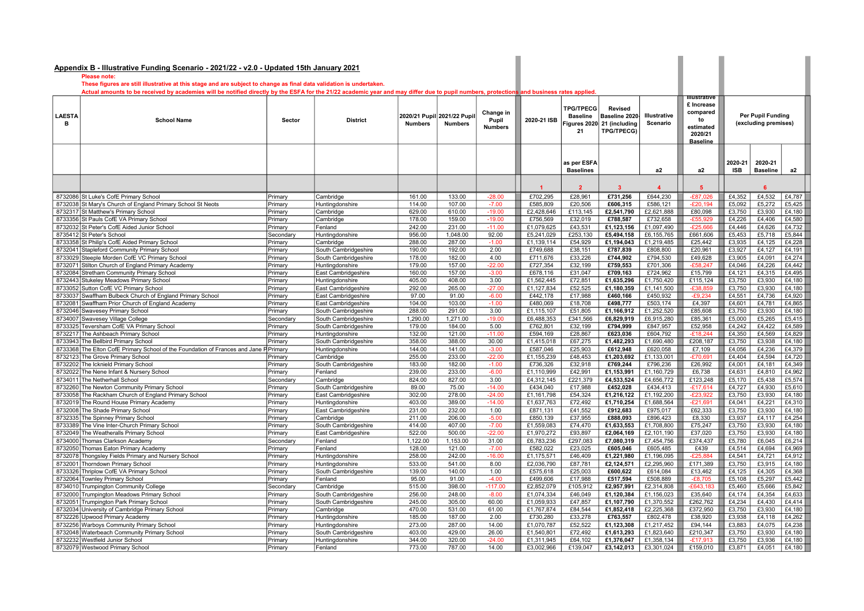| Please note:<br>These figures are still illustrative at this stage and are subject to change as final data validation is undertaken.<br>Actual amounts to be received by academies will be notified directly by the ESFA for the 21/22 academic year and may differ due to pupil numbers, protections and business rates applied.<br><b>Illustrative</b><br>£ Increase<br><b>TPG/TPECG</b><br><b>Revised</b><br>compared<br>Change in<br><b>LAESTA</b><br>2020/21 Pupil 2021/22 Pupil<br>Illustrative<br>Per Pupil Funding<br><b>Baseline</b><br>Baseline 2020-<br>2020-21 ISB<br>to<br><b>School Name</b><br>Sector<br><b>District</b><br>Pupil<br>в<br><b>Numbers</b><br>Figures 2020<br>21 (including<br>Scenario<br>(excluding premises)<br><b>Numbers</b><br>estimated<br><b>Numbers</b><br>21<br><b>TPG/TPECG)</b><br>2020/21<br><b>Baseline</b><br>as per ESFA<br>2020-21<br>2020-21<br>a2<br><b>ISB</b><br><b>Baselines</b><br>a2<br><b>Baseline</b><br>a2<br>$\blacktriangleleft$<br>3<br>6<br>$\overline{2}$<br>$\overline{4}$<br>5<br>161.00<br>$-28.00$<br>£702,295<br>£28,961<br>£731,256<br>£644,230<br>$-£87.026$<br>£4,352<br>£4,532<br>£4,787<br>8732086 St Luke's CofE Primary School<br>133.00<br>Primary<br>Cambridge<br>8732038 St Mary's Church of England Primary School St Neots<br>Primary<br>Huntingdonshire<br>114.00<br>107.00<br>$-7.00$<br>£585,809<br>£20,506<br>£606,315<br>£586,121<br>$-E20,194$<br>£5,092<br>£5,272<br>£5,425<br>629.00<br>$-19.00$<br>£3,750<br>8732317 St Matthew's Primary School<br>610.00<br>£2,428,646<br>£113,145<br>£2,541,790<br>£2,621,888<br>£80,098<br>£3,930<br>£4,180<br>Primary<br>Cambridge<br>178.00<br>159.00<br>$-19.00$<br>£756,569<br>£32.019<br>£732.658<br>$-£55.929$<br>£4,580<br>8733356 St Pauls CofE VA Primary School<br>Primary<br>Cambridge<br>£788.587<br>£4.226<br>£4.406<br>242.00<br>231.00<br>£1,079,625<br>£43,531<br>£1,123,156<br>£1,097,490<br>£4,446<br>£4,626<br>£4,732<br>8732032 St Peter's CofE Aided Junior School<br>Primary<br>Fenland<br>$-11.00$<br>$-£25,666$<br>956.00<br>1,048.00<br>92.00<br>£253,130<br>£5,494,158<br>£6,155,765<br>£5,453<br>£5,718<br>£5,844<br>8735412 St Peter's School<br>£5,241,029<br>£661,606<br>Huntingdonshire<br>Secondary<br>8733358 St Philip's CofE Aided Primary School<br>288.00<br>287.00<br>$-1.00$<br>£1,139,114<br>£54,929<br>£1,194,043<br>£1,219,485<br>£25,442<br>£3,935<br>£4,125<br>£4,228<br>Primary<br>Cambridge<br>192.00<br>2.00<br>£749,688<br>£38,151<br>£808,800<br>£20,961<br>£3,927<br>8732041 Stapleford Community Primary School<br>190.00<br>£787,839<br>£4,127<br>£4,191<br>Primary<br>South Cambridgeshire<br>8733029<br>Steeple Morden CofE VC Primary School<br>Primary<br>South Cambridgeshire<br>178.00<br>182.00<br>4.00<br>£711,676<br>£33,226<br>£744,902<br>£794,530<br>£49,628<br>£3,905<br>£4,091<br>£4,274<br>157.00<br>$-22.00$<br>£727,354<br>£32,199<br>£759,553<br>£701,306<br>$-£58,247$<br>£4,226<br>£4,442<br>8732071 Stilton Church of England Primary Academy<br>Primary<br>Huntingdonshire<br>179.00<br>£4,046<br>160.00<br>157.00<br>$-3.00$<br>£678,116<br>£31,047<br>£724,962<br>£4,495<br>8732084 Stretham Community Primary School<br>Primary<br>East Cambridgeshire<br>£709,163<br>£15,799<br>£4,121<br>£4,315<br>8732443 Stukeley Meadows Primary School<br>405.00<br>408.00<br>3.00<br>£1,562,445<br>£72,851<br>£1,635,296<br>£1,750,420<br>£3,750<br>£3,930<br>£4,180<br>Primary<br>Huntingdonshire<br>£115,124<br>292.00<br>Sutton CofE VC Primary School<br>265.00<br>$-27.00$<br>£1,127,834<br>£52,525<br>£1,180,359<br>£1,141,500<br>£3,750<br>£3,930<br>£4,180<br>8733052<br>Primary<br>East Cambridgeshire<br>$-£38,859$<br>97.00<br>91.00<br>£442,178<br>£17,988<br>£460,166<br>£450,932<br>£4,551<br>£4,736<br>£4,920<br>8733037 Swaffham Bulbeck Church of England Primary School<br>East Cambridgeshire<br>$-6.00$<br>$-£9,234$<br>Primary<br>104.00<br>103.00<br>8732081<br>Swaffham Prior Church of England Academy<br>East Cambridgeshire<br>$-1.00$<br>£480,069<br>£18,708<br>£498,777<br>£503,174<br>£4,397<br>£4,601<br>£4,781<br>£4,865<br>Primary<br>288.00<br>291.00<br>3.00<br>£1,252,520<br>£3,750<br>8732046 Swavesey Primary School<br>Primary<br>£1,115,107<br>£51,805<br>£1,166,912<br>£85,608<br>£3,930<br>£4,180<br>South Cambridgeshire<br>1.290.00<br>1.271.00<br>$-19.00$<br>8734007<br>Swavesey Village College<br>South Cambridgeshire<br>£6,488,353<br>£341,566<br>£6.829.919<br>£6.915.280<br>£85,361<br>£5,000<br>£5.265<br>£5,415<br>Secondary<br>179.00<br>184.00<br>5.00<br>£762,801<br>£32,199<br>£794,999<br>£847,957<br>£52,958<br>£4,242<br>£4,422<br>£4,589<br>8733325 Teversham CofE VA Primary School<br>Primary<br>South Cambridgeshire<br>132.00<br>121.00<br>$-11.00$<br>£594,169<br>£604,792<br>£4,350<br>£4,829<br>8732217 The Ashbeach Primary School<br>Primary<br>£28,867<br>£623,036<br>$-£18,244$<br>£4,569<br>Huntingdonshire<br>358.00<br>388.00<br>30.00<br>£1,415,018<br>£67,275<br>£1,482,293<br>£1,690,480<br>£208,187<br>£3,750<br>£3,938<br>£4,180<br>8733943 The Bellbird Primary School<br>Primary<br>South Cambridgeshire<br>£587,046<br>£25,903<br>£4,056<br>£4,379<br>8733368 The Elton CofE Primary School of the Foundation of Frances and Jane P Primary<br>144.00<br>141.00<br>£612,948<br>£620,058<br>£7,109<br>£4,236<br>Huntingdonshire<br>$-3.00$<br>8732123 The Grove Primary School<br>Primary<br>255.00<br>233.00<br>$-22.00$<br>£1,155,239<br>£48,453<br>£1,203,692<br>£1,133,001<br>$-£70.69$<br>£4,404<br>£4,594<br>£4,720<br>Cambridge<br>183.00<br>182.00<br>$-1.00$<br>£736,326<br>£32,918<br>£769,244<br>£796,236<br>£26,992<br>£4,181<br>£4,349<br>8732202 The Icknield Primary School<br>Primary<br>South Cambridgeshire<br>£4,001<br>239.00<br>233.00<br>$-6.00$<br>£42,991<br>£6,738<br>£4,810<br>£4,962<br>8732022 The Nene Infant & Nursery School<br>£1,110,999<br>£1,153,991<br>£1,160,729<br>£4,631<br>Primary<br>Fenland<br>824.00<br>827.00<br>3.00<br>£4,312,145<br>£221,379<br>£4,533,524<br>£4,656,772<br>£123,248<br>£5,170<br>£5,438<br>£5,574<br>8734011 The Netherhall School<br>Cambridge<br>Secondary<br>89.00<br>75.00<br>$-14.00$<br>£434,040<br>£17,988<br>£452,028<br>£434,413<br>$-£17,614$<br>£4,727<br>£4,930<br>£5,610<br>8732260 The Newton Community Primary School<br>Primary<br>South Cambridgeshire<br>8733058 The Rackham Church of England Primary School<br>302.00<br>278.00<br>$-24.00$<br>£1,161,798<br>£54,324<br>£1,216,122<br>£1,192,200<br>$-E23,922$<br>£3,750<br>£3,930<br>£4,180<br>East Cambridgeshire<br>Primary<br>389.00<br>8732019 The Round House Primary Academy<br>Huntingdonshire<br>403.00<br>$-14.00$<br>£1,637,763<br>£72,492<br>£1,710,254<br>£1,688,564<br>$-E21,691$<br>£4,041<br>£4,221<br>£4,310<br>Primary<br>231.00<br>232.00<br>1.00<br>£41,552<br>£912,683<br>£62,333<br>£3,750<br>£3,930<br>£4,180<br>8732008 The Shade Primary School<br>Primary<br>£871,131<br>£975,017<br>East Cambridgeshire<br>211.00<br>206.00<br>$-5.00$<br>£850.139<br>£37,955<br>£888.093<br>£896,423<br>£8,330<br>£3.937<br>£4,254<br>8732335 The Spinney Primary School<br>Primary<br>Cambridge<br>£4.117<br>414.00<br>407.00<br>£3,930<br>£1,559,083<br>£74,470<br>£1,633,553<br>£1,708,800<br>£75,247<br>£3,750<br>£4,180<br>8733389 The Vine Inter-Church Primary School<br>Primary<br>South Cambridgeshire<br>$-7.00$<br>522.00<br>500.00<br>$-22.00$<br>£1,970,272<br>£93,897<br>£2,101,190<br>£37,020<br>£3,750<br>£3,930<br>£4,180<br>8732049 The Weatheralls Primary School<br>Primary<br>£2,064,169<br>East Cambridgeshire<br>1,122.00<br>1,153.00<br>31.00<br>£6,783,236<br>£297,083<br>£7,080,319<br>£7,454,756<br>£374,437<br>£5,780<br>£6,045<br>£6,214<br>8734000 Thomas Clarkson Academy<br>Secondary<br>Fenland<br>£582,022<br>£605,485<br>£439<br>128.00<br>121.00<br>£23,025<br>£605,046<br>£4,514<br>£4,694<br>£4,969<br>8732050<br>Thomas Eaton Primary Academy<br>Primary<br>Fenland<br>$-7.00$<br>8732078<br>Thongsley Fields Primary and Nursery School<br>Primary<br>258.00<br>242.00<br>$-16.00$<br>£1,175,571<br>£46,409<br>£1,221,980<br>£1,196,095<br>$-E25.884$<br>£4,541<br>£4,721<br>£4,912<br>Huntingdonshire<br>533.00<br>541.00<br>8.00<br>£2,295,960<br>£3,750<br>£3,915<br>8732001 Thorndown Primary School<br>Primary<br>Huntingdonshire<br>£2,036,790<br>£87,781<br>£2,124,571<br>£171,389<br>£4,180<br>139.00<br>140.00<br>1.00<br>£25,003<br>£4,305<br>£4,368<br>8733326 Thriplow CofE VA Primary School<br>Primary<br>£575,618<br>£600,622<br>£614,084<br>£13,462<br>£4,125<br>South Cambridgeshire<br>8732064 Townley Primary School<br>95.00<br>£499,606<br>£517,594<br>£508,889<br>£5,442<br>Primary<br>Fenland<br>91.00<br>$-4.00$<br>£17,988<br>$-£8,705$<br>£5,108<br>£5,297<br>515.00<br>398.00<br>$-117.00$<br>£2,852,079<br>£105,912<br>£2,957,991<br>£2,314,808<br>$-£643,183$<br>£5,460<br>£5,842<br>8734010<br>Trumpington Community College<br>Secondary<br>Cambridge<br>£5,666<br>256.00<br>248.00<br>£1,074,334<br>£46,049<br>£1,120,384<br>£1,156,023<br>£35,640<br>£4,174<br>£4,354<br>£4,633<br>8732000<br>Trumpington Meadows Primary School<br>$-8.00$<br>Primary<br>South Cambridgeshire<br>305.00<br>£1,059,933<br>8732051<br>Trumpington Park Primary School<br>South Cambridgeshire<br>245.00<br>60.00<br>£47,857<br>£1,107,790<br>£1,370,552<br>£262,762<br>£4,234<br>£4,430<br>£4,414<br>Primary<br>470.00<br>£84,544<br>£3,750<br>8732034<br>University of Cambridge Primary School<br>Primary<br>531.00<br>61.00<br>£1,767,874<br>£1,852,418<br>£2,225,368<br>£372,950<br>£3,930<br>£4,180<br>Cambridge<br>185.00<br>187.00<br>£33,278<br>£802,478<br>£4,262<br>8732226<br>Jpwood Primary Academy<br>Primary<br>2.00<br>£730,280<br>£763.557<br>£38.920<br>£3.938<br>£4.118<br>Huntingdonshire<br>273.00<br>287.00<br>14.00<br>£52,522<br>£1,123,308<br>£1,217,452<br>£94,144<br>£3,883<br>£4,075<br>£4,238<br>8732256<br><b>Warboys Community Primary School</b><br>Primary<br>Huntingdonshire<br>£1,070,787<br>403.00<br>429.00<br>26.00<br>£72,492<br>£1,823,640<br>£210,347<br>£3,750<br>£3,930<br>£4,180<br>8732048<br>Waterbeach Community Primary School<br>Primary<br>£1,540,801<br>£1,613,293<br>South Cambridgeshire<br>344.00<br>320.00<br>$-24.00$<br>£1,311,945<br>£64,102<br>£1,358,134<br>£3,936<br>£4,180<br>8732232 Westfield Junior School<br>Primary<br>Huntingdonshire<br>£1,376,047<br>$-E17.913$<br>£3,750<br>773.00<br>787.00<br>14.00<br>£3,002,966<br>£4,180<br>8732079 Westwood Primary School<br>Fenland<br>£139,047<br>£3,142,013<br>£3,301,024<br>£159,010<br>£3,871<br>£4,051<br>Primary | Appendix B - Illustrative Funding Scenario - 2021/22 - v2.0 - Updated 15th January 2021 |  |  |  |  |  |  |  |  |  |  |
|-------------------------------------------------------------------------------------------------------------------------------------------------------------------------------------------------------------------------------------------------------------------------------------------------------------------------------------------------------------------------------------------------------------------------------------------------------------------------------------------------------------------------------------------------------------------------------------------------------------------------------------------------------------------------------------------------------------------------------------------------------------------------------------------------------------------------------------------------------------------------------------------------------------------------------------------------------------------------------------------------------------------------------------------------------------------------------------------------------------------------------------------------------------------------------------------------------------------------------------------------------------------------------------------------------------------------------------------------------------------------------------------------------------------------------------------------------------------------------------------------------------------------------------------------------------------------------------------------------------------------------------------------------------------------------------------------------------------------------------------------------------------------------------------------------------------------------------------------------------------------------------------------------------------------------------------------------------------------------------------------------------------------------------------------------------------------------------------------------------------------------------------------------------------------------------------------------------------------------------------------------------------------------------------------------------------------------------------------------------------------------------------------------------------------------------------------------------------------------------------------------------------------------------------------------------------------------------------------------------------------------------------------------------------------------------------------------------------------------------------------------------------------------------------------------------------------------------------------------------------------------------------------------------------------------------------------------------------------------------------------------------------------------------------------------------------------------------------------------------------------------------------------------------------------------------------------------------------------------------------------------------------------------------------------------------------------------------------------------------------------------------------------------------------------------------------------------------------------------------------------------------------------------------------------------------------------------------------------------------------------------------------------------------------------------------------------------------------------------------------------------------------------------------------------------------------------------------------------------------------------------------------------------------------------------------------------------------------------------------------------------------------------------------------------------------------------------------------------------------------------------------------------------------------------------------------------------------------------------------------------------------------------------------------------------------------------------------------------------------------------------------------------------------------------------------------------------------------------------------------------------------------------------------------------------------------------------------------------------------------------------------------------------------------------------------------------------------------------------------------------------------------------------------------------------------------------------------------------------------------------------------------------------------------------------------------------------------------------------------------------------------------------------------------------------------------------------------------------------------------------------------------------------------------------------------------------------------------------------------------------------------------------------------------------------------------------------------------------------------------------------------------------------------------------------------------------------------------------------------------------------------------------------------------------------------------------------------------------------------------------------------------------------------------------------------------------------------------------------------------------------------------------------------------------------------------------------------------------------------------------------------------------------------------------------------------------------------------------------------------------------------------------------------------------------------------------------------------------------------------------------------------------------------------------------------------------------------------------------------------------------------------------------------------------------------------------------------------------------------------------------------------------------------------------------------------------------------------------------------------------------------------------------------------------------------------------------------------------------------------------------------------------------------------------------------------------------------------------------------------------------------------------------------------------------------------------------------------------------------------------------------------------------------------------------------------------------------------------------------------------------------------------------------------------------------------------------------------------------------------------------------------------------------------------------------------------------------------------------------------------------------------------------------------------------------------------------------------------------------------------------------------------------------------------------------------------------------------------------------------------------------------------------------------------------------------------------------------------------------------------------------------------------------------------------------------------------------------------------------------------------------------------------------------------------------------------------------------------------------------------------------------------------------------------------------------------------------------------------------------------------------------------------------------------------------------------------------------------------------------------------------------------------------------------------------------------------------------------------------------------------------------------------------------------------------------------------------------------------------------------------------------------------------------------------------------------------------------------------------------------------------------------------------------------------------------------------------------------------------------------------------------------------------------------------------------------------------------------------------------------------------------------------------------------------------------------------------------------------------------------------------------------------------------------------------------------------------------------------------------------------------------------------------------------------------------------------------------------------------------------------------------------------------------------------------------------------------------------------------------------------------------------------------------------------------------------------------------------------------------------------------------------------------------------------------------------------------------------------------------------------------------------------------------------------------------------------------------------------------------------------------------------------------------------------------------------------------------------------------------------------------------------------------------------------------------------------------------------------------------------------------------------------------------------------------------------------------------------------------------------------------------------------------------------------------------------------------------------------------------------------------------------------------------------------------------------------------------------------------------------------------------------------------------------------------------------------------------------------------------------------------------------------------------------------------------------------------------------------------------------------------------------------------------------------------------------------------------------------------------------------------------------------------------------------------------------------------------------------|-----------------------------------------------------------------------------------------|--|--|--|--|--|--|--|--|--|--|
|                                                                                                                                                                                                                                                                                                                                                                                                                                                                                                                                                                                                                                                                                                                                                                                                                                                                                                                                                                                                                                                                                                                                                                                                                                                                                                                                                                                                                                                                                                                                                                                                                                                                                                                                                                                                                                                                                                                                                                                                                                                                                                                                                                                                                                                                                                                                                                                                                                                                                                                                                                                                                                                                                                                                                                                                                                                                                                                                                                                                                                                                                                                                                                                                                                                                                                                                                                                                                                                                                                                                                                                                                                                                                                                                                                                                                                                                                                                                                                                                                                                                                                                                                                                                                                                                                                                                                                                                                                                                                                                                                                                                                                                                                                                                                                                                                                                                                                                                                                                                                                                                                                                                                                                                                                                                                                                                                                                                                                                                                                                                                                                                                                                                                                                                                                                                                                                                                                                                                                                                                                                                                                                                                                                                                                                                                                                                                                                                                                                                                                                                                                                                                                                                                                                                                                                                                                                                                                                                                                                                                                                                                                                                                                                                                                                                                                                                                                                                                                                                                                                                                                                                                                                                                                                                                                                                                                                                                                                                                                                                                                                                                                                                                                                                                                                                                                                                                                                                                                                                                                                                                                                                                                                                                                                                                                                                                                                                                                                                                                                                                                                                                                                                                                                                                                                                                                                                                                                                                                                                                                                                                                                                                                                                                                                                                                                                                                                                                                                                                                                                                                                                                                                                                                                                                                                                                                                                                                                                                                                                                                                                                                                                                                                                                                                               |                                                                                         |  |  |  |  |  |  |  |  |  |  |
|                                                                                                                                                                                                                                                                                                                                                                                                                                                                                                                                                                                                                                                                                                                                                                                                                                                                                                                                                                                                                                                                                                                                                                                                                                                                                                                                                                                                                                                                                                                                                                                                                                                                                                                                                                                                                                                                                                                                                                                                                                                                                                                                                                                                                                                                                                                                                                                                                                                                                                                                                                                                                                                                                                                                                                                                                                                                                                                                                                                                                                                                                                                                                                                                                                                                                                                                                                                                                                                                                                                                                                                                                                                                                                                                                                                                                                                                                                                                                                                                                                                                                                                                                                                                                                                                                                                                                                                                                                                                                                                                                                                                                                                                                                                                                                                                                                                                                                                                                                                                                                                                                                                                                                                                                                                                                                                                                                                                                                                                                                                                                                                                                                                                                                                                                                                                                                                                                                                                                                                                                                                                                                                                                                                                                                                                                                                                                                                                                                                                                                                                                                                                                                                                                                                                                                                                                                                                                                                                                                                                                                                                                                                                                                                                                                                                                                                                                                                                                                                                                                                                                                                                                                                                                                                                                                                                                                                                                                                                                                                                                                                                                                                                                                                                                                                                                                                                                                                                                                                                                                                                                                                                                                                                                                                                                                                                                                                                                                                                                                                                                                                                                                                                                                                                                                                                                                                                                                                                                                                                                                                                                                                                                                                                                                                                                                                                                                                                                                                                                                                                                                                                                                                                                                                                                                                                                                                                                                                                                                                                                                                                                                                                                                                                                                                               |                                                                                         |  |  |  |  |  |  |  |  |  |  |
|                                                                                                                                                                                                                                                                                                                                                                                                                                                                                                                                                                                                                                                                                                                                                                                                                                                                                                                                                                                                                                                                                                                                                                                                                                                                                                                                                                                                                                                                                                                                                                                                                                                                                                                                                                                                                                                                                                                                                                                                                                                                                                                                                                                                                                                                                                                                                                                                                                                                                                                                                                                                                                                                                                                                                                                                                                                                                                                                                                                                                                                                                                                                                                                                                                                                                                                                                                                                                                                                                                                                                                                                                                                                                                                                                                                                                                                                                                                                                                                                                                                                                                                                                                                                                                                                                                                                                                                                                                                                                                                                                                                                                                                                                                                                                                                                                                                                                                                                                                                                                                                                                                                                                                                                                                                                                                                                                                                                                                                                                                                                                                                                                                                                                                                                                                                                                                                                                                                                                                                                                                                                                                                                                                                                                                                                                                                                                                                                                                                                                                                                                                                                                                                                                                                                                                                                                                                                                                                                                                                                                                                                                                                                                                                                                                                                                                                                                                                                                                                                                                                                                                                                                                                                                                                                                                                                                                                                                                                                                                                                                                                                                                                                                                                                                                                                                                                                                                                                                                                                                                                                                                                                                                                                                                                                                                                                                                                                                                                                                                                                                                                                                                                                                                                                                                                                                                                                                                                                                                                                                                                                                                                                                                                                                                                                                                                                                                                                                                                                                                                                                                                                                                                                                                                                                                                                                                                                                                                                                                                                                                                                                                                                                                                                                                                               |                                                                                         |  |  |  |  |  |  |  |  |  |  |
|                                                                                                                                                                                                                                                                                                                                                                                                                                                                                                                                                                                                                                                                                                                                                                                                                                                                                                                                                                                                                                                                                                                                                                                                                                                                                                                                                                                                                                                                                                                                                                                                                                                                                                                                                                                                                                                                                                                                                                                                                                                                                                                                                                                                                                                                                                                                                                                                                                                                                                                                                                                                                                                                                                                                                                                                                                                                                                                                                                                                                                                                                                                                                                                                                                                                                                                                                                                                                                                                                                                                                                                                                                                                                                                                                                                                                                                                                                                                                                                                                                                                                                                                                                                                                                                                                                                                                                                                                                                                                                                                                                                                                                                                                                                                                                                                                                                                                                                                                                                                                                                                                                                                                                                                                                                                                                                                                                                                                                                                                                                                                                                                                                                                                                                                                                                                                                                                                                                                                                                                                                                                                                                                                                                                                                                                                                                                                                                                                                                                                                                                                                                                                                                                                                                                                                                                                                                                                                                                                                                                                                                                                                                                                                                                                                                                                                                                                                                                                                                                                                                                                                                                                                                                                                                                                                                                                                                                                                                                                                                                                                                                                                                                                                                                                                                                                                                                                                                                                                                                                                                                                                                                                                                                                                                                                                                                                                                                                                                                                                                                                                                                                                                                                                                                                                                                                                                                                                                                                                                                                                                                                                                                                                                                                                                                                                                                                                                                                                                                                                                                                                                                                                                                                                                                                                                                                                                                                                                                                                                                                                                                                                                                                                                                                                                               |                                                                                         |  |  |  |  |  |  |  |  |  |  |
|                                                                                                                                                                                                                                                                                                                                                                                                                                                                                                                                                                                                                                                                                                                                                                                                                                                                                                                                                                                                                                                                                                                                                                                                                                                                                                                                                                                                                                                                                                                                                                                                                                                                                                                                                                                                                                                                                                                                                                                                                                                                                                                                                                                                                                                                                                                                                                                                                                                                                                                                                                                                                                                                                                                                                                                                                                                                                                                                                                                                                                                                                                                                                                                                                                                                                                                                                                                                                                                                                                                                                                                                                                                                                                                                                                                                                                                                                                                                                                                                                                                                                                                                                                                                                                                                                                                                                                                                                                                                                                                                                                                                                                                                                                                                                                                                                                                                                                                                                                                                                                                                                                                                                                                                                                                                                                                                                                                                                                                                                                                                                                                                                                                                                                                                                                                                                                                                                                                                                                                                                                                                                                                                                                                                                                                                                                                                                                                                                                                                                                                                                                                                                                                                                                                                                                                                                                                                                                                                                                                                                                                                                                                                                                                                                                                                                                                                                                                                                                                                                                                                                                                                                                                                                                                                                                                                                                                                                                                                                                                                                                                                                                                                                                                                                                                                                                                                                                                                                                                                                                                                                                                                                                                                                                                                                                                                                                                                                                                                                                                                                                                                                                                                                                                                                                                                                                                                                                                                                                                                                                                                                                                                                                                                                                                                                                                                                                                                                                                                                                                                                                                                                                                                                                                                                                                                                                                                                                                                                                                                                                                                                                                                                                                                                                                               |                                                                                         |  |  |  |  |  |  |  |  |  |  |
|                                                                                                                                                                                                                                                                                                                                                                                                                                                                                                                                                                                                                                                                                                                                                                                                                                                                                                                                                                                                                                                                                                                                                                                                                                                                                                                                                                                                                                                                                                                                                                                                                                                                                                                                                                                                                                                                                                                                                                                                                                                                                                                                                                                                                                                                                                                                                                                                                                                                                                                                                                                                                                                                                                                                                                                                                                                                                                                                                                                                                                                                                                                                                                                                                                                                                                                                                                                                                                                                                                                                                                                                                                                                                                                                                                                                                                                                                                                                                                                                                                                                                                                                                                                                                                                                                                                                                                                                                                                                                                                                                                                                                                                                                                                                                                                                                                                                                                                                                                                                                                                                                                                                                                                                                                                                                                                                                                                                                                                                                                                                                                                                                                                                                                                                                                                                                                                                                                                                                                                                                                                                                                                                                                                                                                                                                                                                                                                                                                                                                                                                                                                                                                                                                                                                                                                                                                                                                                                                                                                                                                                                                                                                                                                                                                                                                                                                                                                                                                                                                                                                                                                                                                                                                                                                                                                                                                                                                                                                                                                                                                                                                                                                                                                                                                                                                                                                                                                                                                                                                                                                                                                                                                                                                                                                                                                                                                                                                                                                                                                                                                                                                                                                                                                                                                                                                                                                                                                                                                                                                                                                                                                                                                                                                                                                                                                                                                                                                                                                                                                                                                                                                                                                                                                                                                                                                                                                                                                                                                                                                                                                                                                                                                                                                                                               |                                                                                         |  |  |  |  |  |  |  |  |  |  |
|                                                                                                                                                                                                                                                                                                                                                                                                                                                                                                                                                                                                                                                                                                                                                                                                                                                                                                                                                                                                                                                                                                                                                                                                                                                                                                                                                                                                                                                                                                                                                                                                                                                                                                                                                                                                                                                                                                                                                                                                                                                                                                                                                                                                                                                                                                                                                                                                                                                                                                                                                                                                                                                                                                                                                                                                                                                                                                                                                                                                                                                                                                                                                                                                                                                                                                                                                                                                                                                                                                                                                                                                                                                                                                                                                                                                                                                                                                                                                                                                                                                                                                                                                                                                                                                                                                                                                                                                                                                                                                                                                                                                                                                                                                                                                                                                                                                                                                                                                                                                                                                                                                                                                                                                                                                                                                                                                                                                                                                                                                                                                                                                                                                                                                                                                                                                                                                                                                                                                                                                                                                                                                                                                                                                                                                                                                                                                                                                                                                                                                                                                                                                                                                                                                                                                                                                                                                                                                                                                                                                                                                                                                                                                                                                                                                                                                                                                                                                                                                                                                                                                                                                                                                                                                                                                                                                                                                                                                                                                                                                                                                                                                                                                                                                                                                                                                                                                                                                                                                                                                                                                                                                                                                                                                                                                                                                                                                                                                                                                                                                                                                                                                                                                                                                                                                                                                                                                                                                                                                                                                                                                                                                                                                                                                                                                                                                                                                                                                                                                                                                                                                                                                                                                                                                                                                                                                                                                                                                                                                                                                                                                                                                                                                                                                                               |                                                                                         |  |  |  |  |  |  |  |  |  |  |
|                                                                                                                                                                                                                                                                                                                                                                                                                                                                                                                                                                                                                                                                                                                                                                                                                                                                                                                                                                                                                                                                                                                                                                                                                                                                                                                                                                                                                                                                                                                                                                                                                                                                                                                                                                                                                                                                                                                                                                                                                                                                                                                                                                                                                                                                                                                                                                                                                                                                                                                                                                                                                                                                                                                                                                                                                                                                                                                                                                                                                                                                                                                                                                                                                                                                                                                                                                                                                                                                                                                                                                                                                                                                                                                                                                                                                                                                                                                                                                                                                                                                                                                                                                                                                                                                                                                                                                                                                                                                                                                                                                                                                                                                                                                                                                                                                                                                                                                                                                                                                                                                                                                                                                                                                                                                                                                                                                                                                                                                                                                                                                                                                                                                                                                                                                                                                                                                                                                                                                                                                                                                                                                                                                                                                                                                                                                                                                                                                                                                                                                                                                                                                                                                                                                                                                                                                                                                                                                                                                                                                                                                                                                                                                                                                                                                                                                                                                                                                                                                                                                                                                                                                                                                                                                                                                                                                                                                                                                                                                                                                                                                                                                                                                                                                                                                                                                                                                                                                                                                                                                                                                                                                                                                                                                                                                                                                                                                                                                                                                                                                                                                                                                                                                                                                                                                                                                                                                                                                                                                                                                                                                                                                                                                                                                                                                                                                                                                                                                                                                                                                                                                                                                                                                                                                                                                                                                                                                                                                                                                                                                                                                                                                                                                                                                               |                                                                                         |  |  |  |  |  |  |  |  |  |  |
|                                                                                                                                                                                                                                                                                                                                                                                                                                                                                                                                                                                                                                                                                                                                                                                                                                                                                                                                                                                                                                                                                                                                                                                                                                                                                                                                                                                                                                                                                                                                                                                                                                                                                                                                                                                                                                                                                                                                                                                                                                                                                                                                                                                                                                                                                                                                                                                                                                                                                                                                                                                                                                                                                                                                                                                                                                                                                                                                                                                                                                                                                                                                                                                                                                                                                                                                                                                                                                                                                                                                                                                                                                                                                                                                                                                                                                                                                                                                                                                                                                                                                                                                                                                                                                                                                                                                                                                                                                                                                                                                                                                                                                                                                                                                                                                                                                                                                                                                                                                                                                                                                                                                                                                                                                                                                                                                                                                                                                                                                                                                                                                                                                                                                                                                                                                                                                                                                                                                                                                                                                                                                                                                                                                                                                                                                                                                                                                                                                                                                                                                                                                                                                                                                                                                                                                                                                                                                                                                                                                                                                                                                                                                                                                                                                                                                                                                                                                                                                                                                                                                                                                                                                                                                                                                                                                                                                                                                                                                                                                                                                                                                                                                                                                                                                                                                                                                                                                                                                                                                                                                                                                                                                                                                                                                                                                                                                                                                                                                                                                                                                                                                                                                                                                                                                                                                                                                                                                                                                                                                                                                                                                                                                                                                                                                                                                                                                                                                                                                                                                                                                                                                                                                                                                                                                                                                                                                                                                                                                                                                                                                                                                                                                                                                                                               |                                                                                         |  |  |  |  |  |  |  |  |  |  |
|                                                                                                                                                                                                                                                                                                                                                                                                                                                                                                                                                                                                                                                                                                                                                                                                                                                                                                                                                                                                                                                                                                                                                                                                                                                                                                                                                                                                                                                                                                                                                                                                                                                                                                                                                                                                                                                                                                                                                                                                                                                                                                                                                                                                                                                                                                                                                                                                                                                                                                                                                                                                                                                                                                                                                                                                                                                                                                                                                                                                                                                                                                                                                                                                                                                                                                                                                                                                                                                                                                                                                                                                                                                                                                                                                                                                                                                                                                                                                                                                                                                                                                                                                                                                                                                                                                                                                                                                                                                                                                                                                                                                                                                                                                                                                                                                                                                                                                                                                                                                                                                                                                                                                                                                                                                                                                                                                                                                                                                                                                                                                                                                                                                                                                                                                                                                                                                                                                                                                                                                                                                                                                                                                                                                                                                                                                                                                                                                                                                                                                                                                                                                                                                                                                                                                                                                                                                                                                                                                                                                                                                                                                                                                                                                                                                                                                                                                                                                                                                                                                                                                                                                                                                                                                                                                                                                                                                                                                                                                                                                                                                                                                                                                                                                                                                                                                                                                                                                                                                                                                                                                                                                                                                                                                                                                                                                                                                                                                                                                                                                                                                                                                                                                                                                                                                                                                                                                                                                                                                                                                                                                                                                                                                                                                                                                                                                                                                                                                                                                                                                                                                                                                                                                                                                                                                                                                                                                                                                                                                                                                                                                                                                                                                                                                                               |                                                                                         |  |  |  |  |  |  |  |  |  |  |
|                                                                                                                                                                                                                                                                                                                                                                                                                                                                                                                                                                                                                                                                                                                                                                                                                                                                                                                                                                                                                                                                                                                                                                                                                                                                                                                                                                                                                                                                                                                                                                                                                                                                                                                                                                                                                                                                                                                                                                                                                                                                                                                                                                                                                                                                                                                                                                                                                                                                                                                                                                                                                                                                                                                                                                                                                                                                                                                                                                                                                                                                                                                                                                                                                                                                                                                                                                                                                                                                                                                                                                                                                                                                                                                                                                                                                                                                                                                                                                                                                                                                                                                                                                                                                                                                                                                                                                                                                                                                                                                                                                                                                                                                                                                                                                                                                                                                                                                                                                                                                                                                                                                                                                                                                                                                                                                                                                                                                                                                                                                                                                                                                                                                                                                                                                                                                                                                                                                                                                                                                                                                                                                                                                                                                                                                                                                                                                                                                                                                                                                                                                                                                                                                                                                                                                                                                                                                                                                                                                                                                                                                                                                                                                                                                                                                                                                                                                                                                                                                                                                                                                                                                                                                                                                                                                                                                                                                                                                                                                                                                                                                                                                                                                                                                                                                                                                                                                                                                                                                                                                                                                                                                                                                                                                                                                                                                                                                                                                                                                                                                                                                                                                                                                                                                                                                                                                                                                                                                                                                                                                                                                                                                                                                                                                                                                                                                                                                                                                                                                                                                                                                                                                                                                                                                                                                                                                                                                                                                                                                                                                                                                                                                                                                                                                               |                                                                                         |  |  |  |  |  |  |  |  |  |  |
|                                                                                                                                                                                                                                                                                                                                                                                                                                                                                                                                                                                                                                                                                                                                                                                                                                                                                                                                                                                                                                                                                                                                                                                                                                                                                                                                                                                                                                                                                                                                                                                                                                                                                                                                                                                                                                                                                                                                                                                                                                                                                                                                                                                                                                                                                                                                                                                                                                                                                                                                                                                                                                                                                                                                                                                                                                                                                                                                                                                                                                                                                                                                                                                                                                                                                                                                                                                                                                                                                                                                                                                                                                                                                                                                                                                                                                                                                                                                                                                                                                                                                                                                                                                                                                                                                                                                                                                                                                                                                                                                                                                                                                                                                                                                                                                                                                                                                                                                                                                                                                                                                                                                                                                                                                                                                                                                                                                                                                                                                                                                                                                                                                                                                                                                                                                                                                                                                                                                                                                                                                                                                                                                                                                                                                                                                                                                                                                                                                                                                                                                                                                                                                                                                                                                                                                                                                                                                                                                                                                                                                                                                                                                                                                                                                                                                                                                                                                                                                                                                                                                                                                                                                                                                                                                                                                                                                                                                                                                                                                                                                                                                                                                                                                                                                                                                                                                                                                                                                                                                                                                                                                                                                                                                                                                                                                                                                                                                                                                                                                                                                                                                                                                                                                                                                                                                                                                                                                                                                                                                                                                                                                                                                                                                                                                                                                                                                                                                                                                                                                                                                                                                                                                                                                                                                                                                                                                                                                                                                                                                                                                                                                                                                                                                                                               |                                                                                         |  |  |  |  |  |  |  |  |  |  |
|                                                                                                                                                                                                                                                                                                                                                                                                                                                                                                                                                                                                                                                                                                                                                                                                                                                                                                                                                                                                                                                                                                                                                                                                                                                                                                                                                                                                                                                                                                                                                                                                                                                                                                                                                                                                                                                                                                                                                                                                                                                                                                                                                                                                                                                                                                                                                                                                                                                                                                                                                                                                                                                                                                                                                                                                                                                                                                                                                                                                                                                                                                                                                                                                                                                                                                                                                                                                                                                                                                                                                                                                                                                                                                                                                                                                                                                                                                                                                                                                                                                                                                                                                                                                                                                                                                                                                                                                                                                                                                                                                                                                                                                                                                                                                                                                                                                                                                                                                                                                                                                                                                                                                                                                                                                                                                                                                                                                                                                                                                                                                                                                                                                                                                                                                                                                                                                                                                                                                                                                                                                                                                                                                                                                                                                                                                                                                                                                                                                                                                                                                                                                                                                                                                                                                                                                                                                                                                                                                                                                                                                                                                                                                                                                                                                                                                                                                                                                                                                                                                                                                                                                                                                                                                                                                                                                                                                                                                                                                                                                                                                                                                                                                                                                                                                                                                                                                                                                                                                                                                                                                                                                                                                                                                                                                                                                                                                                                                                                                                                                                                                                                                                                                                                                                                                                                                                                                                                                                                                                                                                                                                                                                                                                                                                                                                                                                                                                                                                                                                                                                                                                                                                                                                                                                                                                                                                                                                                                                                                                                                                                                                                                                                                                                                                               |                                                                                         |  |  |  |  |  |  |  |  |  |  |
|                                                                                                                                                                                                                                                                                                                                                                                                                                                                                                                                                                                                                                                                                                                                                                                                                                                                                                                                                                                                                                                                                                                                                                                                                                                                                                                                                                                                                                                                                                                                                                                                                                                                                                                                                                                                                                                                                                                                                                                                                                                                                                                                                                                                                                                                                                                                                                                                                                                                                                                                                                                                                                                                                                                                                                                                                                                                                                                                                                                                                                                                                                                                                                                                                                                                                                                                                                                                                                                                                                                                                                                                                                                                                                                                                                                                                                                                                                                                                                                                                                                                                                                                                                                                                                                                                                                                                                                                                                                                                                                                                                                                                                                                                                                                                                                                                                                                                                                                                                                                                                                                                                                                                                                                                                                                                                                                                                                                                                                                                                                                                                                                                                                                                                                                                                                                                                                                                                                                                                                                                                                                                                                                                                                                                                                                                                                                                                                                                                                                                                                                                                                                                                                                                                                                                                                                                                                                                                                                                                                                                                                                                                                                                                                                                                                                                                                                                                                                                                                                                                                                                                                                                                                                                                                                                                                                                                                                                                                                                                                                                                                                                                                                                                                                                                                                                                                                                                                                                                                                                                                                                                                                                                                                                                                                                                                                                                                                                                                                                                                                                                                                                                                                                                                                                                                                                                                                                                                                                                                                                                                                                                                                                                                                                                                                                                                                                                                                                                                                                                                                                                                                                                                                                                                                                                                                                                                                                                                                                                                                                                                                                                                                                                                                                                                               |                                                                                         |  |  |  |  |  |  |  |  |  |  |
|                                                                                                                                                                                                                                                                                                                                                                                                                                                                                                                                                                                                                                                                                                                                                                                                                                                                                                                                                                                                                                                                                                                                                                                                                                                                                                                                                                                                                                                                                                                                                                                                                                                                                                                                                                                                                                                                                                                                                                                                                                                                                                                                                                                                                                                                                                                                                                                                                                                                                                                                                                                                                                                                                                                                                                                                                                                                                                                                                                                                                                                                                                                                                                                                                                                                                                                                                                                                                                                                                                                                                                                                                                                                                                                                                                                                                                                                                                                                                                                                                                                                                                                                                                                                                                                                                                                                                                                                                                                                                                                                                                                                                                                                                                                                                                                                                                                                                                                                                                                                                                                                                                                                                                                                                                                                                                                                                                                                                                                                                                                                                                                                                                                                                                                                                                                                                                                                                                                                                                                                                                                                                                                                                                                                                                                                                                                                                                                                                                                                                                                                                                                                                                                                                                                                                                                                                                                                                                                                                                                                                                                                                                                                                                                                                                                                                                                                                                                                                                                                                                                                                                                                                                                                                                                                                                                                                                                                                                                                                                                                                                                                                                                                                                                                                                                                                                                                                                                                                                                                                                                                                                                                                                                                                                                                                                                                                                                                                                                                                                                                                                                                                                                                                                                                                                                                                                                                                                                                                                                                                                                                                                                                                                                                                                                                                                                                                                                                                                                                                                                                                                                                                                                                                                                                                                                                                                                                                                                                                                                                                                                                                                                                                                                                                                                               |                                                                                         |  |  |  |  |  |  |  |  |  |  |
|                                                                                                                                                                                                                                                                                                                                                                                                                                                                                                                                                                                                                                                                                                                                                                                                                                                                                                                                                                                                                                                                                                                                                                                                                                                                                                                                                                                                                                                                                                                                                                                                                                                                                                                                                                                                                                                                                                                                                                                                                                                                                                                                                                                                                                                                                                                                                                                                                                                                                                                                                                                                                                                                                                                                                                                                                                                                                                                                                                                                                                                                                                                                                                                                                                                                                                                                                                                                                                                                                                                                                                                                                                                                                                                                                                                                                                                                                                                                                                                                                                                                                                                                                                                                                                                                                                                                                                                                                                                                                                                                                                                                                                                                                                                                                                                                                                                                                                                                                                                                                                                                                                                                                                                                                                                                                                                                                                                                                                                                                                                                                                                                                                                                                                                                                                                                                                                                                                                                                                                                                                                                                                                                                                                                                                                                                                                                                                                                                                                                                                                                                                                                                                                                                                                                                                                                                                                                                                                                                                                                                                                                                                                                                                                                                                                                                                                                                                                                                                                                                                                                                                                                                                                                                                                                                                                                                                                                                                                                                                                                                                                                                                                                                                                                                                                                                                                                                                                                                                                                                                                                                                                                                                                                                                                                                                                                                                                                                                                                                                                                                                                                                                                                                                                                                                                                                                                                                                                                                                                                                                                                                                                                                                                                                                                                                                                                                                                                                                                                                                                                                                                                                                                                                                                                                                                                                                                                                                                                                                                                                                                                                                                                                                                                                                                               |                                                                                         |  |  |  |  |  |  |  |  |  |  |
|                                                                                                                                                                                                                                                                                                                                                                                                                                                                                                                                                                                                                                                                                                                                                                                                                                                                                                                                                                                                                                                                                                                                                                                                                                                                                                                                                                                                                                                                                                                                                                                                                                                                                                                                                                                                                                                                                                                                                                                                                                                                                                                                                                                                                                                                                                                                                                                                                                                                                                                                                                                                                                                                                                                                                                                                                                                                                                                                                                                                                                                                                                                                                                                                                                                                                                                                                                                                                                                                                                                                                                                                                                                                                                                                                                                                                                                                                                                                                                                                                                                                                                                                                                                                                                                                                                                                                                                                                                                                                                                                                                                                                                                                                                                                                                                                                                                                                                                                                                                                                                                                                                                                                                                                                                                                                                                                                                                                                                                                                                                                                                                                                                                                                                                                                                                                                                                                                                                                                                                                                                                                                                                                                                                                                                                                                                                                                                                                                                                                                                                                                                                                                                                                                                                                                                                                                                                                                                                                                                                                                                                                                                                                                                                                                                                                                                                                                                                                                                                                                                                                                                                                                                                                                                                                                                                                                                                                                                                                                                                                                                                                                                                                                                                                                                                                                                                                                                                                                                                                                                                                                                                                                                                                                                                                                                                                                                                                                                                                                                                                                                                                                                                                                                                                                                                                                                                                                                                                                                                                                                                                                                                                                                                                                                                                                                                                                                                                                                                                                                                                                                                                                                                                                                                                                                                                                                                                                                                                                                                                                                                                                                                                                                                                                                                               |                                                                                         |  |  |  |  |  |  |  |  |  |  |
|                                                                                                                                                                                                                                                                                                                                                                                                                                                                                                                                                                                                                                                                                                                                                                                                                                                                                                                                                                                                                                                                                                                                                                                                                                                                                                                                                                                                                                                                                                                                                                                                                                                                                                                                                                                                                                                                                                                                                                                                                                                                                                                                                                                                                                                                                                                                                                                                                                                                                                                                                                                                                                                                                                                                                                                                                                                                                                                                                                                                                                                                                                                                                                                                                                                                                                                                                                                                                                                                                                                                                                                                                                                                                                                                                                                                                                                                                                                                                                                                                                                                                                                                                                                                                                                                                                                                                                                                                                                                                                                                                                                                                                                                                                                                                                                                                                                                                                                                                                                                                                                                                                                                                                                                                                                                                                                                                                                                                                                                                                                                                                                                                                                                                                                                                                                                                                                                                                                                                                                                                                                                                                                                                                                                                                                                                                                                                                                                                                                                                                                                                                                                                                                                                                                                                                                                                                                                                                                                                                                                                                                                                                                                                                                                                                                                                                                                                                                                                                                                                                                                                                                                                                                                                                                                                                                                                                                                                                                                                                                                                                                                                                                                                                                                                                                                                                                                                                                                                                                                                                                                                                                                                                                                                                                                                                                                                                                                                                                                                                                                                                                                                                                                                                                                                                                                                                                                                                                                                                                                                                                                                                                                                                                                                                                                                                                                                                                                                                                                                                                                                                                                                                                                                                                                                                                                                                                                                                                                                                                                                                                                                                                                                                                                                                                               |                                                                                         |  |  |  |  |  |  |  |  |  |  |
|                                                                                                                                                                                                                                                                                                                                                                                                                                                                                                                                                                                                                                                                                                                                                                                                                                                                                                                                                                                                                                                                                                                                                                                                                                                                                                                                                                                                                                                                                                                                                                                                                                                                                                                                                                                                                                                                                                                                                                                                                                                                                                                                                                                                                                                                                                                                                                                                                                                                                                                                                                                                                                                                                                                                                                                                                                                                                                                                                                                                                                                                                                                                                                                                                                                                                                                                                                                                                                                                                                                                                                                                                                                                                                                                                                                                                                                                                                                                                                                                                                                                                                                                                                                                                                                                                                                                                                                                                                                                                                                                                                                                                                                                                                                                                                                                                                                                                                                                                                                                                                                                                                                                                                                                                                                                                                                                                                                                                                                                                                                                                                                                                                                                                                                                                                                                                                                                                                                                                                                                                                                                                                                                                                                                                                                                                                                                                                                                                                                                                                                                                                                                                                                                                                                                                                                                                                                                                                                                                                                                                                                                                                                                                                                                                                                                                                                                                                                                                                                                                                                                                                                                                                                                                                                                                                                                                                                                                                                                                                                                                                                                                                                                                                                                                                                                                                                                                                                                                                                                                                                                                                                                                                                                                                                                                                                                                                                                                                                                                                                                                                                                                                                                                                                                                                                                                                                                                                                                                                                                                                                                                                                                                                                                                                                                                                                                                                                                                                                                                                                                                                                                                                                                                                                                                                                                                                                                                                                                                                                                                                                                                                                                                                                                                                                               |                                                                                         |  |  |  |  |  |  |  |  |  |  |
|                                                                                                                                                                                                                                                                                                                                                                                                                                                                                                                                                                                                                                                                                                                                                                                                                                                                                                                                                                                                                                                                                                                                                                                                                                                                                                                                                                                                                                                                                                                                                                                                                                                                                                                                                                                                                                                                                                                                                                                                                                                                                                                                                                                                                                                                                                                                                                                                                                                                                                                                                                                                                                                                                                                                                                                                                                                                                                                                                                                                                                                                                                                                                                                                                                                                                                                                                                                                                                                                                                                                                                                                                                                                                                                                                                                                                                                                                                                                                                                                                                                                                                                                                                                                                                                                                                                                                                                                                                                                                                                                                                                                                                                                                                                                                                                                                                                                                                                                                                                                                                                                                                                                                                                                                                                                                                                                                                                                                                                                                                                                                                                                                                                                                                                                                                                                                                                                                                                                                                                                                                                                                                                                                                                                                                                                                                                                                                                                                                                                                                                                                                                                                                                                                                                                                                                                                                                                                                                                                                                                                                                                                                                                                                                                                                                                                                                                                                                                                                                                                                                                                                                                                                                                                                                                                                                                                                                                                                                                                                                                                                                                                                                                                                                                                                                                                                                                                                                                                                                                                                                                                                                                                                                                                                                                                                                                                                                                                                                                                                                                                                                                                                                                                                                                                                                                                                                                                                                                                                                                                                                                                                                                                                                                                                                                                                                                                                                                                                                                                                                                                                                                                                                                                                                                                                                                                                                                                                                                                                                                                                                                                                                                                                                                                                                               |                                                                                         |  |  |  |  |  |  |  |  |  |  |
|                                                                                                                                                                                                                                                                                                                                                                                                                                                                                                                                                                                                                                                                                                                                                                                                                                                                                                                                                                                                                                                                                                                                                                                                                                                                                                                                                                                                                                                                                                                                                                                                                                                                                                                                                                                                                                                                                                                                                                                                                                                                                                                                                                                                                                                                                                                                                                                                                                                                                                                                                                                                                                                                                                                                                                                                                                                                                                                                                                                                                                                                                                                                                                                                                                                                                                                                                                                                                                                                                                                                                                                                                                                                                                                                                                                                                                                                                                                                                                                                                                                                                                                                                                                                                                                                                                                                                                                                                                                                                                                                                                                                                                                                                                                                                                                                                                                                                                                                                                                                                                                                                                                                                                                                                                                                                                                                                                                                                                                                                                                                                                                                                                                                                                                                                                                                                                                                                                                                                                                                                                                                                                                                                                                                                                                                                                                                                                                                                                                                                                                                                                                                                                                                                                                                                                                                                                                                                                                                                                                                                                                                                                                                                                                                                                                                                                                                                                                                                                                                                                                                                                                                                                                                                                                                                                                                                                                                                                                                                                                                                                                                                                                                                                                                                                                                                                                                                                                                                                                                                                                                                                                                                                                                                                                                                                                                                                                                                                                                                                                                                                                                                                                                                                                                                                                                                                                                                                                                                                                                                                                                                                                                                                                                                                                                                                                                                                                                                                                                                                                                                                                                                                                                                                                                                                                                                                                                                                                                                                                                                                                                                                                                                                                                                                                               |                                                                                         |  |  |  |  |  |  |  |  |  |  |
|                                                                                                                                                                                                                                                                                                                                                                                                                                                                                                                                                                                                                                                                                                                                                                                                                                                                                                                                                                                                                                                                                                                                                                                                                                                                                                                                                                                                                                                                                                                                                                                                                                                                                                                                                                                                                                                                                                                                                                                                                                                                                                                                                                                                                                                                                                                                                                                                                                                                                                                                                                                                                                                                                                                                                                                                                                                                                                                                                                                                                                                                                                                                                                                                                                                                                                                                                                                                                                                                                                                                                                                                                                                                                                                                                                                                                                                                                                                                                                                                                                                                                                                                                                                                                                                                                                                                                                                                                                                                                                                                                                                                                                                                                                                                                                                                                                                                                                                                                                                                                                                                                                                                                                                                                                                                                                                                                                                                                                                                                                                                                                                                                                                                                                                                                                                                                                                                                                                                                                                                                                                                                                                                                                                                                                                                                                                                                                                                                                                                                                                                                                                                                                                                                                                                                                                                                                                                                                                                                                                                                                                                                                                                                                                                                                                                                                                                                                                                                                                                                                                                                                                                                                                                                                                                                                                                                                                                                                                                                                                                                                                                                                                                                                                                                                                                                                                                                                                                                                                                                                                                                                                                                                                                                                                                                                                                                                                                                                                                                                                                                                                                                                                                                                                                                                                                                                                                                                                                                                                                                                                                                                                                                                                                                                                                                                                                                                                                                                                                                                                                                                                                                                                                                                                                                                                                                                                                                                                                                                                                                                                                                                                                                                                                                                                               |                                                                                         |  |  |  |  |  |  |  |  |  |  |
|                                                                                                                                                                                                                                                                                                                                                                                                                                                                                                                                                                                                                                                                                                                                                                                                                                                                                                                                                                                                                                                                                                                                                                                                                                                                                                                                                                                                                                                                                                                                                                                                                                                                                                                                                                                                                                                                                                                                                                                                                                                                                                                                                                                                                                                                                                                                                                                                                                                                                                                                                                                                                                                                                                                                                                                                                                                                                                                                                                                                                                                                                                                                                                                                                                                                                                                                                                                                                                                                                                                                                                                                                                                                                                                                                                                                                                                                                                                                                                                                                                                                                                                                                                                                                                                                                                                                                                                                                                                                                                                                                                                                                                                                                                                                                                                                                                                                                                                                                                                                                                                                                                                                                                                                                                                                                                                                                                                                                                                                                                                                                                                                                                                                                                                                                                                                                                                                                                                                                                                                                                                                                                                                                                                                                                                                                                                                                                                                                                                                                                                                                                                                                                                                                                                                                                                                                                                                                                                                                                                                                                                                                                                                                                                                                                                                                                                                                                                                                                                                                                                                                                                                                                                                                                                                                                                                                                                                                                                                                                                                                                                                                                                                                                                                                                                                                                                                                                                                                                                                                                                                                                                                                                                                                                                                                                                                                                                                                                                                                                                                                                                                                                                                                                                                                                                                                                                                                                                                                                                                                                                                                                                                                                                                                                                                                                                                                                                                                                                                                                                                                                                                                                                                                                                                                                                                                                                                                                                                                                                                                                                                                                                                                                                                                                                               |                                                                                         |  |  |  |  |  |  |  |  |  |  |
|                                                                                                                                                                                                                                                                                                                                                                                                                                                                                                                                                                                                                                                                                                                                                                                                                                                                                                                                                                                                                                                                                                                                                                                                                                                                                                                                                                                                                                                                                                                                                                                                                                                                                                                                                                                                                                                                                                                                                                                                                                                                                                                                                                                                                                                                                                                                                                                                                                                                                                                                                                                                                                                                                                                                                                                                                                                                                                                                                                                                                                                                                                                                                                                                                                                                                                                                                                                                                                                                                                                                                                                                                                                                                                                                                                                                                                                                                                                                                                                                                                                                                                                                                                                                                                                                                                                                                                                                                                                                                                                                                                                                                                                                                                                                                                                                                                                                                                                                                                                                                                                                                                                                                                                                                                                                                                                                                                                                                                                                                                                                                                                                                                                                                                                                                                                                                                                                                                                                                                                                                                                                                                                                                                                                                                                                                                                                                                                                                                                                                                                                                                                                                                                                                                                                                                                                                                                                                                                                                                                                                                                                                                                                                                                                                                                                                                                                                                                                                                                                                                                                                                                                                                                                                                                                                                                                                                                                                                                                                                                                                                                                                                                                                                                                                                                                                                                                                                                                                                                                                                                                                                                                                                                                                                                                                                                                                                                                                                                                                                                                                                                                                                                                                                                                                                                                                                                                                                                                                                                                                                                                                                                                                                                                                                                                                                                                                                                                                                                                                                                                                                                                                                                                                                                                                                                                                                                                                                                                                                                                                                                                                                                                                                                                                                                               |                                                                                         |  |  |  |  |  |  |  |  |  |  |
|                                                                                                                                                                                                                                                                                                                                                                                                                                                                                                                                                                                                                                                                                                                                                                                                                                                                                                                                                                                                                                                                                                                                                                                                                                                                                                                                                                                                                                                                                                                                                                                                                                                                                                                                                                                                                                                                                                                                                                                                                                                                                                                                                                                                                                                                                                                                                                                                                                                                                                                                                                                                                                                                                                                                                                                                                                                                                                                                                                                                                                                                                                                                                                                                                                                                                                                                                                                                                                                                                                                                                                                                                                                                                                                                                                                                                                                                                                                                                                                                                                                                                                                                                                                                                                                                                                                                                                                                                                                                                                                                                                                                                                                                                                                                                                                                                                                                                                                                                                                                                                                                                                                                                                                                                                                                                                                                                                                                                                                                                                                                                                                                                                                                                                                                                                                                                                                                                                                                                                                                                                                                                                                                                                                                                                                                                                                                                                                                                                                                                                                                                                                                                                                                                                                                                                                                                                                                                                                                                                                                                                                                                                                                                                                                                                                                                                                                                                                                                                                                                                                                                                                                                                                                                                                                                                                                                                                                                                                                                                                                                                                                                                                                                                                                                                                                                                                                                                                                                                                                                                                                                                                                                                                                                                                                                                                                                                                                                                                                                                                                                                                                                                                                                                                                                                                                                                                                                                                                                                                                                                                                                                                                                                                                                                                                                                                                                                                                                                                                                                                                                                                                                                                                                                                                                                                                                                                                                                                                                                                                                                                                                                                                                                                                                                                               |                                                                                         |  |  |  |  |  |  |  |  |  |  |
|                                                                                                                                                                                                                                                                                                                                                                                                                                                                                                                                                                                                                                                                                                                                                                                                                                                                                                                                                                                                                                                                                                                                                                                                                                                                                                                                                                                                                                                                                                                                                                                                                                                                                                                                                                                                                                                                                                                                                                                                                                                                                                                                                                                                                                                                                                                                                                                                                                                                                                                                                                                                                                                                                                                                                                                                                                                                                                                                                                                                                                                                                                                                                                                                                                                                                                                                                                                                                                                                                                                                                                                                                                                                                                                                                                                                                                                                                                                                                                                                                                                                                                                                                                                                                                                                                                                                                                                                                                                                                                                                                                                                                                                                                                                                                                                                                                                                                                                                                                                                                                                                                                                                                                                                                                                                                                                                                                                                                                                                                                                                                                                                                                                                                                                                                                                                                                                                                                                                                                                                                                                                                                                                                                                                                                                                                                                                                                                                                                                                                                                                                                                                                                                                                                                                                                                                                                                                                                                                                                                                                                                                                                                                                                                                                                                                                                                                                                                                                                                                                                                                                                                                                                                                                                                                                                                                                                                                                                                                                                                                                                                                                                                                                                                                                                                                                                                                                                                                                                                                                                                                                                                                                                                                                                                                                                                                                                                                                                                                                                                                                                                                                                                                                                                                                                                                                                                                                                                                                                                                                                                                                                                                                                                                                                                                                                                                                                                                                                                                                                                                                                                                                                                                                                                                                                                                                                                                                                                                                                                                                                                                                                                                                                                                                                                               |                                                                                         |  |  |  |  |  |  |  |  |  |  |
|                                                                                                                                                                                                                                                                                                                                                                                                                                                                                                                                                                                                                                                                                                                                                                                                                                                                                                                                                                                                                                                                                                                                                                                                                                                                                                                                                                                                                                                                                                                                                                                                                                                                                                                                                                                                                                                                                                                                                                                                                                                                                                                                                                                                                                                                                                                                                                                                                                                                                                                                                                                                                                                                                                                                                                                                                                                                                                                                                                                                                                                                                                                                                                                                                                                                                                                                                                                                                                                                                                                                                                                                                                                                                                                                                                                                                                                                                                                                                                                                                                                                                                                                                                                                                                                                                                                                                                                                                                                                                                                                                                                                                                                                                                                                                                                                                                                                                                                                                                                                                                                                                                                                                                                                                                                                                                                                                                                                                                                                                                                                                                                                                                                                                                                                                                                                                                                                                                                                                                                                                                                                                                                                                                                                                                                                                                                                                                                                                                                                                                                                                                                                                                                                                                                                                                                                                                                                                                                                                                                                                                                                                                                                                                                                                                                                                                                                                                                                                                                                                                                                                                                                                                                                                                                                                                                                                                                                                                                                                                                                                                                                                                                                                                                                                                                                                                                                                                                                                                                                                                                                                                                                                                                                                                                                                                                                                                                                                                                                                                                                                                                                                                                                                                                                                                                                                                                                                                                                                                                                                                                                                                                                                                                                                                                                                                                                                                                                                                                                                                                                                                                                                                                                                                                                                                                                                                                                                                                                                                                                                                                                                                                                                                                                                                                               |                                                                                         |  |  |  |  |  |  |  |  |  |  |
|                                                                                                                                                                                                                                                                                                                                                                                                                                                                                                                                                                                                                                                                                                                                                                                                                                                                                                                                                                                                                                                                                                                                                                                                                                                                                                                                                                                                                                                                                                                                                                                                                                                                                                                                                                                                                                                                                                                                                                                                                                                                                                                                                                                                                                                                                                                                                                                                                                                                                                                                                                                                                                                                                                                                                                                                                                                                                                                                                                                                                                                                                                                                                                                                                                                                                                                                                                                                                                                                                                                                                                                                                                                                                                                                                                                                                                                                                                                                                                                                                                                                                                                                                                                                                                                                                                                                                                                                                                                                                                                                                                                                                                                                                                                                                                                                                                                                                                                                                                                                                                                                                                                                                                                                                                                                                                                                                                                                                                                                                                                                                                                                                                                                                                                                                                                                                                                                                                                                                                                                                                                                                                                                                                                                                                                                                                                                                                                                                                                                                                                                                                                                                                                                                                                                                                                                                                                                                                                                                                                                                                                                                                                                                                                                                                                                                                                                                                                                                                                                                                                                                                                                                                                                                                                                                                                                                                                                                                                                                                                                                                                                                                                                                                                                                                                                                                                                                                                                                                                                                                                                                                                                                                                                                                                                                                                                                                                                                                                                                                                                                                                                                                                                                                                                                                                                                                                                                                                                                                                                                                                                                                                                                                                                                                                                                                                                                                                                                                                                                                                                                                                                                                                                                                                                                                                                                                                                                                                                                                                                                                                                                                                                                                                                                                                               |                                                                                         |  |  |  |  |  |  |  |  |  |  |
|                                                                                                                                                                                                                                                                                                                                                                                                                                                                                                                                                                                                                                                                                                                                                                                                                                                                                                                                                                                                                                                                                                                                                                                                                                                                                                                                                                                                                                                                                                                                                                                                                                                                                                                                                                                                                                                                                                                                                                                                                                                                                                                                                                                                                                                                                                                                                                                                                                                                                                                                                                                                                                                                                                                                                                                                                                                                                                                                                                                                                                                                                                                                                                                                                                                                                                                                                                                                                                                                                                                                                                                                                                                                                                                                                                                                                                                                                                                                                                                                                                                                                                                                                                                                                                                                                                                                                                                                                                                                                                                                                                                                                                                                                                                                                                                                                                                                                                                                                                                                                                                                                                                                                                                                                                                                                                                                                                                                                                                                                                                                                                                                                                                                                                                                                                                                                                                                                                                                                                                                                                                                                                                                                                                                                                                                                                                                                                                                                                                                                                                                                                                                                                                                                                                                                                                                                                                                                                                                                                                                                                                                                                                                                                                                                                                                                                                                                                                                                                                                                                                                                                                                                                                                                                                                                                                                                                                                                                                                                                                                                                                                                                                                                                                                                                                                                                                                                                                                                                                                                                                                                                                                                                                                                                                                                                                                                                                                                                                                                                                                                                                                                                                                                                                                                                                                                                                                                                                                                                                                                                                                                                                                                                                                                                                                                                                                                                                                                                                                                                                                                                                                                                                                                                                                                                                                                                                                                                                                                                                                                                                                                                                                                                                                                                                               |                                                                                         |  |  |  |  |  |  |  |  |  |  |
|                                                                                                                                                                                                                                                                                                                                                                                                                                                                                                                                                                                                                                                                                                                                                                                                                                                                                                                                                                                                                                                                                                                                                                                                                                                                                                                                                                                                                                                                                                                                                                                                                                                                                                                                                                                                                                                                                                                                                                                                                                                                                                                                                                                                                                                                                                                                                                                                                                                                                                                                                                                                                                                                                                                                                                                                                                                                                                                                                                                                                                                                                                                                                                                                                                                                                                                                                                                                                                                                                                                                                                                                                                                                                                                                                                                                                                                                                                                                                                                                                                                                                                                                                                                                                                                                                                                                                                                                                                                                                                                                                                                                                                                                                                                                                                                                                                                                                                                                                                                                                                                                                                                                                                                                                                                                                                                                                                                                                                                                                                                                                                                                                                                                                                                                                                                                                                                                                                                                                                                                                                                                                                                                                                                                                                                                                                                                                                                                                                                                                                                                                                                                                                                                                                                                                                                                                                                                                                                                                                                                                                                                                                                                                                                                                                                                                                                                                                                                                                                                                                                                                                                                                                                                                                                                                                                                                                                                                                                                                                                                                                                                                                                                                                                                                                                                                                                                                                                                                                                                                                                                                                                                                                                                                                                                                                                                                                                                                                                                                                                                                                                                                                                                                                                                                                                                                                                                                                                                                                                                                                                                                                                                                                                                                                                                                                                                                                                                                                                                                                                                                                                                                                                                                                                                                                                                                                                                                                                                                                                                                                                                                                                                                                                                                                                               |                                                                                         |  |  |  |  |  |  |  |  |  |  |
|                                                                                                                                                                                                                                                                                                                                                                                                                                                                                                                                                                                                                                                                                                                                                                                                                                                                                                                                                                                                                                                                                                                                                                                                                                                                                                                                                                                                                                                                                                                                                                                                                                                                                                                                                                                                                                                                                                                                                                                                                                                                                                                                                                                                                                                                                                                                                                                                                                                                                                                                                                                                                                                                                                                                                                                                                                                                                                                                                                                                                                                                                                                                                                                                                                                                                                                                                                                                                                                                                                                                                                                                                                                                                                                                                                                                                                                                                                                                                                                                                                                                                                                                                                                                                                                                                                                                                                                                                                                                                                                                                                                                                                                                                                                                                                                                                                                                                                                                                                                                                                                                                                                                                                                                                                                                                                                                                                                                                                                                                                                                                                                                                                                                                                                                                                                                                                                                                                                                                                                                                                                                                                                                                                                                                                                                                                                                                                                                                                                                                                                                                                                                                                                                                                                                                                                                                                                                                                                                                                                                                                                                                                                                                                                                                                                                                                                                                                                                                                                                                                                                                                                                                                                                                                                                                                                                                                                                                                                                                                                                                                                                                                                                                                                                                                                                                                                                                                                                                                                                                                                                                                                                                                                                                                                                                                                                                                                                                                                                                                                                                                                                                                                                                                                                                                                                                                                                                                                                                                                                                                                                                                                                                                                                                                                                                                                                                                                                                                                                                                                                                                                                                                                                                                                                                                                                                                                                                                                                                                                                                                                                                                                                                                                                                                                               |                                                                                         |  |  |  |  |  |  |  |  |  |  |
|                                                                                                                                                                                                                                                                                                                                                                                                                                                                                                                                                                                                                                                                                                                                                                                                                                                                                                                                                                                                                                                                                                                                                                                                                                                                                                                                                                                                                                                                                                                                                                                                                                                                                                                                                                                                                                                                                                                                                                                                                                                                                                                                                                                                                                                                                                                                                                                                                                                                                                                                                                                                                                                                                                                                                                                                                                                                                                                                                                                                                                                                                                                                                                                                                                                                                                                                                                                                                                                                                                                                                                                                                                                                                                                                                                                                                                                                                                                                                                                                                                                                                                                                                                                                                                                                                                                                                                                                                                                                                                                                                                                                                                                                                                                                                                                                                                                                                                                                                                                                                                                                                                                                                                                                                                                                                                                                                                                                                                                                                                                                                                                                                                                                                                                                                                                                                                                                                                                                                                                                                                                                                                                                                                                                                                                                                                                                                                                                                                                                                                                                                                                                                                                                                                                                                                                                                                                                                                                                                                                                                                                                                                                                                                                                                                                                                                                                                                                                                                                                                                                                                                                                                                                                                                                                                                                                                                                                                                                                                                                                                                                                                                                                                                                                                                                                                                                                                                                                                                                                                                                                                                                                                                                                                                                                                                                                                                                                                                                                                                                                                                                                                                                                                                                                                                                                                                                                                                                                                                                                                                                                                                                                                                                                                                                                                                                                                                                                                                                                                                                                                                                                                                                                                                                                                                                                                                                                                                                                                                                                                                                                                                                                                                                                                                                               |                                                                                         |  |  |  |  |  |  |  |  |  |  |
|                                                                                                                                                                                                                                                                                                                                                                                                                                                                                                                                                                                                                                                                                                                                                                                                                                                                                                                                                                                                                                                                                                                                                                                                                                                                                                                                                                                                                                                                                                                                                                                                                                                                                                                                                                                                                                                                                                                                                                                                                                                                                                                                                                                                                                                                                                                                                                                                                                                                                                                                                                                                                                                                                                                                                                                                                                                                                                                                                                                                                                                                                                                                                                                                                                                                                                                                                                                                                                                                                                                                                                                                                                                                                                                                                                                                                                                                                                                                                                                                                                                                                                                                                                                                                                                                                                                                                                                                                                                                                                                                                                                                                                                                                                                                                                                                                                                                                                                                                                                                                                                                                                                                                                                                                                                                                                                                                                                                                                                                                                                                                                                                                                                                                                                                                                                                                                                                                                                                                                                                                                                                                                                                                                                                                                                                                                                                                                                                                                                                                                                                                                                                                                                                                                                                                                                                                                                                                                                                                                                                                                                                                                                                                                                                                                                                                                                                                                                                                                                                                                                                                                                                                                                                                                                                                                                                                                                                                                                                                                                                                                                                                                                                                                                                                                                                                                                                                                                                                                                                                                                                                                                                                                                                                                                                                                                                                                                                                                                                                                                                                                                                                                                                                                                                                                                                                                                                                                                                                                                                                                                                                                                                                                                                                                                                                                                                                                                                                                                                                                                                                                                                                                                                                                                                                                                                                                                                                                                                                                                                                                                                                                                                                                                                                                                               |                                                                                         |  |  |  |  |  |  |  |  |  |  |
|                                                                                                                                                                                                                                                                                                                                                                                                                                                                                                                                                                                                                                                                                                                                                                                                                                                                                                                                                                                                                                                                                                                                                                                                                                                                                                                                                                                                                                                                                                                                                                                                                                                                                                                                                                                                                                                                                                                                                                                                                                                                                                                                                                                                                                                                                                                                                                                                                                                                                                                                                                                                                                                                                                                                                                                                                                                                                                                                                                                                                                                                                                                                                                                                                                                                                                                                                                                                                                                                                                                                                                                                                                                                                                                                                                                                                                                                                                                                                                                                                                                                                                                                                                                                                                                                                                                                                                                                                                                                                                                                                                                                                                                                                                                                                                                                                                                                                                                                                                                                                                                                                                                                                                                                                                                                                                                                                                                                                                                                                                                                                                                                                                                                                                                                                                                                                                                                                                                                                                                                                                                                                                                                                                                                                                                                                                                                                                                                                                                                                                                                                                                                                                                                                                                                                                                                                                                                                                                                                                                                                                                                                                                                                                                                                                                                                                                                                                                                                                                                                                                                                                                                                                                                                                                                                                                                                                                                                                                                                                                                                                                                                                                                                                                                                                                                                                                                                                                                                                                                                                                                                                                                                                                                                                                                                                                                                                                                                                                                                                                                                                                                                                                                                                                                                                                                                                                                                                                                                                                                                                                                                                                                                                                                                                                                                                                                                                                                                                                                                                                                                                                                                                                                                                                                                                                                                                                                                                                                                                                                                                                                                                                                                                                                                                                               |                                                                                         |  |  |  |  |  |  |  |  |  |  |
|                                                                                                                                                                                                                                                                                                                                                                                                                                                                                                                                                                                                                                                                                                                                                                                                                                                                                                                                                                                                                                                                                                                                                                                                                                                                                                                                                                                                                                                                                                                                                                                                                                                                                                                                                                                                                                                                                                                                                                                                                                                                                                                                                                                                                                                                                                                                                                                                                                                                                                                                                                                                                                                                                                                                                                                                                                                                                                                                                                                                                                                                                                                                                                                                                                                                                                                                                                                                                                                                                                                                                                                                                                                                                                                                                                                                                                                                                                                                                                                                                                                                                                                                                                                                                                                                                                                                                                                                                                                                                                                                                                                                                                                                                                                                                                                                                                                                                                                                                                                                                                                                                                                                                                                                                                                                                                                                                                                                                                                                                                                                                                                                                                                                                                                                                                                                                                                                                                                                                                                                                                                                                                                                                                                                                                                                                                                                                                                                                                                                                                                                                                                                                                                                                                                                                                                                                                                                                                                                                                                                                                                                                                                                                                                                                                                                                                                                                                                                                                                                                                                                                                                                                                                                                                                                                                                                                                                                                                                                                                                                                                                                                                                                                                                                                                                                                                                                                                                                                                                                                                                                                                                                                                                                                                                                                                                                                                                                                                                                                                                                                                                                                                                                                                                                                                                                                                                                                                                                                                                                                                                                                                                                                                                                                                                                                                                                                                                                                                                                                                                                                                                                                                                                                                                                                                                                                                                                                                                                                                                                                                                                                                                                                                                                                                                               |                                                                                         |  |  |  |  |  |  |  |  |  |  |
|                                                                                                                                                                                                                                                                                                                                                                                                                                                                                                                                                                                                                                                                                                                                                                                                                                                                                                                                                                                                                                                                                                                                                                                                                                                                                                                                                                                                                                                                                                                                                                                                                                                                                                                                                                                                                                                                                                                                                                                                                                                                                                                                                                                                                                                                                                                                                                                                                                                                                                                                                                                                                                                                                                                                                                                                                                                                                                                                                                                                                                                                                                                                                                                                                                                                                                                                                                                                                                                                                                                                                                                                                                                                                                                                                                                                                                                                                                                                                                                                                                                                                                                                                                                                                                                                                                                                                                                                                                                                                                                                                                                                                                                                                                                                                                                                                                                                                                                                                                                                                                                                                                                                                                                                                                                                                                                                                                                                                                                                                                                                                                                                                                                                                                                                                                                                                                                                                                                                                                                                                                                                                                                                                                                                                                                                                                                                                                                                                                                                                                                                                                                                                                                                                                                                                                                                                                                                                                                                                                                                                                                                                                                                                                                                                                                                                                                                                                                                                                                                                                                                                                                                                                                                                                                                                                                                                                                                                                                                                                                                                                                                                                                                                                                                                                                                                                                                                                                                                                                                                                                                                                                                                                                                                                                                                                                                                                                                                                                                                                                                                                                                                                                                                                                                                                                                                                                                                                                                                                                                                                                                                                                                                                                                                                                                                                                                                                                                                                                                                                                                                                                                                                                                                                                                                                                                                                                                                                                                                                                                                                                                                                                                                                                                                                                               |                                                                                         |  |  |  |  |  |  |  |  |  |  |
|                                                                                                                                                                                                                                                                                                                                                                                                                                                                                                                                                                                                                                                                                                                                                                                                                                                                                                                                                                                                                                                                                                                                                                                                                                                                                                                                                                                                                                                                                                                                                                                                                                                                                                                                                                                                                                                                                                                                                                                                                                                                                                                                                                                                                                                                                                                                                                                                                                                                                                                                                                                                                                                                                                                                                                                                                                                                                                                                                                                                                                                                                                                                                                                                                                                                                                                                                                                                                                                                                                                                                                                                                                                                                                                                                                                                                                                                                                                                                                                                                                                                                                                                                                                                                                                                                                                                                                                                                                                                                                                                                                                                                                                                                                                                                                                                                                                                                                                                                                                                                                                                                                                                                                                                                                                                                                                                                                                                                                                                                                                                                                                                                                                                                                                                                                                                                                                                                                                                                                                                                                                                                                                                                                                                                                                                                                                                                                                                                                                                                                                                                                                                                                                                                                                                                                                                                                                                                                                                                                                                                                                                                                                                                                                                                                                                                                                                                                                                                                                                                                                                                                                                                                                                                                                                                                                                                                                                                                                                                                                                                                                                                                                                                                                                                                                                                                                                                                                                                                                                                                                                                                                                                                                                                                                                                                                                                                                                                                                                                                                                                                                                                                                                                                                                                                                                                                                                                                                                                                                                                                                                                                                                                                                                                                                                                                                                                                                                                                                                                                                                                                                                                                                                                                                                                                                                                                                                                                                                                                                                                                                                                                                                                                                                                                                               |                                                                                         |  |  |  |  |  |  |  |  |  |  |
|                                                                                                                                                                                                                                                                                                                                                                                                                                                                                                                                                                                                                                                                                                                                                                                                                                                                                                                                                                                                                                                                                                                                                                                                                                                                                                                                                                                                                                                                                                                                                                                                                                                                                                                                                                                                                                                                                                                                                                                                                                                                                                                                                                                                                                                                                                                                                                                                                                                                                                                                                                                                                                                                                                                                                                                                                                                                                                                                                                                                                                                                                                                                                                                                                                                                                                                                                                                                                                                                                                                                                                                                                                                                                                                                                                                                                                                                                                                                                                                                                                                                                                                                                                                                                                                                                                                                                                                                                                                                                                                                                                                                                                                                                                                                                                                                                                                                                                                                                                                                                                                                                                                                                                                                                                                                                                                                                                                                                                                                                                                                                                                                                                                                                                                                                                                                                                                                                                                                                                                                                                                                                                                                                                                                                                                                                                                                                                                                                                                                                                                                                                                                                                                                                                                                                                                                                                                                                                                                                                                                                                                                                                                                                                                                                                                                                                                                                                                                                                                                                                                                                                                                                                                                                                                                                                                                                                                                                                                                                                                                                                                                                                                                                                                                                                                                                                                                                                                                                                                                                                                                                                                                                                                                                                                                                                                                                                                                                                                                                                                                                                                                                                                                                                                                                                                                                                                                                                                                                                                                                                                                                                                                                                                                                                                                                                                                                                                                                                                                                                                                                                                                                                                                                                                                                                                                                                                                                                                                                                                                                                                                                                                                                                                                                                                               |                                                                                         |  |  |  |  |  |  |  |  |  |  |
|                                                                                                                                                                                                                                                                                                                                                                                                                                                                                                                                                                                                                                                                                                                                                                                                                                                                                                                                                                                                                                                                                                                                                                                                                                                                                                                                                                                                                                                                                                                                                                                                                                                                                                                                                                                                                                                                                                                                                                                                                                                                                                                                                                                                                                                                                                                                                                                                                                                                                                                                                                                                                                                                                                                                                                                                                                                                                                                                                                                                                                                                                                                                                                                                                                                                                                                                                                                                                                                                                                                                                                                                                                                                                                                                                                                                                                                                                                                                                                                                                                                                                                                                                                                                                                                                                                                                                                                                                                                                                                                                                                                                                                                                                                                                                                                                                                                                                                                                                                                                                                                                                                                                                                                                                                                                                                                                                                                                                                                                                                                                                                                                                                                                                                                                                                                                                                                                                                                                                                                                                                                                                                                                                                                                                                                                                                                                                                                                                                                                                                                                                                                                                                                                                                                                                                                                                                                                                                                                                                                                                                                                                                                                                                                                                                                                                                                                                                                                                                                                                                                                                                                                                                                                                                                                                                                                                                                                                                                                                                                                                                                                                                                                                                                                                                                                                                                                                                                                                                                                                                                                                                                                                                                                                                                                                                                                                                                                                                                                                                                                                                                                                                                                                                                                                                                                                                                                                                                                                                                                                                                                                                                                                                                                                                                                                                                                                                                                                                                                                                                                                                                                                                                                                                                                                                                                                                                                                                                                                                                                                                                                                                                                                                                                                                                               |                                                                                         |  |  |  |  |  |  |  |  |  |  |
|                                                                                                                                                                                                                                                                                                                                                                                                                                                                                                                                                                                                                                                                                                                                                                                                                                                                                                                                                                                                                                                                                                                                                                                                                                                                                                                                                                                                                                                                                                                                                                                                                                                                                                                                                                                                                                                                                                                                                                                                                                                                                                                                                                                                                                                                                                                                                                                                                                                                                                                                                                                                                                                                                                                                                                                                                                                                                                                                                                                                                                                                                                                                                                                                                                                                                                                                                                                                                                                                                                                                                                                                                                                                                                                                                                                                                                                                                                                                                                                                                                                                                                                                                                                                                                                                                                                                                                                                                                                                                                                                                                                                                                                                                                                                                                                                                                                                                                                                                                                                                                                                                                                                                                                                                                                                                                                                                                                                                                                                                                                                                                                                                                                                                                                                                                                                                                                                                                                                                                                                                                                                                                                                                                                                                                                                                                                                                                                                                                                                                                                                                                                                                                                                                                                                                                                                                                                                                                                                                                                                                                                                                                                                                                                                                                                                                                                                                                                                                                                                                                                                                                                                                                                                                                                                                                                                                                                                                                                                                                                                                                                                                                                                                                                                                                                                                                                                                                                                                                                                                                                                                                                                                                                                                                                                                                                                                                                                                                                                                                                                                                                                                                                                                                                                                                                                                                                                                                                                                                                                                                                                                                                                                                                                                                                                                                                                                                                                                                                                                                                                                                                                                                                                                                                                                                                                                                                                                                                                                                                                                                                                                                                                                                                                                                                               |                                                                                         |  |  |  |  |  |  |  |  |  |  |
|                                                                                                                                                                                                                                                                                                                                                                                                                                                                                                                                                                                                                                                                                                                                                                                                                                                                                                                                                                                                                                                                                                                                                                                                                                                                                                                                                                                                                                                                                                                                                                                                                                                                                                                                                                                                                                                                                                                                                                                                                                                                                                                                                                                                                                                                                                                                                                                                                                                                                                                                                                                                                                                                                                                                                                                                                                                                                                                                                                                                                                                                                                                                                                                                                                                                                                                                                                                                                                                                                                                                                                                                                                                                                                                                                                                                                                                                                                                                                                                                                                                                                                                                                                                                                                                                                                                                                                                                                                                                                                                                                                                                                                                                                                                                                                                                                                                                                                                                                                                                                                                                                                                                                                                                                                                                                                                                                                                                                                                                                                                                                                                                                                                                                                                                                                                                                                                                                                                                                                                                                                                                                                                                                                                                                                                                                                                                                                                                                                                                                                                                                                                                                                                                                                                                                                                                                                                                                                                                                                                                                                                                                                                                                                                                                                                                                                                                                                                                                                                                                                                                                                                                                                                                                                                                                                                                                                                                                                                                                                                                                                                                                                                                                                                                                                                                                                                                                                                                                                                                                                                                                                                                                                                                                                                                                                                                                                                                                                                                                                                                                                                                                                                                                                                                                                                                                                                                                                                                                                                                                                                                                                                                                                                                                                                                                                                                                                                                                                                                                                                                                                                                                                                                                                                                                                                                                                                                                                                                                                                                                                                                                                                                                                                                                                                               |                                                                                         |  |  |  |  |  |  |  |  |  |  |
|                                                                                                                                                                                                                                                                                                                                                                                                                                                                                                                                                                                                                                                                                                                                                                                                                                                                                                                                                                                                                                                                                                                                                                                                                                                                                                                                                                                                                                                                                                                                                                                                                                                                                                                                                                                                                                                                                                                                                                                                                                                                                                                                                                                                                                                                                                                                                                                                                                                                                                                                                                                                                                                                                                                                                                                                                                                                                                                                                                                                                                                                                                                                                                                                                                                                                                                                                                                                                                                                                                                                                                                                                                                                                                                                                                                                                                                                                                                                                                                                                                                                                                                                                                                                                                                                                                                                                                                                                                                                                                                                                                                                                                                                                                                                                                                                                                                                                                                                                                                                                                                                                                                                                                                                                                                                                                                                                                                                                                                                                                                                                                                                                                                                                                                                                                                                                                                                                                                                                                                                                                                                                                                                                                                                                                                                                                                                                                                                                                                                                                                                                                                                                                                                                                                                                                                                                                                                                                                                                                                                                                                                                                                                                                                                                                                                                                                                                                                                                                                                                                                                                                                                                                                                                                                                                                                                                                                                                                                                                                                                                                                                                                                                                                                                                                                                                                                                                                                                                                                                                                                                                                                                                                                                                                                                                                                                                                                                                                                                                                                                                                                                                                                                                                                                                                                                                                                                                                                                                                                                                                                                                                                                                                                                                                                                                                                                                                                                                                                                                                                                                                                                                                                                                                                                                                                                                                                                                                                                                                                                                                                                                                                                                                                                                                                               |                                                                                         |  |  |  |  |  |  |  |  |  |  |
|                                                                                                                                                                                                                                                                                                                                                                                                                                                                                                                                                                                                                                                                                                                                                                                                                                                                                                                                                                                                                                                                                                                                                                                                                                                                                                                                                                                                                                                                                                                                                                                                                                                                                                                                                                                                                                                                                                                                                                                                                                                                                                                                                                                                                                                                                                                                                                                                                                                                                                                                                                                                                                                                                                                                                                                                                                                                                                                                                                                                                                                                                                                                                                                                                                                                                                                                                                                                                                                                                                                                                                                                                                                                                                                                                                                                                                                                                                                                                                                                                                                                                                                                                                                                                                                                                                                                                                                                                                                                                                                                                                                                                                                                                                                                                                                                                                                                                                                                                                                                                                                                                                                                                                                                                                                                                                                                                                                                                                                                                                                                                                                                                                                                                                                                                                                                                                                                                                                                                                                                                                                                                                                                                                                                                                                                                                                                                                                                                                                                                                                                                                                                                                                                                                                                                                                                                                                                                                                                                                                                                                                                                                                                                                                                                                                                                                                                                                                                                                                                                                                                                                                                                                                                                                                                                                                                                                                                                                                                                                                                                                                                                                                                                                                                                                                                                                                                                                                                                                                                                                                                                                                                                                                                                                                                                                                                                                                                                                                                                                                                                                                                                                                                                                                                                                                                                                                                                                                                                                                                                                                                                                                                                                                                                                                                                                                                                                                                                                                                                                                                                                                                                                                                                                                                                                                                                                                                                                                                                                                                                                                                                                                                                                                                                                                               |                                                                                         |  |  |  |  |  |  |  |  |  |  |
|                                                                                                                                                                                                                                                                                                                                                                                                                                                                                                                                                                                                                                                                                                                                                                                                                                                                                                                                                                                                                                                                                                                                                                                                                                                                                                                                                                                                                                                                                                                                                                                                                                                                                                                                                                                                                                                                                                                                                                                                                                                                                                                                                                                                                                                                                                                                                                                                                                                                                                                                                                                                                                                                                                                                                                                                                                                                                                                                                                                                                                                                                                                                                                                                                                                                                                                                                                                                                                                                                                                                                                                                                                                                                                                                                                                                                                                                                                                                                                                                                                                                                                                                                                                                                                                                                                                                                                                                                                                                                                                                                                                                                                                                                                                                                                                                                                                                                                                                                                                                                                                                                                                                                                                                                                                                                                                                                                                                                                                                                                                                                                                                                                                                                                                                                                                                                                                                                                                                                                                                                                                                                                                                                                                                                                                                                                                                                                                                                                                                                                                                                                                                                                                                                                                                                                                                                                                                                                                                                                                                                                                                                                                                                                                                                                                                                                                                                                                                                                                                                                                                                                                                                                                                                                                                                                                                                                                                                                                                                                                                                                                                                                                                                                                                                                                                                                                                                                                                                                                                                                                                                                                                                                                                                                                                                                                                                                                                                                                                                                                                                                                                                                                                                                                                                                                                                                                                                                                                                                                                                                                                                                                                                                                                                                                                                                                                                                                                                                                                                                                                                                                                                                                                                                                                                                                                                                                                                                                                                                                                                                                                                                                                                                                                                                                               |                                                                                         |  |  |  |  |  |  |  |  |  |  |
|                                                                                                                                                                                                                                                                                                                                                                                                                                                                                                                                                                                                                                                                                                                                                                                                                                                                                                                                                                                                                                                                                                                                                                                                                                                                                                                                                                                                                                                                                                                                                                                                                                                                                                                                                                                                                                                                                                                                                                                                                                                                                                                                                                                                                                                                                                                                                                                                                                                                                                                                                                                                                                                                                                                                                                                                                                                                                                                                                                                                                                                                                                                                                                                                                                                                                                                                                                                                                                                                                                                                                                                                                                                                                                                                                                                                                                                                                                                                                                                                                                                                                                                                                                                                                                                                                                                                                                                                                                                                                                                                                                                                                                                                                                                                                                                                                                                                                                                                                                                                                                                                                                                                                                                                                                                                                                                                                                                                                                                                                                                                                                                                                                                                                                                                                                                                                                                                                                                                                                                                                                                                                                                                                                                                                                                                                                                                                                                                                                                                                                                                                                                                                                                                                                                                                                                                                                                                                                                                                                                                                                                                                                                                                                                                                                                                                                                                                                                                                                                                                                                                                                                                                                                                                                                                                                                                                                                                                                                                                                                                                                                                                                                                                                                                                                                                                                                                                                                                                                                                                                                                                                                                                                                                                                                                                                                                                                                                                                                                                                                                                                                                                                                                                                                                                                                                                                                                                                                                                                                                                                                                                                                                                                                                                                                                                                                                                                                                                                                                                                                                                                                                                                                                                                                                                                                                                                                                                                                                                                                                                                                                                                                                                                                                                                                               |                                                                                         |  |  |  |  |  |  |  |  |  |  |
|                                                                                                                                                                                                                                                                                                                                                                                                                                                                                                                                                                                                                                                                                                                                                                                                                                                                                                                                                                                                                                                                                                                                                                                                                                                                                                                                                                                                                                                                                                                                                                                                                                                                                                                                                                                                                                                                                                                                                                                                                                                                                                                                                                                                                                                                                                                                                                                                                                                                                                                                                                                                                                                                                                                                                                                                                                                                                                                                                                                                                                                                                                                                                                                                                                                                                                                                                                                                                                                                                                                                                                                                                                                                                                                                                                                                                                                                                                                                                                                                                                                                                                                                                                                                                                                                                                                                                                                                                                                                                                                                                                                                                                                                                                                                                                                                                                                                                                                                                                                                                                                                                                                                                                                                                                                                                                                                                                                                                                                                                                                                                                                                                                                                                                                                                                                                                                                                                                                                                                                                                                                                                                                                                                                                                                                                                                                                                                                                                                                                                                                                                                                                                                                                                                                                                                                                                                                                                                                                                                                                                                                                                                                                                                                                                                                                                                                                                                                                                                                                                                                                                                                                                                                                                                                                                                                                                                                                                                                                                                                                                                                                                                                                                                                                                                                                                                                                                                                                                                                                                                                                                                                                                                                                                                                                                                                                                                                                                                                                                                                                                                                                                                                                                                                                                                                                                                                                                                                                                                                                                                                                                                                                                                                                                                                                                                                                                                                                                                                                                                                                                                                                                                                                                                                                                                                                                                                                                                                                                                                                                                                                                                                                                                                                                                                               |                                                                                         |  |  |  |  |  |  |  |  |  |  |
|                                                                                                                                                                                                                                                                                                                                                                                                                                                                                                                                                                                                                                                                                                                                                                                                                                                                                                                                                                                                                                                                                                                                                                                                                                                                                                                                                                                                                                                                                                                                                                                                                                                                                                                                                                                                                                                                                                                                                                                                                                                                                                                                                                                                                                                                                                                                                                                                                                                                                                                                                                                                                                                                                                                                                                                                                                                                                                                                                                                                                                                                                                                                                                                                                                                                                                                                                                                                                                                                                                                                                                                                                                                                                                                                                                                                                                                                                                                                                                                                                                                                                                                                                                                                                                                                                                                                                                                                                                                                                                                                                                                                                                                                                                                                                                                                                                                                                                                                                                                                                                                                                                                                                                                                                                                                                                                                                                                                                                                                                                                                                                                                                                                                                                                                                                                                                                                                                                                                                                                                                                                                                                                                                                                                                                                                                                                                                                                                                                                                                                                                                                                                                                                                                                                                                                                                                                                                                                                                                                                                                                                                                                                                                                                                                                                                                                                                                                                                                                                                                                                                                                                                                                                                                                                                                                                                                                                                                                                                                                                                                                                                                                                                                                                                                                                                                                                                                                                                                                                                                                                                                                                                                                                                                                                                                                                                                                                                                                                                                                                                                                                                                                                                                                                                                                                                                                                                                                                                                                                                                                                                                                                                                                                                                                                                                                                                                                                                                                                                                                                                                                                                                                                                                                                                                                                                                                                                                                                                                                                                                                                                                                                                                                                                                                                               |                                                                                         |  |  |  |  |  |  |  |  |  |  |
|                                                                                                                                                                                                                                                                                                                                                                                                                                                                                                                                                                                                                                                                                                                                                                                                                                                                                                                                                                                                                                                                                                                                                                                                                                                                                                                                                                                                                                                                                                                                                                                                                                                                                                                                                                                                                                                                                                                                                                                                                                                                                                                                                                                                                                                                                                                                                                                                                                                                                                                                                                                                                                                                                                                                                                                                                                                                                                                                                                                                                                                                                                                                                                                                                                                                                                                                                                                                                                                                                                                                                                                                                                                                                                                                                                                                                                                                                                                                                                                                                                                                                                                                                                                                                                                                                                                                                                                                                                                                                                                                                                                                                                                                                                                                                                                                                                                                                                                                                                                                                                                                                                                                                                                                                                                                                                                                                                                                                                                                                                                                                                                                                                                                                                                                                                                                                                                                                                                                                                                                                                                                                                                                                                                                                                                                                                                                                                                                                                                                                                                                                                                                                                                                                                                                                                                                                                                                                                                                                                                                                                                                                                                                                                                                                                                                                                                                                                                                                                                                                                                                                                                                                                                                                                                                                                                                                                                                                                                                                                                                                                                                                                                                                                                                                                                                                                                                                                                                                                                                                                                                                                                                                                                                                                                                                                                                                                                                                                                                                                                                                                                                                                                                                                                                                                                                                                                                                                                                                                                                                                                                                                                                                                                                                                                                                                                                                                                                                                                                                                                                                                                                                                                                                                                                                                                                                                                                                                                                                                                                                                                                                                                                                                                                                                                               |                                                                                         |  |  |  |  |  |  |  |  |  |  |